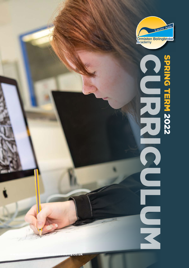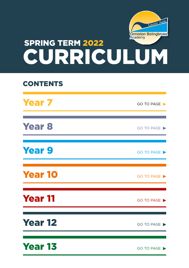| <b>SPRING TERM 2022</b><br>CURRICULUM | Lucere Aude<br><b>Ormiston Bolingbroke</b><br>Academy |
|---------------------------------------|-------------------------------------------------------|
| <b>CONTENTS</b>                       |                                                       |
| <b>Year 7</b>                         | GO TO PAGE                                            |
| <b>Year 8</b>                         | GO TO PAGE                                            |
| Year 9                                | GO TO PAGE                                            |
| <b>Year 10</b>                        | GO TO PAGE                                            |
| <b>Year 11</b>                        | GO TO PAGE ▶                                          |
| <b>Year 12</b>                        | GO TO PAGE ▶                                          |
| <b>Year 13</b>                        | GO TO PAGE                                            |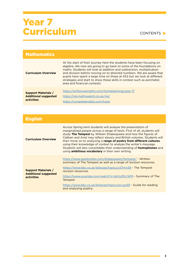| <b>Mathematics</b>                                                      |                                                                                                                                                                                                                                                                                                                                                                                                                                                                                    |
|-------------------------------------------------------------------------|------------------------------------------------------------------------------------------------------------------------------------------------------------------------------------------------------------------------------------------------------------------------------------------------------------------------------------------------------------------------------------------------------------------------------------------------------------------------------------|
| <b>Curriculum Overview</b>                                              | At the start of their journey here the students have been focusing on<br>algebra. We now are going to go back to some of the foundations on<br>maths. Students will look at addition and subtraction, multiplication<br>and division before moving on to directed numbers. We are aware that<br>pupils have spent a large time on these at KS2 but we look at different<br>strategies and start to show these skills in context such as perimeter.<br>area and financial contexts. |
| <b>Support Materials /</b><br><b>Additional suggested</b><br>activities | https://whiterosemaths.com/homelearning/year-7/<br>https://vle.mathswatch.co.uk/vle/<br>https://completemaths.com/tutor                                                                                                                                                                                                                                                                                                                                                            |

| <b>English</b>                                                          |                                                                                                                                                                                                                                                                                                                                                                                                                                                                                                                                                                                        |
|-------------------------------------------------------------------------|----------------------------------------------------------------------------------------------------------------------------------------------------------------------------------------------------------------------------------------------------------------------------------------------------------------------------------------------------------------------------------------------------------------------------------------------------------------------------------------------------------------------------------------------------------------------------------------|
| <b>Curriculum Overview</b>                                              | Across Spring term students will analyse the presentation of<br>marginalised people across a range of texts. First of all, students will<br>study <b>The Tempest</b> by William Shakespeare and how the figures of<br>Caliban and Ariel may reflect slavery and British colonies. Students will<br>then move on to analysing a range of poetry from different cultures.<br>using their knowledge of context to analyse the writer's message.<br>Students will also consolidate their understanding of <b>homophones</b> and<br>using <b>ambitious vocabulary</b> in their own writing. |
| <b>Support Materials /</b><br><b>Additional suggested</b><br>activities | https://www.sparknotes.com/shakespeare/tempest/ - Written<br>summary of The Tempest as well as a range of revision resources.<br>https://www.bbc.co.uk/bitesize/topics/z37mn39 - The Tempest<br>revision resources<br>https://www.youtube.com/watch?v=diz1y0ELIWM - Summary of The<br><b>Tempest</b><br>https://www.bbc.co.uk/bitesize/topics/zccxp39 - Guide for reading<br>and analysing poetry.                                                                                                                                                                                     |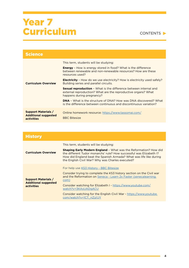| <b>Science</b>                            |                                                                                                                                                                 |
|-------------------------------------------|-----------------------------------------------------------------------------------------------------------------------------------------------------------------|
| <b>Curriculum Overview</b>                | This term, students will be studying:                                                                                                                           |
|                                           | <b>Energy</b> - How is energy stored in food? What is the difference<br>between renewable and non-renewable resources? How are these<br>resources used?         |
|                                           | <b>Electricity</b> – How do we use electricity? How is electricity used safely?<br>Building series and parallel circuits.                                       |
|                                           | Sexual reproduction - What is the difference between internal and<br>external reproduction? What are the reproductive organs? What<br>happens during pregnancy? |
|                                           | <b>DNA - What is the structure of DNA? How was DNA discovered? What</b><br>is the difference between continuous and discontinuous variation?                    |
| <b>Support Materials /</b>                | Online homework resource: https://www.tassomai.com/                                                                                                             |
| <b>Additional suggested</b><br>activities | <b>BBC Bitesize</b>                                                                                                                                             |

| <b>History</b>                                                                 |                                                                                                                                                                                                                                                                                                                                                                                     |
|--------------------------------------------------------------------------------|-------------------------------------------------------------------------------------------------------------------------------------------------------------------------------------------------------------------------------------------------------------------------------------------------------------------------------------------------------------------------------------|
| <b>Curriculum Overview</b>                                                     | This term, students will be studying:<br><b>Shaping Early Modern England -</b> What was the Reformation? How did<br>the different Tudor monarchs' rule? How successful was Elizabeth I?<br>How did England beat the Spanish Armada? What was life like during<br>the English Civil War? Why was Charles executed?                                                                   |
| <b>Support Materials /</b><br><b>Additional suggested</b><br><b>activities</b> | For help use KS3 History - BBC Bitesize<br>Consider trying to complete the KS3 history section on the Civil war<br>and the Reformation on Seneca - Learn 2x Faster (senecalearning.<br>com)<br>Consider watching for Elizabeth I - https://www.youtube.com/<br>watch?v=3KAsUADqACU<br>Consider watching for the English Civil War - https://www.youtube.<br>com/watch?v=1CT nZjz1JY |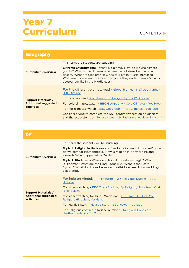| <b>Geography</b>                                                        |                                                                                                                                                                                                                                                                                                                                                                                                                                                                    |
|-------------------------------------------------------------------------|--------------------------------------------------------------------------------------------------------------------------------------------------------------------------------------------------------------------------------------------------------------------------------------------------------------------------------------------------------------------------------------------------------------------------------------------------------------------|
| <b>Curriculum Overview</b>                                              | This term, the students are studying:<br><b>Extreme Environments</b> - What is a biome? How do we use climate<br>graphs? What is the difference between a hot desert and a polar<br>desert? What are Glaciers? How has tourism in Russia increased?<br>What are tropical rainforests and why are they under threat? What is<br>ecotourism like in the Middle east?                                                                                                 |
| <b>Support Materials /</b><br><b>Additional suggested</b><br>activities | For the different biomes, read - Global biomes - KS3 Geography -<br><b>BBC Bitesize</b><br><b>For Glaciers, read Glaciation - KS3 Geography - BBC Bitesize</b><br><b>For cold climates, watch - BBC Geography - Cold Climates - YouTube</b><br><b>For hot climates, watch - BBC Geography - Hot Climates - YouTube</b><br>Consider trying to complete the KS3 geography section on glaciers<br>and the ecosystems on Seneca - Learn 2x Faster (senecalearning.com) |

| RE                                                                      |                                                                                                                                                                                                                    |
|-------------------------------------------------------------------------|--------------------------------------------------------------------------------------------------------------------------------------------------------------------------------------------------------------------|
| <b>Curriculum Overview</b>                                              | This term the students will be studying:                                                                                                                                                                           |
|                                                                         | <b>Topic 1: Religion in the News - Is freedom of speech important? How</b><br>do we combat Islamophobia? How is religion in Northern Ireland<br>viewed? What happened to Malala?                                   |
|                                                                         | <b>Topic 2: Hinduism</b> - Where and how did Hinduism begin? What<br>is Brahman? What are the Hindu gods like? What is the Caste<br>System? What do Hindus believe at death? How are Hindu weddings<br>celebrated? |
| <b>Support Materials /</b><br><b>Additional suggested</b><br>activities | For help on Hinduism - Hinduism - KS3 Religious Studies - BBC<br><b>Bitesize</b>                                                                                                                                   |
|                                                                         | Consider watching - BBC Two - My Life, My Religion, Hinduism, What<br>is Hinduism?                                                                                                                                 |
|                                                                         | Consider watching for Hindu Weddings - BBC Two - My Life, My<br>Religion, Hinduism, Marriage                                                                                                                       |
|                                                                         | For Malala's story - Malala's story - BBC News - YouTube                                                                                                                                                           |
|                                                                         | For Religious conflict in Northern Ireland - Religious Conflict in<br>Northern Ireland - YouTube                                                                                                                   |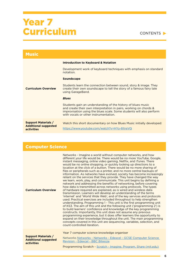#### CONTENTS  $\blacktriangleright$

| <b>Music</b>                                                            |                                                                                                                                                                                                                                                    |
|-------------------------------------------------------------------------|----------------------------------------------------------------------------------------------------------------------------------------------------------------------------------------------------------------------------------------------------|
|                                                                         | <b>Introduction to Keyboard &amp; Notation</b>                                                                                                                                                                                                     |
|                                                                         | Development work of keyboard techniques with emphasis on standard<br>notation.                                                                                                                                                                     |
|                                                                         | <b>Soundscape</b>                                                                                                                                                                                                                                  |
| <b>Curriculum Overview</b>                                              | Students learn the connection between sound, story & image. They<br>create their own soundscape to tell the story of a famous fairy tale<br>using GarageBand.                                                                                      |
|                                                                         | <b>Blues</b>                                                                                                                                                                                                                                       |
|                                                                         | Students gain an understanding of the history of blues music<br>and create their own interpretation in pairs, working on chords &<br>improvisation using the blues scale. Some students will also perform<br>with vocals or other instrumentation. |
| <b>Support Materials /</b><br><b>Additional suggested</b><br>activities | Watch this short documentary on how Blues Music initially developed:<br>https://www.youtube.com/watch?v=HYy-6ltraVQ                                                                                                                                |

### Computer Science

| <b>Curriculum Overview</b>                                                     | Networks - Imagine a world without computer networks, and how<br>different your life would be. There would be no more YouTube, Google,<br>instant messaging, online video gaming, Netflix, and iTunes. There<br>would be no online shopping, or quickly looking up directions to a<br>location at the click of a button. There would be no more sharing of<br>files or peripherals such as a printer, and no more central backups of<br>information. As networks have evolved, society has become increasingly<br>reliant on the services that they provide. They have changed the way<br>we learn, work, play, and communicate. This unit begins by defining a<br>network and addressing the benefits of networking, before covering<br>how data is transmitted across networks using protocols. The types<br>of hardware required are explained, as is wired and wireless data<br>transmission. Learners will develop an understanding of the terms<br>'internet' and 'World Wide Web', and of the key services and protocols<br>used. Practical exercises are included throughout to help strengthen<br>understanding. Programming 1 - This unit is the first programming unit<br>of KS3. The aim of this unit and the following unit ('programming 2') is<br>to build learners' confidence and knowledge of the key programming<br>constructs. Importantly, this unit does not assume any previous<br>programming experience, but it does offer learners the opportunity to<br>expand on their knowledge throughout the unit. The main programming<br>concepts covered in this unit are sequencing, variables, selection, and<br>count-controlled iteration. |
|--------------------------------------------------------------------------------|------------------------------------------------------------------------------------------------------------------------------------------------------------------------------------------------------------------------------------------------------------------------------------------------------------------------------------------------------------------------------------------------------------------------------------------------------------------------------------------------------------------------------------------------------------------------------------------------------------------------------------------------------------------------------------------------------------------------------------------------------------------------------------------------------------------------------------------------------------------------------------------------------------------------------------------------------------------------------------------------------------------------------------------------------------------------------------------------------------------------------------------------------------------------------------------------------------------------------------------------------------------------------------------------------------------------------------------------------------------------------------------------------------------------------------------------------------------------------------------------------------------------------------------------------------------------------------------------------------------------------------------------------------------|
| <b>Support Materials /</b><br><b>Additional suggested</b><br><b>activities</b> | Year 7 computer science knowledge organiser<br>Networks Networks - Networks - Edexcel - GCSE Computer Science<br>Revision - Edexcel - BBC Bitesize<br>Programming Scratch - Scratch - Imagine, Program, Share (mit.edu)                                                                                                                                                                                                                                                                                                                                                                                                                                                                                                                                                                                                                                                                                                                                                                                                                                                                                                                                                                                                                                                                                                                                                                                                                                                                                                                                                                                                                                          |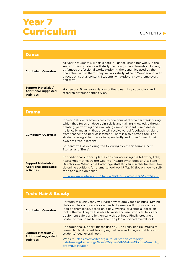#### CONTENTS  $\blacktriangleright$

| <b>Dance</b>                                                                   |                                                                                                                                                                                                                                                                                                                                                                                     |
|--------------------------------------------------------------------------------|-------------------------------------------------------------------------------------------------------------------------------------------------------------------------------------------------------------------------------------------------------------------------------------------------------------------------------------------------------------------------------------|
| <b>Curriculum Overview</b>                                                     | All year 7 students will participate in 1 dance lesson per week. In the<br>Autumn Term students will study the topic; 'Characterisation' looking<br>at famous professional works exploring the dynamics used by the<br>characters within them. They will also study 'Alice in Wonderland' with<br>a focus on spatial content. Students will explore a new theme every<br>half term. |
| <b>Support Materials /</b><br><b>Additional suggested</b><br><b>activities</b> | Homework: To rehearse dance routines, learn key vocabulary and<br>research different dance styles.                                                                                                                                                                                                                                                                                  |

| Drama                                                                   |                                                                                                                                                                                                                                                                                                                                                                                                                                                                                                                                                               |
|-------------------------------------------------------------------------|---------------------------------------------------------------------------------------------------------------------------------------------------------------------------------------------------------------------------------------------------------------------------------------------------------------------------------------------------------------------------------------------------------------------------------------------------------------------------------------------------------------------------------------------------------------|
| <b>Curriculum Overview</b>                                              | In Year 7 students have access to one hour of drama per week during<br>which they focus on developing skills and gaining knowledge through<br>creating, performing and evaluating drama. Students are assessed<br>holistically, meaning that they will receive verbal feedback regularly<br>from teacher and peer assessment. There is also a strong focus on<br>students being able to work independently and drive forward their<br>own progress in lessons.<br>Students will be exploring the following topics this term; 'Ghost'<br>Stories' and 'Ernie'. |
| <b>Support Materials /</b><br><b>Additional suggested</b><br>activities | For additional support, please consider accessing the following links;<br>https://getintotheatre.org Get into Theatre What does an Assistant<br>Director do? What is the backstage staff structure in theatre like? How<br>do online auditions for drama school work? Top 10 tips on how to self-<br>tape and audition online<br>https://www.youtube.com/channel/UCUDq1XzCY0NIOYVJvEMQiqw                                                                                                                                                                     |

### Tech: Hair & Beauty

| <b>Curriculum Overview</b>                                              | Through this unit year 7 will learn how to apply face painting. Styling<br>their own hair and care for own nails. Learners will produce a total<br>look on themselves, based on a day, evening or a special occasion<br>look / theme. They will be able to work and use products, tools and<br>equipment safely and hygienically throughout. Finally creating a<br>poster of their ideas to allow them to plan a finished overall look. |
|-------------------------------------------------------------------------|-----------------------------------------------------------------------------------------------------------------------------------------------------------------------------------------------------------------------------------------------------------------------------------------------------------------------------------------------------------------------------------------------------------------------------------------|
| <b>Support Materials /</b><br><b>Additional suggested</b><br>activities | For additional support, please use YouTube links, google images to<br>research into different hair styles, nail care and images that link into<br>students' ideal overall look.<br>Website-https://www.vtct.org.uk/qualification-category/<br>hairdressing-barbering/?level=2&type=VRQ&size=Diploma&search<br>type=qualification                                                                                                        |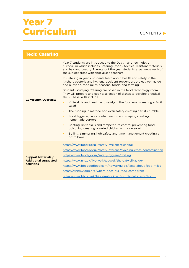| <b>Tech: Catering</b>                                                          |                                                                                                                                                                                                                                                                                                                                                                                                                                                                                                                                                  |
|--------------------------------------------------------------------------------|--------------------------------------------------------------------------------------------------------------------------------------------------------------------------------------------------------------------------------------------------------------------------------------------------------------------------------------------------------------------------------------------------------------------------------------------------------------------------------------------------------------------------------------------------|
|                                                                                | Year 7 students are introduced to the Design and technology<br>curriculum which includes Catering (food), textiles, resistant materials<br>and hair and beauty. Throughout the year students experience each of<br>the subject areas with specialised teachers.<br>In Catering in year 7 students learn about health and safety in the<br>kitchen, bacteria and hygiene, accident prevention, the eat well guide<br>and nutrition, food miles, seasonal foods, and farming.<br>Students studying Catering are based in the food technology room. |
|                                                                                | They will prepare and cook a selection of dishes to develop practical<br>skills. These skills include                                                                                                                                                                                                                                                                                                                                                                                                                                            |
| <b>Curriculum Overview</b>                                                     | Knife skills and health and safety in the food room creating a Fruit<br>$\bullet$<br>salad                                                                                                                                                                                                                                                                                                                                                                                                                                                       |
|                                                                                | The rubbing in method and oven safety creating a fruit crumble<br>٠                                                                                                                                                                                                                                                                                                                                                                                                                                                                              |
|                                                                                | Food hygiene, cross contamination and shaping creating<br>٠<br>homemade burgers                                                                                                                                                                                                                                                                                                                                                                                                                                                                  |
|                                                                                | Coating, knife skills and temperature control preventing food<br>٠<br>poisoning creating breaded chicken with side salad                                                                                                                                                                                                                                                                                                                                                                                                                         |
|                                                                                | Boiling, simmering, hob safety and time management creating a<br>٠<br>pasta bake                                                                                                                                                                                                                                                                                                                                                                                                                                                                 |
|                                                                                | https://www.food.gov.uk/safety-hygiene/cleaning                                                                                                                                                                                                                                                                                                                                                                                                                                                                                                  |
|                                                                                | https://www.food.gov.uk/safety-hygiene/avoiding-cross-contamination                                                                                                                                                                                                                                                                                                                                                                                                                                                                              |
| <b>Support Materials /</b><br><b>Additional suggested</b><br><b>activities</b> | https://www.food.gov.uk/safety-hygiene/chilling                                                                                                                                                                                                                                                                                                                                                                                                                                                                                                  |
|                                                                                | https://www.nhs.uk/live-well/eat-well/the-eatwell-guide/                                                                                                                                                                                                                                                                                                                                                                                                                                                                                         |
|                                                                                | https://www.bbcgoodfood.com/howto/guide/facts-about-food-miles                                                                                                                                                                                                                                                                                                                                                                                                                                                                                   |
|                                                                                | https://visitmyfarm.org/where-does-our-food-come-from                                                                                                                                                                                                                                                                                                                                                                                                                                                                                            |
|                                                                                | https://www.bbc.co.uk/bitesize/topics/zfmpb9q/articles/z3tcydm                                                                                                                                                                                                                                                                                                                                                                                                                                                                                   |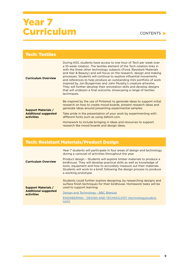#### CONTENTS **D**

| <b>Tech: Textiles</b>                                                          |                                                                                                                                                                                                                                                                                                                                                                                                                                                                                                                                                                                                                                                                           |
|--------------------------------------------------------------------------------|---------------------------------------------------------------------------------------------------------------------------------------------------------------------------------------------------------------------------------------------------------------------------------------------------------------------------------------------------------------------------------------------------------------------------------------------------------------------------------------------------------------------------------------------------------------------------------------------------------------------------------------------------------------------------|
| <b>Curriculum Overview</b>                                                     | During KS3, students have access to one hour of Tech per week over<br>a 10-week rotation. The textiles element of the Tech rotation links in<br>with the three other technology subjects (Food, Resistant Materials<br>and Hair & Beauty) and will focus on the research, design and making<br>processes. Students will continue to explore influential movements<br>and references to help produce an outstanding mini portfolio of work<br>inspired by Jon Burgerman and John Murphy's creature artworks.<br>They will further develop their annotation skills and develop designs<br>that will underpin a final outcome, showcasing a range of textiles<br>techniques. |
| <b>Support Materials /</b><br><b>Additional suggested</b><br><b>activities</b> | Be inspired by the use of Pinterest to generate ideas to support initial<br>research on how to create mood boards, present research ideas and<br>generate ideas around presenting experimental samples.<br>Take pride in the presentation of your work by experimenting with<br>different fonts such as using dafont.com.<br>Homework to include bringing in ideas and resources to support<br>research like mood boards and design ideas.                                                                                                                                                                                                                                |

### Tech: Resistant Materials/Product Design

| <b>Curriculum Overview</b>                                              | Year 7 students will participate in four areas of design and technology<br>during a carousel of activities throughout the year.<br>Product design - Students will explore timber materials to produce a<br>birdhouse. They will develop practical skills as well as knowledge of<br>tools, equipment and how to accurately measure out their materials.<br>Students will work to a brief, following the design process to produce |
|-------------------------------------------------------------------------|-----------------------------------------------------------------------------------------------------------------------------------------------------------------------------------------------------------------------------------------------------------------------------------------------------------------------------------------------------------------------------------------------------------------------------------|
|                                                                         | a working prototype.                                                                                                                                                                                                                                                                                                                                                                                                              |
| <b>Support Materials /</b><br><b>Additional suggested</b><br>activities | Students could further explore designing, by researching designs and<br>surface finish techniques for their birdhouse. Homework tasks will be<br>used to support learning.                                                                                                                                                                                                                                                        |
|                                                                         | Design and Technology - BBC Bitesize                                                                                                                                                                                                                                                                                                                                                                                              |
|                                                                         | ENGINEERING - DESIGN AND TECHNOLOGY (technologystudent.<br>com)                                                                                                                                                                                                                                                                                                                                                                   |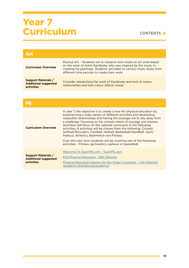#### CONTENTS  $\blacktriangleright$

| Art                                                                     |                                                                                                                                                                                                                                                                      |
|-------------------------------------------------------------------------|----------------------------------------------------------------------------------------------------------------------------------------------------------------------------------------------------------------------------------------------------------------------|
| <b>Curriculum Overview</b>                                              | Musical Art - Students are to research and create an art work based<br>on the work of Artist Kandinsky who was inspired by the music in<br>creating his paintings. Students will listen to various music styles from<br>different time periods to create their work. |
| <b>Support Materials /</b><br><b>Additional suggested</b><br>activities | Consider researching the work of Kandinsky and look at colour<br>relationships and how colour affects mood.                                                                                                                                                          |

| <b>PE</b>                                                               |                                                                                                                                                                                                                                                                                                                                                                                                                                                                                                                                                                                                                                                                                             |
|-------------------------------------------------------------------------|---------------------------------------------------------------------------------------------------------------------------------------------------------------------------------------------------------------------------------------------------------------------------------------------------------------------------------------------------------------------------------------------------------------------------------------------------------------------------------------------------------------------------------------------------------------------------------------------------------------------------------------------------------------------------------------------|
| <b>Curriculum Overview</b>                                              | In year 7, the objective is to create a love for physical education by<br>experiencing a wide variety of different activities and developing<br>respectful relationships and having the courage not to shy away from<br>a challenge. Focusing on the schools intent of courage and choices.<br>Activities will focus on the national curriculum in the following<br>activities, 6 activities will be chosen from the following: Cricket/<br>Softball/Rounders, Football, Netball, Basketball/Handball, Gym/<br>Parkour, Athletics, Badminton and Fitness,<br>Over this next term students will be covering one of the following<br>activities - Fitness, gymnastics, parkour or basketball. |
|                                                                         |                                                                                                                                                                                                                                                                                                                                                                                                                                                                                                                                                                                                                                                                                             |
| <b>Support Materials /</b><br><b>Additional suggested</b><br>activities | Welcome To TeachPE.com - TeachPE.com<br><b>KS3 Physical Education - BBC Bitesize</b><br>Physical Education lessons for Key Stage 3 students - Oak National<br>Academy (thenational.academy)                                                                                                                                                                                                                                                                                                                                                                                                                                                                                                 |

÷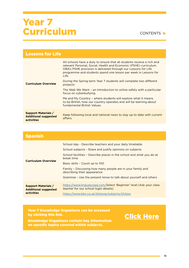#### CONTENTS

| <b>Lessons for Life</b>                                                 |                                                                                                                                                                                                                                                                                           |
|-------------------------------------------------------------------------|-------------------------------------------------------------------------------------------------------------------------------------------------------------------------------------------------------------------------------------------------------------------------------------------|
| <b>Curriculum Overview</b>                                              | All schools have a duty to ensure that all students receive a rich and<br>relevant Personal, Social, Health and Economic (PSHE) curriculum.<br>OBA's PSHE provision is delivered through our Lessons for Life<br>programme and students spend one lesson per week in Lessons for<br>Life. |
|                                                                         | During the Spring term Year 7 students will complete two different<br>projects:                                                                                                                                                                                                           |
|                                                                         | The Web We Want - an introduction to online safety with a particular<br>focus on cyberbullying.                                                                                                                                                                                           |
|                                                                         | Me and My Country - where students will explore what it means<br>to be British, how our country operates and will be learning about<br>fundamental British Values.                                                                                                                        |
| <b>Support Materials /</b><br><b>Additional suggested</b><br>activities | Keep following local and national news to stay up to date with current<br>affairs.                                                                                                                                                                                                        |

| <b>Spanish</b>                                                          |                                                                                                                                                                                                                                                                                                                                                                                                               |
|-------------------------------------------------------------------------|---------------------------------------------------------------------------------------------------------------------------------------------------------------------------------------------------------------------------------------------------------------------------------------------------------------------------------------------------------------------------------------------------------------|
| <b>Curriculum Overview</b>                                              | School day - Describe teachers and your daily timetable<br>School subjects - Share and justify opinions on subjects<br>School facilities - Describe places in the school and what you do at<br>break time<br>Basic skills - Count up to 100<br>Family - Discussing how many people are in your family and<br>describing their appearance<br>Grammar - Use the present tense to talk about yourself and others |
| <b>Support Materials /</b><br><b>Additional suggested</b><br>activities | https://www.linguascope.com/Select 'Beginner' level (Ask your class<br>teacher for our school login details)<br>https://www.bbc.co.uk/bitesize/subjects/zfckjxs                                                                                                                                                                                                                                               |

Year 7 Knowledge Organisers can be accessed by clicking this link.



Knowledge Organisers contain key information on specific topics covered within subjects.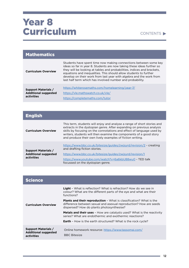#### CONTENTS

| <b>Mathematics</b>                                                      |                                                                                                                                                                                                                                                                                                                                                                                                                                |
|-------------------------------------------------------------------------|--------------------------------------------------------------------------------------------------------------------------------------------------------------------------------------------------------------------------------------------------------------------------------------------------------------------------------------------------------------------------------------------------------------------------------|
| <b>Curriculum Overview</b>                                              | Students have spent time now making connections between some key<br>ideas so far in year 8. Students are now taking these ideas further so<br>they will be looking at tables and probabilities, indices and brackets,<br>equations and inequalities. This should allow students to further<br>develop on their work from last year with algebra and the work from<br>last half term which has involved number and probability. |
| <b>Support Materials /</b><br><b>Additional suggested</b><br>activities | https://whiterosemaths.com/homelearning/year-7/<br>https://vle.mathswatch.co.uk/vle/<br>https://completemaths.com/tutor                                                                                                                                                                                                                                                                                                        |

| <b>English</b>                                                          |                                                                                                                                                                                                                                                                                                                                                              |
|-------------------------------------------------------------------------|--------------------------------------------------------------------------------------------------------------------------------------------------------------------------------------------------------------------------------------------------------------------------------------------------------------------------------------------------------------|
| <b>Curriculum Overview</b>                                              | This term, students will enjoy and analyse a range of short stories and<br>extracts in the dystopian genre. After expanding on previous analysis<br>skills by focusing on the connotations and effect of language used by<br>writers, students will then examine the components of a good story<br>and produce their own lively examples of fiction writing. |
| <b>Support Materials /</b><br><b>Additional suggested</b><br>activities | https://www.bbc.co.uk/bitesize/guides/zwjsyrd/revision/2 - creating<br>and drafting fiction stories.<br>https://www.bbc.co.uk/bitesize/guides/zwjsyrd/revision/1<br>https://www.youtube.com/watch?v=6a6kbU88wu0 - TED talk<br>focussed on the dystopian genre.                                                                                               |

| <b>Science</b>                                                          |                                                                                                                                                                                              |
|-------------------------------------------------------------------------|----------------------------------------------------------------------------------------------------------------------------------------------------------------------------------------------|
| <b>Curriculum Overview</b>                                              | <b>Light</b> - What is reflection? What is refraction? How do we see in<br>colour? What are the different parts of the eye and what are their<br>functions?                                  |
|                                                                         | <b>Plants and their reproduction -</b> What is classification? What is the<br>difference between sexual and asexual reproduction? How are seeds<br>dispersed? How do plants photosynthesise? |
|                                                                         | <b>Metals and their uses</b> - How are catalysts used? What is the reactivity<br>series? What are endothermic and exothermic reactions?                                                      |
|                                                                         | <b>Earth</b> - How is the earth structured? What is the rock cycle?                                                                                                                          |
| <b>Support Materials /</b><br><b>Additional suggested</b><br>activities | Online homework resource: https://www.tassomai.com/<br><b>BBC Bitesize</b>                                                                                                                   |

٠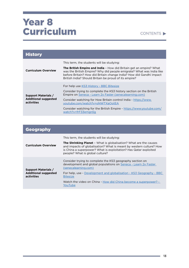#### CONTENTS

| <b>History</b>                                                          |                                                                                                                                                                                                                                                                                   |
|-------------------------------------------------------------------------|-----------------------------------------------------------------------------------------------------------------------------------------------------------------------------------------------------------------------------------------------------------------------------------|
|                                                                         | This term, the students will be studying:                                                                                                                                                                                                                                         |
| <b>Curriculum Overview</b>                                              | <b>The British Empire and India</b> - How did Britain get an empire? What<br>was the British Empire? Why did people emigrate? What was India like<br>before Britain? How did Britain change India? How did Gandhi impact<br>British India? Should Britain be proud of its empire? |
| <b>Support Materials /</b><br><b>Additional suggested</b><br>activities | For help use KS3 History - BBC Bitesize                                                                                                                                                                                                                                           |
|                                                                         | Consider trying to complete the KS3 history section on the British<br>Empire on Seneca - Learn 2x Faster (senecalearning.com)                                                                                                                                                     |
|                                                                         | Consider watching for How Britain control India - https://www.<br>youtube.com/watch?v=oNWTXaOotEA                                                                                                                                                                                 |
|                                                                         | Consider watching for the British Empire - https://www.youtube.com/<br>watch?v=frF33emgn5g                                                                                                                                                                                        |

| Geography                                                               |                                                                                                                                                                                                                                                                                                                            |
|-------------------------------------------------------------------------|----------------------------------------------------------------------------------------------------------------------------------------------------------------------------------------------------------------------------------------------------------------------------------------------------------------------------|
| <b>Curriculum Overview</b>                                              | This term, the students will be studying:<br><b>The Shrinking Planet</b> - What is globalisation? What are the causes<br>and impacts of globalisation? What is meant by western culture? How<br>is China a superpower? What is exploitation? Has Qatar exploited<br>people? What is global culture?                        |
| <b>Support Materials /</b><br><b>Additional suggested</b><br>activities | Consider trying to complete the KS3 geography section on<br>development and global populations on Seneca - Learn 2x Faster<br>(senecalearning.com)<br>For help, use - Development and globalisation - KS3 Geography - BBC<br><b>Bitesize</b><br>Watch the video on China - How did China become a superpower? -<br>YouTube |

**State**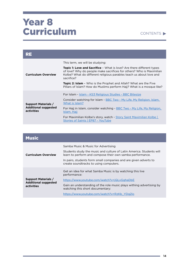#### CONTENTS

| <b>Curriculum Overview</b>                                              | This term, we will be studying:<br><b>Topic 1: Love and Sacrifice</b> - What is love? Are there different types<br>of love? Why do people make sacrifices for others? Who is Maximilian |
|-------------------------------------------------------------------------|-----------------------------------------------------------------------------------------------------------------------------------------------------------------------------------------|
|                                                                         | Kolbe? What do different religious parables teach us about love and<br>sacrifice?                                                                                                       |
|                                                                         | <b>Topic 2: Islam</b> - Who is the Prophet and Allah? What are the Five<br>Pillars of Islam? How do Muslims perform Hajj? What is a mosque like?                                        |
| <b>Support Materials /</b><br><b>Additional suggested</b><br>activities | For Islam - Islam - KS3 Religious Studies - BBC Bitesize                                                                                                                                |
|                                                                         | Consider watching for Islam - BBC Two - My Life, My Religion, Islam,<br>What is Islam?                                                                                                  |
|                                                                         | For Hajj in Islam, consider watching - BBC Two - My Life, My Religion,<br>Islam, Hajj                                                                                                   |
|                                                                         | For Maximilian Kolbe's story, watch - Story Saint Maximilian Kolbe<br>Stories of Saints   EP87 - YouTube                                                                                |

| <b>Music</b>                                                            |                                                                                                                                   |
|-------------------------------------------------------------------------|-----------------------------------------------------------------------------------------------------------------------------------|
| <b>Curriculum Overview</b>                                              | Samba Music & Music for Advertising                                                                                               |
|                                                                         | Students study the music and culture of Latin America. Students will<br>learn to perform and compose their own samba performance. |
|                                                                         | In pairs, students form small companies and are given adverts to<br>create sound tracks to using computers.                       |
| <b>Support Materials /</b><br><b>Additional suggested</b><br>activities | Get an idea for what Samba Music is by watching this live<br>performance:                                                         |
|                                                                         | https://www.youtube.com/watch?v=jQLvGghaDbE                                                                                       |
|                                                                         | Gain an understanding of the role music plays withing advertising by<br>watching this short documentary:                          |
|                                                                         | https://www.youtube.com/watch?v=RzKb YDq2lo                                                                                       |

a.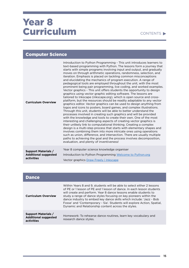#### CONTENTS

### Computer Science

| <b>Curriculum Overview</b>  | Introduction to Python Programming - This unit introduces learners to<br>text-based programming with Python. The lessons form a journey that<br>starts with simple programs involving input and output, and gradually<br>moves on through arithmetic operations, randomness, selection, and<br>iteration. Emphasis is placed on tackling common misconceptions<br>and elucidating the mechanics of program execution. A range of<br>pedagogical tools are employed throughout the unit, with the most<br>prominent being pair programming, live coding, and worked examples.<br>Vector graphics - This unit offers students the opportunity to design<br>graphics using vector graphic editing software. The lessons are<br>tailored to Inkscape (inkscape.org), which is open source and cross-<br>platform, but the resources should be readily adaptable to any vector<br>graphics editor. Vector graphics can be used to design anything from<br>logos and icons to posters, board games, and complex illustrations.<br>Through this unit, students will be able to better understand the<br>processes involved in creating such graphics and will be provided<br>with the knowledge and tools to create their own. One of the most<br>interesting and challenging aspects of creating vector graphics is<br>their unlikely link to computational thinking. Creating a complex<br>design is a multi-step process that starts with elementary shapes and<br>involves combining them into more intricate ones using operations<br>such as union, difference, and intersection. There are usually multiple<br>paths to achieving the goal and the process involves decomposition,<br>evaluation, and plenty of inventiveness! |
|-----------------------------|--------------------------------------------------------------------------------------------------------------------------------------------------------------------------------------------------------------------------------------------------------------------------------------------------------------------------------------------------------------------------------------------------------------------------------------------------------------------------------------------------------------------------------------------------------------------------------------------------------------------------------------------------------------------------------------------------------------------------------------------------------------------------------------------------------------------------------------------------------------------------------------------------------------------------------------------------------------------------------------------------------------------------------------------------------------------------------------------------------------------------------------------------------------------------------------------------------------------------------------------------------------------------------------------------------------------------------------------------------------------------------------------------------------------------------------------------------------------------------------------------------------------------------------------------------------------------------------------------------------------------------------------------------------------------------------------------------------------------------|
| <b>Support Materials /</b>  | Year 8 computer science knowledge organiser                                                                                                                                                                                                                                                                                                                                                                                                                                                                                                                                                                                                                                                                                                                                                                                                                                                                                                                                                                                                                                                                                                                                                                                                                                                                                                                                                                                                                                                                                                                                                                                                                                                                                    |
| <b>Additional suggested</b> | Introduction to Python Programming Welcome to Python.org                                                                                                                                                                                                                                                                                                                                                                                                                                                                                                                                                                                                                                                                                                                                                                                                                                                                                                                                                                                                                                                                                                                                                                                                                                                                                                                                                                                                                                                                                                                                                                                                                                                                       |
| activities                  | Vector graphics Draw Freely   Inkscape                                                                                                                                                                                                                                                                                                                                                                                                                                                                                                                                                                                                                                                                                                                                                                                                                                                                                                                                                                                                                                                                                                                                                                                                                                                                                                                                                                                                                                                                                                                                                                                                                                                                                         |

| <b>Dance</b>                                                            |                                                                                                                                                                                                                                                                                                                                                                                                                                                                                                    |
|-------------------------------------------------------------------------|----------------------------------------------------------------------------------------------------------------------------------------------------------------------------------------------------------------------------------------------------------------------------------------------------------------------------------------------------------------------------------------------------------------------------------------------------------------------------------------------------|
| <b>Curriculum Overview</b>                                              | Within Years 8 and 9, students will be able to select either 2 lessons<br>of PE or 1 lesson of PE and 1 lesson of dance. In each lesson students<br>will create and perform. Year 8 dance lessons enable students to<br>study a range of dance styles focusing on key pioneers within the<br>dance industry to embed key dance skills which include: 'Jazz - Bob<br>Fosse' and 'Contemporary - Sia'. Students will explore Action, Spatial,<br>Dynamic and Relationship content across the styles. |
| <b>Support Materials /</b><br><b>Additional suggested</b><br>activities | Homework: To rehearse dance routines, learn key vocabulary and<br>research dance styles.                                                                                                                                                                                                                                                                                                                                                                                                           |

and the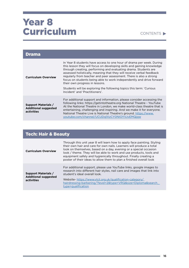| Drama                                                                   |                                                                                                                                                                                                                                                                                                                                                                                                                                                                                                                                                                                      |
|-------------------------------------------------------------------------|--------------------------------------------------------------------------------------------------------------------------------------------------------------------------------------------------------------------------------------------------------------------------------------------------------------------------------------------------------------------------------------------------------------------------------------------------------------------------------------------------------------------------------------------------------------------------------------|
| <b>Curriculum Overview</b>                                              | In Year 8 students have access to one hour of drama per week. During<br>this lesson they will focus on developing skills and gaining knowledge<br>through creating, performing and evaluating drama. Students are<br>assessed holistically, meaning that they will receive verbal feedback<br>regularly from teacher and peer assessment. There is also a strong<br>focus on students being able to work independently and drive forward<br>their own progress in lessons.<br>Students will be exploring the following topics this term: 'Curious'<br>Incident' and 'Practitioners'. |
| <b>Support Materials /</b><br><b>Additional suggested</b><br>activities | For additional support and information, please consider accessing the<br>following links: https://getintotheatre.org National Theatre - YouTube<br>At the National Theatre in London, we make world-class theatre that is<br>entertaining, challenging and inspiring. And we make it for everyone.<br>National Theatre Live is National Theatre's ground. https://www.<br>youtube.com/channel/UCUDq1XzCY0NIOYVJvEMQjqw                                                                                                                                                               |

| <b>Tech: Hair &amp; Beauty</b>                                          |                                                                                                                                                                                                                                                                                                                                                                                                                                        |
|-------------------------------------------------------------------------|----------------------------------------------------------------------------------------------------------------------------------------------------------------------------------------------------------------------------------------------------------------------------------------------------------------------------------------------------------------------------------------------------------------------------------------|
| <b>Curriculum Overview</b>                                              | Through this unit year 8 will learn how to apply face painting. Styling<br>their own hair and care for own nails. Learners will produce a total<br>look on themselves, based on a day, evening or a special occasion<br>look / theme. They will be able to work and use products, tools and<br>equipment safely and hygienically throughout. Finally creating a<br>poster of their ideas to allow them to plan a finished overall look |
| <b>Support Materials /</b><br><b>Additional suggested</b><br>activities | For additional support, please use YouTube links, google images to<br>research into different hair styles, nail care and images that link into<br>student's ideal overall look.                                                                                                                                                                                                                                                        |
|                                                                         | Website-https://www.vtct.org.uk/qualification-category/<br>hairdressing-barbering/?level=2&type=VRQ&size=Diploma&search<br>type=qualification                                                                                                                                                                                                                                                                                          |

**STATISTICS**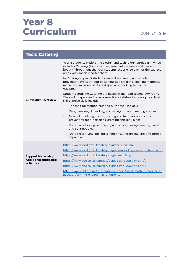#### CONTENTS

| <b>Tech: Catering</b>                     |                                                                                                                                                                                                                                                       |
|-------------------------------------------|-------------------------------------------------------------------------------------------------------------------------------------------------------------------------------------------------------------------------------------------------------|
| <b>Curriculum Overview</b>                | Year 8 students explore the Design and technology curriculum which<br>includes Catering (food), textiles, resistant materials and hair and<br>beauty. Throughout the year students experience each of the subject<br>areas with specialised teachers. |
|                                           | In Catering in year 8 students learn about safety and accident<br>prevention, types of food poisoning, special diets, cooking methods,<br>macro and micronutrients and specialist cooking terms and<br>equipment.                                     |
|                                           | Students studying Catering are based in the food technology room.<br>They will prepare and cook a selection of dishes to develop practical<br>skills. These skills include                                                                            |
|                                           | The melting method creating nutritious Flapjacks<br>$\bullet$                                                                                                                                                                                         |
|                                           | Dough making, kneading, and rolling out and creating a Pizza<br>$\bullet$                                                                                                                                                                             |
|                                           | Seasoning, slicing, dicing, grating and temperature control<br>$\bullet$<br>preventing food poisoning creating chicken Fajitas                                                                                                                        |
|                                           | Knife skills, boiling, simmering and sauce making creating sweet<br>$\bullet$<br>and sour noodles                                                                                                                                                     |
|                                           | Knife skills, frying, boiling, simmering, and grilling creating tortilla<br>$\bullet$<br>Espanola                                                                                                                                                     |
|                                           | https://www.food.gov.uk/safety-hygiene/cleaning                                                                                                                                                                                                       |
|                                           | https://www.food.gov.uk/safety-hygiene/avoiding-cross-contamination                                                                                                                                                                                   |
| <b>Support Materials /</b>                | https://www.food.gov.uk/safety-hygiene/chilling                                                                                                                                                                                                       |
| <b>Additional suggested</b><br>activities | https://www.bbc.co.uk/bitesize/guides/zdr8y9q/revision/2                                                                                                                                                                                              |
|                                           | https://www.bbc.co.uk/bitesize/guides/zdr8y9q/revision/1                                                                                                                                                                                              |
|                                           | https://www.bhf.org.uk/informationsupport/heart-matters-magazine/<br>nutrition/ask-the-expert/macronutrients                                                                                                                                          |

**State State**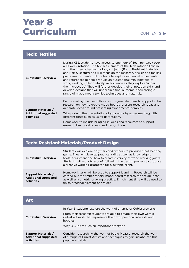#### CONTENTS

| <b>Tech: Textiles</b>                                                   |                                                                                                                                                                                                                                                                                                                                                                                                                                                                                                                                                                                                                                                                                                                    |
|-------------------------------------------------------------------------|--------------------------------------------------------------------------------------------------------------------------------------------------------------------------------------------------------------------------------------------------------------------------------------------------------------------------------------------------------------------------------------------------------------------------------------------------------------------------------------------------------------------------------------------------------------------------------------------------------------------------------------------------------------------------------------------------------------------|
| <b>Curriculum Overview</b>                                              | During KS3, students have access to one hour of Tech per week over<br>a 10-week rotation. The textiles element of the Tech rotation links in<br>with the three other technology subjects (Food, Resistant Materials<br>and Hair & Beauty) and will focus on the research, design and making<br>processes. Students will continue to explore influential movements<br>and references to help produce an outstanding mini portfolio of<br>work, working collaboratively with science as they explore 'under<br>the microscope'. They will further develop their annotation skills and<br>develop designs that will underpin a final outcome, showcasing a<br>range of mixed media textiles techniques and materials. |
| <b>Support Materials /</b><br><b>Additional suggested</b><br>activities | Be inspired by the use of Pinterest to generate ideas to support initial<br>research on how to create mood boards, present research ideas and<br>generate ideas around presenting experimental samples.<br>Take pride in the presentation of your work by experimenting with<br>different fonts such as using dafont.com.<br>Homework to include bringing in ideas and resources to support<br>research like mood boards and design ideas.                                                                                                                                                                                                                                                                         |

### Tech: Resistant Materials/Product Design

| <b>Curriculum Overview</b>                                              | Students will explore polymers and timbers to produce a ball bearing<br>game. They will develop practical skills as well as knowledge of<br>tools, equipment and how to create a variety of wood working joints.<br>Students will work to a brief, following the design process to produce<br>a creative working prototype for a suitable client. |
|-------------------------------------------------------------------------|---------------------------------------------------------------------------------------------------------------------------------------------------------------------------------------------------------------------------------------------------------------------------------------------------------------------------------------------------|
| <b>Support Materials /</b><br><b>Additional suggested</b><br>activities | Homework tasks will be used to support learning. Research will be<br>carried out for timber theory, mood board research for design ideas<br>as well as isometric drawing practice. Enrichment time will be used to<br>finish practical element of project.                                                                                        |

| <b>Art</b>                                                              |                                                                                                                                                                                                                                                                     |
|-------------------------------------------------------------------------|---------------------------------------------------------------------------------------------------------------------------------------------------------------------------------------------------------------------------------------------------------------------|
| <b>Curriculum Overview</b>                                              | In Year 8 students explore the work of a range of Cubist artworks.<br>From their research students are able to create their own Comic<br>Cubist art work that represents their own personal interests and<br>hobbies.<br>Why is Cubism such an important art style? |
| <b>Support Materials /</b><br><b>Additional suggested</b><br>activities | Consider researching the work of Pablo Picasso, research the work<br>of a range of Cubist Artists and techniques to gain insight into this<br>popular art style.                                                                                                    |

and the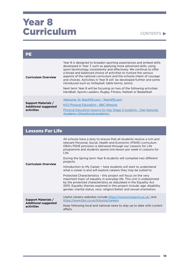#### **PE Curriculum Overview**  Year 8 is designed to broaden sporting experiences and embed skills developed in Year 7, such as applying more advanced skills, using sport terminology consistently and effectively. We continue to offer a broad and balanced choice of activities to nurture the various aspects of the national curriculum and the schools intent of courage and choices. Activities in Year 8 will be developed further and some introduced such as Volleyball, table tennis, tennis. Next term Year 8 will be focusing on two of the following activities: Handball, Sports Leaders, Rugby, Fitness, Netball or Basketball. **Support Materials / Additional suggested activities**  [Welcome To TeachPE.com - TeachPE.com](https://www.teachpe.com/) [KS3 Physical Education - BBC Bitesize](https://www.bbc.co.uk/bitesize/subjects/zxf3cdm) [Physical Education lessons for Key Stage 3 students - Oak National](https://classroom.thenational.academy/subjects-by-key-stage/key-stage-3/subjects/physical-education)  [Academy \(thenational.academy\)](https://classroom.thenational.academy/subjects-by-key-stage/key-stage-3/subjects/physical-education)

#### Lessons For Life

| <b>Curriculum Overview</b>                                              | All schools have a duty to ensure that all students receive a rich and<br>relevant Personal, Social, Health and Economic (PSHE) curriculum.<br>OBA's PSHE provision is delivered through our Lessons for Life<br>programme and students spend one lesson per week in Lessons for<br>Life.                                                                             |
|-------------------------------------------------------------------------|-----------------------------------------------------------------------------------------------------------------------------------------------------------------------------------------------------------------------------------------------------------------------------------------------------------------------------------------------------------------------|
|                                                                         | During the Spring term Year 8 students will complete two different<br>projects:                                                                                                                                                                                                                                                                                       |
|                                                                         | Introduction to My Career – here students will start to understand<br>what a career is and will explore careers they may be suited to.                                                                                                                                                                                                                                |
|                                                                         | Protected Characteristics - this project will focus on the very<br>important topic of equality in everyday life. This unit is underpinned<br>by the protected characteristics as stipulated in the Equality Act<br>2010. Equality themes explored in this project include: age, disability,<br>gender, marital status, race, religion/belief, and sexual orientation. |
| <b>Support Materials /</b><br><b>Additional suggested</b><br>activities | Useful careers websites include https://www.prospects.ac.uk/ and<br>https://www.bbc.co.uk/bitesize/careers                                                                                                                                                                                                                                                            |
|                                                                         | Keep following local and national news to stay up to date with current<br>affairs.                                                                                                                                                                                                                                                                                    |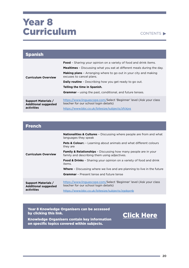## Year<sub>8</sub> Curriculum

| <b>Spanish</b>                                                          |                                                                                                                                                                                                                                                                                                                                                                                                                                        |
|-------------------------------------------------------------------------|----------------------------------------------------------------------------------------------------------------------------------------------------------------------------------------------------------------------------------------------------------------------------------------------------------------------------------------------------------------------------------------------------------------------------------------|
| <b>Curriculum Overview</b>                                              | <b>Food</b> - Sharing your opinion on a variety of food and drink items.<br><b>Mealtimes</b> - Discussing what you eat at different meals during the day.<br><b>Making plans</b> - Arranging where to go out in your city and making<br>excuses to cancel plans.<br><b>Daily routine</b> - Describing how you get ready to go out.<br>Telling the time in Spanish.<br><b>Grammar</b> - using the past, conditional, and future tenses. |
| <b>Support Materials /</b><br><b>Additional suggested</b><br>activities | https://www.linguascope.com/Select 'Beginner' level (Ask your class<br>teacher for our school login details)<br>https://www.bbc.co.uk/bitesize/subjects/zfckjxs                                                                                                                                                                                                                                                                        |

| <b>French</b>                                             |                                                                                                                            |
|-----------------------------------------------------------|----------------------------------------------------------------------------------------------------------------------------|
|                                                           | <b>Nationalities &amp; Cultures</b> - Discussing where people are from and what<br>languages they speak                    |
|                                                           | <b>Pets &amp; Colour</b> s - Learning about animals and what different colours<br>they are                                 |
| <b>Curriculum Overview</b>                                | <b>Family &amp; Relationships</b> - Discussing how many people are in your<br>family and describing them using adjectives. |
|                                                           | <b>Food &amp; Drinks</b> - Sharing your opinion on a variety of food and drink<br>items.                                   |
|                                                           | <b>Where</b> - Discussing where we live and are planning to live in the future                                             |
|                                                           | <b>Grammar</b> - Present tense and future tense                                                                            |
| <b>Support Materials /</b><br><b>Additional suggested</b> | https://www.linguascope.com/Select 'Beginner' level (Ask your class<br>teacher for our school login details)               |
| activities                                                | https://www.bbc.co.uk/bitesize/subjects/zgdgxnb                                                                            |

Year 8 Knowledge Organisers can be accessed by clicking this link.

[Click Here](https://drive.google.com/drive/folders/1zZ0hpOAjrogt0Au8i93nBeT9RD3qbit3?usp=sharing)

Knowledge Organisers contain key information on specific topics covered within subjects.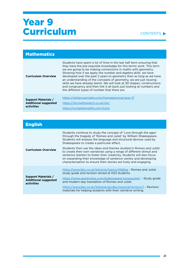#### CONTENTS<sup>></sup>

| <b>Mathematics</b>                                                      |                                                                                                                                                                                                                                                                                                                                                                                                                                                                                                                                                                                                                                  |
|-------------------------------------------------------------------------|----------------------------------------------------------------------------------------------------------------------------------------------------------------------------------------------------------------------------------------------------------------------------------------------------------------------------------------------------------------------------------------------------------------------------------------------------------------------------------------------------------------------------------------------------------------------------------------------------------------------------------|
| <b>Curriculum Overview</b>                                              | Students have spent a lot of time in the last half term ensuring that<br>they have the pre-requisite knowledge for this terms work. This term<br>we are going to be making connections in maths with geometry.<br>Showing how if we apply the number and algebra skills, we have<br>developed over the past 2 years to geometry then as long as we have<br>an understanding of the concepts of geometry, we are just reusing<br>skills we have already learnt. We will look at 3D shapes, constructions<br>and congruency and then link it all back just looking at numbers and<br>the different types of number that there are. |
| <b>Support Materials /</b><br><b>Additional suggested</b><br>activities | https://whiterosemaths.com/homelearning/year-7/<br>https://vle.mathswatch.co.uk/vle/<br>https://completemaths.com/tutor                                                                                                                                                                                                                                                                                                                                                                                                                                                                                                          |

| <b>English</b>                                                                 |                                                                                                                                                                                                                                                                                                                                                               |
|--------------------------------------------------------------------------------|---------------------------------------------------------------------------------------------------------------------------------------------------------------------------------------------------------------------------------------------------------------------------------------------------------------------------------------------------------------|
|                                                                                | Students continue to study the concept of 'Love through the ages'<br>through the tragedy of 'Romeo and Juliet' by William Shakespeare.<br>Students will analyse the language and structural devices used by<br>Shakespeare to create a particular effect.                                                                                                     |
| <b>Curriculum Overview</b>                                                     | Students then use the ideas and themes studied in Romeo and Juliet<br>to create their own narratives using a range of different stimuli and<br>sentence starters to foster their creativity. Students will also focus<br>on expanding their knowledge of sentence variety and developing<br>characterisation to ensure their stories are lively and engaging. |
| <b>Support Materials /</b><br><b>Additional suggested</b><br><b>activities</b> | https://www.bbc.co.uk/bitesize/topics/zfdj6sg - Romeo and Juliet<br>study quide and revision aimed at KS3 students.<br>https://www.sparknotes.com/shakespeare/romeojuliet/ - Study guide<br>and modern-day translation of Romeo and Juliet.                                                                                                                   |
|                                                                                | https://www.bbc.co.uk/bitesize/guides/zwjsyrd/revision/1 - Revision<br>materials for helping students with their narrative writing.                                                                                                                                                                                                                           |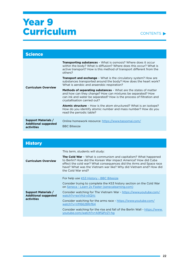#### CONTENTS<sup>></sup>

| <b>Science</b>                                                          |                                                                                                                                                                                                                                                |
|-------------------------------------------------------------------------|------------------------------------------------------------------------------------------------------------------------------------------------------------------------------------------------------------------------------------------------|
| <b>Curriculum Overview</b>                                              | <b>Transporting substances</b> – What is osmosis? Where does it occur<br>within the body? What is diffusion? Where does this occur? What is<br>active transport? How is this method of transport different from the<br>others?                 |
|                                                                         | <b>Transport and exchange</b> - What is the circulatory system? How are<br>substances transported around the body? How does the heart work?<br>What is aerobic and anaerobic respiration?                                                      |
|                                                                         | <b>Methods of separating substances -</b> What are the states of matter<br>and how can they change? How can mixtures be separated? How<br>can ink and water be separated? How is the process of filtration and<br>crystallisation carried out? |
|                                                                         | <b>Atomic structure - How is the atom structured? What is an isotope?</b><br>How do you identify atomic number and mass number? How do you<br>read the periodic table?                                                                         |
| <b>Support Materials /</b><br><b>Additional suggested</b><br>activities | Online homework resource: https://www.tassomai.com/<br><b>BBC Bitesize</b>                                                                                                                                                                     |

| <b>History</b>                                                          |                                                                                                                                                                                                                                                                                                                                                                                                                                                                        |
|-------------------------------------------------------------------------|------------------------------------------------------------------------------------------------------------------------------------------------------------------------------------------------------------------------------------------------------------------------------------------------------------------------------------------------------------------------------------------------------------------------------------------------------------------------|
| <b>Curriculum Overview</b>                                              | This term, students will study:<br><b>The Cold War</b> - What is communism and capitalism? What happened<br>to Berlin? How did the Korean War impact America? How did Cuba<br>effect the cold war? What consequences did the Arms and Space race<br>have? What was the Vietnam war like? Why did Vietnam end? How did<br>the Cold War end?                                                                                                                             |
| <b>Support Materials /</b><br><b>Additional suggested</b><br>activities | For help use KS3 History - BBC Bitesize<br>Consider trying to complete the KS3 history section on the Cold War<br>on Seneca - Learn 2x Faster (senecalearning.com)<br>Consider watching for The Vietnam War - https://www.youtube.com/<br>watch?v=exVKd-x5QVc<br>Consider watching for the arms race - https://www.youtube.com/<br>watch?v=VM6628Rrf64<br>Consider watching for the rise and fall of the Berlin Wall - https://www.<br>youtube.com/watch?v=A9fQPzZ1-hg |

ä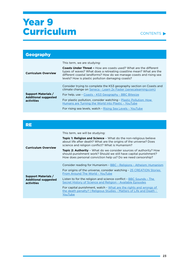

| <b>Geography</b>                                                        |                                                                                                                                                                                                                                                                                                                             |
|-------------------------------------------------------------------------|-----------------------------------------------------------------------------------------------------------------------------------------------------------------------------------------------------------------------------------------------------------------------------------------------------------------------------|
|                                                                         | This term, we are studying:                                                                                                                                                                                                                                                                                                 |
| <b>Curriculum Overview</b>                                              | <b>Coasts Under Threat - How are coasts used? What are the different</b><br>types of waves? What does a retreating coastline mean? What are the<br>different coastal landforms? How do we manage coasts and rising sea<br>levels? How is plastic pollution damaging coasts?                                                 |
| <b>Support Materials /</b><br><b>Additional suggested</b><br>activities | Consider trying to complete the KS3 geography section on Coasts and<br>climate change on Seneca - Learn 2x Faster (senecalearning.com)<br>For help, use - Coasts - KS3 Geography - BBC Bitesize<br>For plastic pollution, consider watching - Plastic Pollution: How<br>Humans are Turning the World into Plastic - YouTube |
|                                                                         | For rising sea levels, watch - Rising Sea Levels - YouTube                                                                                                                                                                                                                                                                  |

|                                                                         | This term, we will be studying:                                                                                                                                                                               |
|-------------------------------------------------------------------------|---------------------------------------------------------------------------------------------------------------------------------------------------------------------------------------------------------------|
| <b>Curriculum Overview</b>                                              | <b>Topic 1: Religion and Science -</b> What do the non-religious believe<br>about life after death? What are the origins of the universe? Does<br>science and religion conflict? What is Humanism?            |
|                                                                         | <b>Topic 2: Authority</b> - What do we consider sources of authority? How<br>should punishment work? Should we still have capital punishment?<br>How does personal conviction help us? Do we need censorship? |
|                                                                         | Consider reading for Humanism - BBC - Religions - Atheism: Humanism                                                                                                                                           |
| <b>Support Materials /</b><br><b>Additional suggested</b><br>activities | For origins of the universe, consider watching - 25 CREATION Stories<br>From Around The World - YouTube                                                                                                       |
|                                                                         | Listen to for the religion and science conflict - BBC Sounds - The<br>Secret History of Science and Religion - Available Episodes                                                                             |
|                                                                         | For capital punishment, watch - What are the rights and wrongs of<br>the death penalty?   Religious Studies - Matters of Life and Death -<br>YouTube                                                          |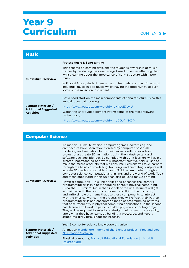#### CONTENTS **D**

| <b>Music</b>                                                                   |                                                                                                                                                                                                                         |
|--------------------------------------------------------------------------------|-------------------------------------------------------------------------------------------------------------------------------------------------------------------------------------------------------------------------|
|                                                                                | <b>Protest Music &amp; Song writing</b>                                                                                                                                                                                 |
| <b>Curriculum Overview</b>                                                     | This scheme of learning develops the student's ownership of music<br>further by producing their own songs based on issues affecting them<br>whilst learning about the importance of song structure within pop<br>music. |
|                                                                                | In Protest Music, students learn the context behind some of the most<br>influential music in pop music whilst having the opportunity to play<br>some of the music on instruments.                                       |
| <b>Support Materials /</b><br><b>Additional Suggested</b><br><b>Activities</b> | Get a head start on the main components of song structure using this<br>annoying yet catchy song:                                                                                                                       |
|                                                                                | https://www.youtube.com/watch?v=oXifpcE7ewU                                                                                                                                                                             |
|                                                                                | Watch this short video demonstrating some of the most relevant<br>protest songs:                                                                                                                                        |
|                                                                                | https://www.youtube.com/watch?v=nUCGefm30XY                                                                                                                                                                             |

#### Computer Science **Curriculum Overview**  Animation - Films, television, computer games, advertising, and architecture have been revolutionised by computer-based 3D modelling and animation. In this unit learners will discover how professionals create 3D animations using the industry-standard software package, Blender. By completing this unit learners will gain a greater understanding of how this important creative field is used to make the media products that we consume. Sessions will take learners through the basics of modelling, texturing, and animating; outputs will include 3D models, short videos, and VR. Links are made throughout to computer science, computational thinking, and the world of work. Tools and techniques learnt in this unit can also be used for 3D printing. Physical computing - This unit applies and enhances the learners' programming skills in a new engaging context: physical computing, using the BBC micro: bit. In the first half of the unit, learners will get acquainted with the host of components built into the micro bit, and write simple programs that use these components to interact with the physical world. In the process, they will refresh their Python programming skills and encounter a range of programming patterns that arise frequently in physical computing applications. In the second half, learners will work in pairs to build a physical computing project. They will be required to select and design their project purposefully, apply what they have learnt by building a prototype, and keep a structured diary throughout the process. **Support Materials / Additional suggested activities**  Year 9 computer science knowledge organiser Animation [blender.org - Home of the Blender project - Free and Open](https://www.blender.org/)  [3D Creation Software](https://www.blender.org/) Physical computing [Micro:bit Educational Foundation | micro:bit](https://www.microbit.org/)  [\(microbit.org\)](https://www.microbit.org/)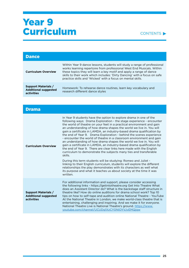#### CONTENTS<sup>></sup>

| <b>Dance</b>                                                                   |                                                                                                                                                                                                                                                                                                                                                                      |
|--------------------------------------------------------------------------------|----------------------------------------------------------------------------------------------------------------------------------------------------------------------------------------------------------------------------------------------------------------------------------------------------------------------------------------------------------------------|
| <b>Curriculum Overview</b>                                                     | Within Year 9 dance lessons, students will study a range of professional<br>works learning repertoire from professional West End Musicals. Within<br>these topics they will learn a key motif and apply a range of dance<br>skills to their work which includes: 'Dirty Dancing' with a focus on safe<br>practice skills and 'Wicked' with a focus on mental skills. |
| <b>Support Materials /</b><br><b>Additional suggested</b><br><b>activities</b> | Homework: To rehearse dance routines, learn key vocabulary and<br>research different dance styles                                                                                                                                                                                                                                                                    |

| <b>Drama</b>                                                            |                                                                                                                                                                                                                                                                                                                                                                                                                                                                                                                                                                                                                                                                                                                                                                                                                                                                                                                                                                                                                                                                                                                                   |
|-------------------------------------------------------------------------|-----------------------------------------------------------------------------------------------------------------------------------------------------------------------------------------------------------------------------------------------------------------------------------------------------------------------------------------------------------------------------------------------------------------------------------------------------------------------------------------------------------------------------------------------------------------------------------------------------------------------------------------------------------------------------------------------------------------------------------------------------------------------------------------------------------------------------------------------------------------------------------------------------------------------------------------------------------------------------------------------------------------------------------------------------------------------------------------------------------------------------------|
| <b>Curriculum Overview</b>                                              | In Year 9 students have the option to explore drama in one of the<br>following ways: Drama Exploration - the stage experience - encounter<br>the world of theatre on your feet in a practical environment and gain<br>an understanding of how drama shapes the world we live in. You will<br>gain a certificate in LAMDA, an industry-based drama qualification by<br>the end of Year 9. Drama Exploration - behind the scenes experience<br>- encounter the world of theatre in a classroom environment and gain<br>an understanding of how drama shapes the world we live in. You will<br>gain a certificate in LAMDA, an industry-based drama qualification by<br>the end of Year 9. There are clear links here made with the English<br>curriculum to demonstrate the subjects many ties and transferable<br>skills.<br>During this term students will be studying: Romeo and Juliet -<br>linking to their English curriculum, students will explore the different<br>relationships the play demonstrates with its characters as well what<br>its purpose and what it teaches us about society at the time it was<br>written. |
|                                                                         |                                                                                                                                                                                                                                                                                                                                                                                                                                                                                                                                                                                                                                                                                                                                                                                                                                                                                                                                                                                                                                                                                                                                   |
| <b>Support Materials /</b><br><b>Additional suggested</b><br>activities | For additional information and support, please consider accessing<br>the following links - https://getintotheatre.org Get Into Theatre What<br>does an Assistant Director do? What is the backstage staff structure in<br>theatre like? How do online auditions for drama school work? Top 10<br>tips on how to self-tape and audition online National Theatre - YouTube<br>At the National Theatre in London, we make world-class theatre that is<br>entertaining, challenging and inspiring. And we make it for everyone.<br>National Theatre Live is National Theatre's ground. https://www.<br>youtube.com/channel/UCUDq1XzCY0NIOYVJvEMQjqw                                                                                                                                                                                                                                                                                                                                                                                                                                                                                   |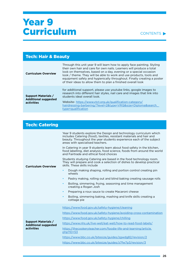| <b>Tech: Hair &amp; Beauty</b>                                          |                                                                                                                                                                                                                                                                                                                                                                                                                                        |
|-------------------------------------------------------------------------|----------------------------------------------------------------------------------------------------------------------------------------------------------------------------------------------------------------------------------------------------------------------------------------------------------------------------------------------------------------------------------------------------------------------------------------|
| <b>Curriculum Overview</b>                                              | Through this unit year 9 will learn how to apply face painting. Styling<br>their own hair and care for own nails. Learners will produce a total<br>look on themselves, based on a day, evening or a special occasion<br>look / theme. They will be able to work and use products, tools and<br>equipment safely and hygienically throughout. Finally creating a poster<br>of their ideas to allow them to plan a finished overall look |
| <b>Support Materials /</b><br><b>Additional suggested</b><br>activities | for additional support, please use youtube links, google images to<br>research into different hair styles, nail care and images that link into<br>students ideal overall look.<br>Website-https://www.vtct.org.uk/qualification-category/<br>hairdressing-barbering/?level=2&type=VRQ&size=Diploma&search<br>type=qualification                                                                                                        |

| <b>Tech: Catering</b>                                                          |                                                                                                                                                                                                                                                                                                                                                                                                                                                                                                                                                                                                                                                                                                                                                                                                                                                                                                                                                                                                                                                                      |
|--------------------------------------------------------------------------------|----------------------------------------------------------------------------------------------------------------------------------------------------------------------------------------------------------------------------------------------------------------------------------------------------------------------------------------------------------------------------------------------------------------------------------------------------------------------------------------------------------------------------------------------------------------------------------------------------------------------------------------------------------------------------------------------------------------------------------------------------------------------------------------------------------------------------------------------------------------------------------------------------------------------------------------------------------------------------------------------------------------------------------------------------------------------|
| <b>Curriculum Overview</b>                                                     | Year 9 students explore the Design and technology curriculum which<br>includes Catering (food), textiles, resistant materials and hair and<br>beauty. Throughout the year students experience each of the subject<br>areas with specialised teachers.<br>In Catering in year 9 students learn about food safety in the kitchen,<br>food labelling, diet analysis, food science, foods from around the world<br>and Fairtrade and ethical food choices<br>Students studying Catering are based in the food technology room.<br>They will prepare and cook a selection of dishes to develop practical<br>skills. These skills include<br>Dough making shaping, rolling and portion control creating pin<br>wheels<br>Pastry making, rolling out and blind baking creating sausage rolls<br>$\bullet$<br>Boiling, simmering, frying, seasoning and time management<br>$\bullet$<br>creating a Rogan Josh<br>Preparing a roux sauce to create Macaroni cheese<br>$\bullet$<br>Boiling, simmering baking, mashing and knife skills creating a<br>$\bullet$<br>cottage pie |
| <b>Support Materials /</b><br><b>Additional suggested</b><br><b>activities</b> | https://www.food.gov.uk/safety-hygiene/cleaning<br>https://www.food.gov.uk/safety-hygiene/avoiding-cross-contamination<br>https://www.food.gov.uk/safety-hygiene/chilling<br>https://www.nhs.uk/live-well/eat-well/how-to-read-food-labels/<br>https://thecookeryteacher.com/foodie-life-and-learning/article.<br>$php$ ?ID=53<br>https://www.bbc.co.uk/bitesize/guides/zgwdg82/revision/2<br>https://www.bbc.co.uk/bitesize/guides/z7fw7p3/revision/3                                                                                                                                                                                                                                                                                                                                                                                                                                                                                                                                                                                                               |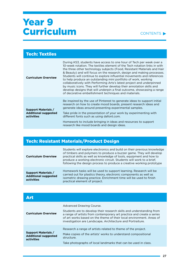| <b>Tech: Textiles</b>                                                   |                                                                                                                                                                                                                                                                                                                                                                                                                                                                                                                                                                                                                                                                                                                                         |
|-------------------------------------------------------------------------|-----------------------------------------------------------------------------------------------------------------------------------------------------------------------------------------------------------------------------------------------------------------------------------------------------------------------------------------------------------------------------------------------------------------------------------------------------------------------------------------------------------------------------------------------------------------------------------------------------------------------------------------------------------------------------------------------------------------------------------------|
| <b>Curriculum Overview</b>                                              | During KS3, students have access to one hour of Tech per week over a<br>10-week rotation. The textiles element of the Tech rotation links in with<br>the three other technology subjects (Food, Resistant Materials and Hair<br>& Beauty) and will focus on the research, design and making processes.<br>Students will continue to explore influential movements and references<br>to help produce an outstanding mini portfolio of work, working<br>collaboratively with Performing Arts's latest project and underpinned<br>by music icons. They will further develop their annotation skills and<br>develop designs that will underpin a final outcome, showcasing a range<br>of decorative embellishment techniques and materials. |
| <b>Support Materials /</b><br><b>Additional suggested</b><br>activities | Be inspired by the use of Pinterest to generate ideas to support initial<br>research on how to create mood boards, present research ideas and<br>generate ideas around presenting experimental samples.<br>Take pride in the presentation of your work by experimenting with<br>different fonts such as using dafont.com.                                                                                                                                                                                                                                                                                                                                                                                                               |
|                                                                         | Homework to include bringing in ideas and resources to support<br>research like mood boards and design ideas.                                                                                                                                                                                                                                                                                                                                                                                                                                                                                                                                                                                                                           |

### Tech: Resistant Materials/Product Design

| <b>Curriculum Overview</b>                                              | Students will explore electronics and build on their previous knowledge<br>of timbers and polymers to produce a buzzer game. They will develop<br>practical skills as well as knowledge of tools, equipment and how to<br>produce a working electronic circuit. Students will work to a brief,<br>following the design process to produce a creative working prototype |
|-------------------------------------------------------------------------|------------------------------------------------------------------------------------------------------------------------------------------------------------------------------------------------------------------------------------------------------------------------------------------------------------------------------------------------------------------------|
| <b>Support Materials /</b><br><b>Additional suggested</b><br>activities | Homework tasks will be used to support learning. Research will be<br>carried out for plastics theory, electronic components as well as<br>isometric drawing practice. Enrichment time will be used to finish<br>practical element of project.                                                                                                                          |

| Art                                                                     |                                                                                                                                                                                                                                                                                                                 |
|-------------------------------------------------------------------------|-----------------------------------------------------------------------------------------------------------------------------------------------------------------------------------------------------------------------------------------------------------------------------------------------------------------|
| <b>Curriculum Overview</b>                                              | Advanced Drawing Course.<br>Students are to develop their research skills and understanding from<br>a range of artists from contemporary art practice and create a series<br>of art works based on the theme of their local environment. Areas of<br>investigation are Landscape, Architecture and Portraiture. |
| <b>Support Materials /</b><br><b>Additional suggested</b><br>activities | Research a range of artists related to theme of the project.<br>Make copies of the artists' works to understand compositional<br>structure.<br>Take photographs of local landmarks that can be used in class.                                                                                                   |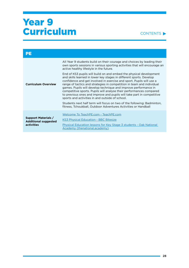| PЕ                                                                      |                                                                                                                                                                                                                                                                                                                                                                                                                                                                                                                                                                  |
|-------------------------------------------------------------------------|------------------------------------------------------------------------------------------------------------------------------------------------------------------------------------------------------------------------------------------------------------------------------------------------------------------------------------------------------------------------------------------------------------------------------------------------------------------------------------------------------------------------------------------------------------------|
| <b>Curriculum Overview</b>                                              | All Year 9 students build on their courage and choices by leading their<br>own sports sessions in various sporting activities that will encourage an<br>active healthy lifestyle in the future.                                                                                                                                                                                                                                                                                                                                                                  |
|                                                                         | End of KS3 pupils will build on and embed the physical development<br>and skills learned in lower key stages in different sports. Develop<br>confidence and get involved in exercise and sport. Pupils will use a<br>range of tactics and strategies in competition in team and individual<br>games. Pupils will develop technique and improve performance in<br>competitive sports. Pupils will analyse their performances compared<br>to previous ones and improve and pupils will take part in competitive<br>sports and activities in and outside of school. |
|                                                                         | Students next half term will focus on two of the following: Badminton,<br>fitness, Tchoukball, Outdoor Adventures Activities or Handball                                                                                                                                                                                                                                                                                                                                                                                                                         |
| <b>Support Materials /</b><br><b>Additional suggested</b><br>activities | Welcome To TeachPE.com - TeachPE.com<br><b>KS3 Physical Education - BBC Bitesize</b><br>Physical Education lessons for Key Stage 3 students - Oak National<br>Academy (thenational.academy)                                                                                                                                                                                                                                                                                                                                                                      |

CONTENTS<sup>></sup>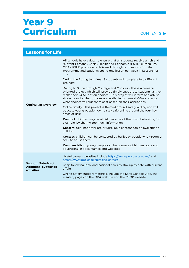#### CONTENTS **D**

#### Lessons for Life **Curriculum Overview** All schools have a duty to ensure that all students receive a rich and relevant Personal, Social, Health and Economic (PSHE) curriculum. OBA's PSHE provision is delivered through our Lessons for Life programme and students spend one lesson per week in Lessons for  $L$ ife. During the Spring term Year 9 students will complete two different projects: Daring to Shine through Courage and Choices – this is a careersoriented project which will provide timely support to students as they make their GCSE option choices. This project will inform and advise students as to what options are available to them at OBA and also what choices will suit them best based on their aspirations. Online Safety – this project is themed around safeguarding and will educate young people how to stay safe online around the four key areas of risk: **Conduct**: children may be at risk because of their own behaviour, for example, by sharing too much information **Content**: age-inappropriate or unreliable content can be available to children **Contact**: children can be contacted by bullies or people who groom or seek to abuse them **Commercialism**: young people can be unaware of hidden costs and advertising in apps, games and websites **Support Materials / Additional suggested activities**  Useful careers websites include <https://www.prospects.ac.uk/> and <https://www.bbc.co.uk/bitesize/careers> Keep following local and national news to stay up to date with current affairs. Online Safety support materials include the Safer Schools App, the e-safety pages on the OBA website and the CEOP website.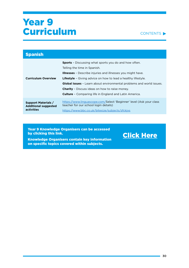

[Click Here](https://drive.google.com/drive/folders/1H7HiCGurDXf-2UL0NQd_0PGChK73vcyI?usp=sharing)

| <b>Spanish</b>                                                          |                                                                                                                                                                                                                                                                                                                                                                                                                                                     |
|-------------------------------------------------------------------------|-----------------------------------------------------------------------------------------------------------------------------------------------------------------------------------------------------------------------------------------------------------------------------------------------------------------------------------------------------------------------------------------------------------------------------------------------------|
| <b>Curriculum Overview</b>                                              | <b>Sports</b> - Discussing what sports you do and how often.<br>Telling the time in Spanish.<br><b>Illnesses</b> - Describe injuries and illnesses you might have.<br><b>Lifestyle</b> - Giving advice on how to lead a healthy lifestyle.<br><b>Global issues</b> - Learn about environmental problems and world issues.<br><b>Charity</b> - Discuss ideas on how to raise money.<br><b>Culture</b> - Comparing life in England and Latin America. |
| <b>Support Materials /</b><br><b>Additional suggested</b><br>activities | https://www.linguascope.com/Select 'Beginner' level (Ask your class<br>teacher for our school login details)<br>https://www.bbc.co.uk/bitesize/subjects/zfckjxs                                                                                                                                                                                                                                                                                     |

Year 9 Knowledge Organisers can be accessed by clicking this link.

Knowledge Organisers contain key information on specific topics covered within subjects.

۰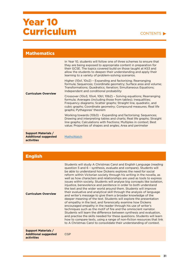#### CONTENTS<sup>></sup>

| <b>Mathematics</b>                                                             |                                                                                                                                                                                                                                                                                                                                        |
|--------------------------------------------------------------------------------|----------------------------------------------------------------------------------------------------------------------------------------------------------------------------------------------------------------------------------------------------------------------------------------------------------------------------------------|
|                                                                                | In Year 10, students will follow one of three schemes to ensure that<br>they are being exposed to appropriate content in preparation for<br>their GCSE. The topics covered build on those taught at KS3 and<br>allow the students to deepen their understanding and apply their<br>learning to a variety of problem-solving scenarios. |
|                                                                                | Higher (10o1, 10o2) - Expanding and factorising; Rearranging<br>formula; Sequences; Coordinate geometry; Surface area and volume;<br>Transformations; Quadratics; Iteration; Simultaneous Equations;<br>Independent and conditional probability                                                                                        |
| <b>Curriculum Overview</b>                                                     | Crossover (1003, 1004, 10b1, 10b2) - Solving equations; Rearranging<br>formula; Averages (including those from tables); Inequalities;<br>Frequency diagrams; Scatter graphs; Straight line, quadratic, and<br>cubic graphs; Coordinate geometry; Compound measures; Real life<br>graphs; Pythagoras' theorem                           |
|                                                                                | Working towards (10b3) - Expanding and factorising; Sequences;<br>Drawing and interpreting tables and charts; Real life graphs; Straight<br>line graphs; Calculations with fractions; Multiples in context; Best<br>value; Properties of shapes and angles; Area and perimeter                                                         |
| <b>Support Materials /</b><br><b>Additional suggested</b><br><b>activities</b> | <b>MathsWatch</b>                                                                                                                                                                                                                                                                                                                      |

| <b>English</b>                                                                 |                                                                                                                                                                                                                                                                                                                                                                                                                                                                                                                                                                                                                                                                                                                                                                                                                                                                                                                                                                                                                                                                                                                                                                                                                                                                                                             |
|--------------------------------------------------------------------------------|-------------------------------------------------------------------------------------------------------------------------------------------------------------------------------------------------------------------------------------------------------------------------------------------------------------------------------------------------------------------------------------------------------------------------------------------------------------------------------------------------------------------------------------------------------------------------------------------------------------------------------------------------------------------------------------------------------------------------------------------------------------------------------------------------------------------------------------------------------------------------------------------------------------------------------------------------------------------------------------------------------------------------------------------------------------------------------------------------------------------------------------------------------------------------------------------------------------------------------------------------------------------------------------------------------------|
| <b>Curriculum Overview</b>                                                     | Students will study A Christmas Carol and English Language (reading<br>question 5 and 6 - synthesis, evaluate and compare). Students will<br>be able to understand how Dickens explores the need for social<br>reform within Victorian society through his writing in the novella, as<br>well as how characters and relationships are used as tools to express<br>issues within society. Students will analyse big concepts like isolation,<br>injustice, benevolence and penitence in order to both understand<br>the text and the wider world around them. Students will improve<br>their evaluative and analytical skill through the analysis of language<br>and writer's message to give them a broader knowledge of the<br>deeper meaning of the text. Students will explore the presentation<br>of empathy in the text, and forensically examine how Dickens<br>encouraged empathy in the reader through his use of writer's<br>techniques such as the motif of fire and the omniscient narrator.<br>Students will learn the difference between synthesis and evaluation,<br>and practise the skills needed for these questions. Students will learn<br>how to compare texts, using a range of non-fiction resources that link<br>to A Christmas Carol to consolidate their understanding of context. |
| <b>Support Materials /</b><br><b>Additional suggested</b><br><b>activities</b> | <b>CGP</b>                                                                                                                                                                                                                                                                                                                                                                                                                                                                                                                                                                                                                                                                                                                                                                                                                                                                                                                                                                                                                                                                                                                                                                                                                                                                                                  |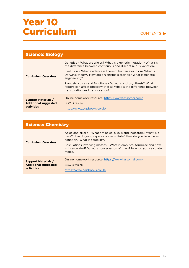#### CONTENTS<sup>></sup>

| <b>Science: Biology</b>                                                 |                                                                                                                                                                                                                                                                                         |
|-------------------------------------------------------------------------|-----------------------------------------------------------------------------------------------------------------------------------------------------------------------------------------------------------------------------------------------------------------------------------------|
| <b>Curriculum Overview</b>                                              | Genetics - What are alleles? What is a genetic mutation? What sis<br>the difference between continuous and discontinuous variation?<br>Evolution - What evidence is there of human evolution? What is<br>Darwin's theory? How are organisms classified? What is genetic<br>engineering? |
|                                                                         | Plant structures and functions - What is photosynthesis? What<br>factors can affect photosynthesis? What is the difference between<br>transpiration and translocation?                                                                                                                  |
| <b>Support Materials /</b><br><b>Additional suggested</b><br>activities | Online homework resource: https://www.tassomai.com/<br><b>BBC Bitesize</b><br>https://www.cgpbooks.co.uk/                                                                                                                                                                               |

| <b>Science: Chemistry</b>                                               |                                                                                                                                                                          |
|-------------------------------------------------------------------------|--------------------------------------------------------------------------------------------------------------------------------------------------------------------------|
| <b>Curriculum Overview</b>                                              | Acids and alkalis - What are acids, alkalis and indicators? What is a<br>base? How do you prepare copper sulfate? How do you balance an<br>equation? What is solubility? |
|                                                                         | Calculations involving masses - What is empirical formulae and how<br>is it calculated? What is conservation of mass? How do you calculate<br>moles?                     |
| <b>Support Materials /</b><br><b>Additional suggested</b><br>activities | Online homework resource: https://www.tassomai.com/<br><b>BBC Bitesize</b><br>https://www.cgpbooks.co.uk/                                                                |

ä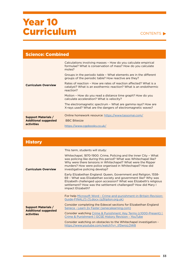#### CONTENTS<sup>></sup>

| <b>Science: Combined</b>                         |                                                                                                                                                    |
|--------------------------------------------------|----------------------------------------------------------------------------------------------------------------------------------------------------|
| <b>Curriculum Overview</b>                       | Calculations involving masses - How do you calculate empirical<br>formulae? What is conservation of mass? How do you calculate<br>moles?           |
|                                                  | Groups in the periodic table - What elements are in the different<br>groups of the periodic table? How reactive are they?                          |
|                                                  | Rates of reaction - How are rates of reaction affected? What is a<br>catalyst? What is an exothermic reaction? What is an endothermic<br>reaction? |
|                                                  | Motion - How do you read a distance time graph? How do you<br>calculate acceleration? What is velocity?                                            |
|                                                  | The electromagnetic spectrum - What are gamma rays? How are<br>X-rays used? What are the dangers of electromagnetic waves?                         |
| <b>Support Materials /</b>                       | Online homework resource: https://www.tassomai.com/                                                                                                |
| <b>Additional suggested</b><br><b>activities</b> | <b>BBC Bitesize</b>                                                                                                                                |
|                                                  | https://www.cgpbooks.co.uk/                                                                                                                        |

| <b>History</b>                                                          |                                                                                                                                                                                                                                                                                                                                                                                                                                                                                                                                                                                                                                              |
|-------------------------------------------------------------------------|----------------------------------------------------------------------------------------------------------------------------------------------------------------------------------------------------------------------------------------------------------------------------------------------------------------------------------------------------------------------------------------------------------------------------------------------------------------------------------------------------------------------------------------------------------------------------------------------------------------------------------------------|
| <b>Curriculum Overview</b>                                              | This term, students will study:<br>Whitechapel, 1870-1900: Crime, Policing and the Inner City - What<br>was policing like during this period? What was Whitechapel like?<br>Why were there tensions in Whitechapel? What were the Ripper<br>murders? How were police organised in Whitechapel? How did<br>investigative policing develop?<br>Early Elizabethan England: Queen, Government and Religion, 1558-<br>69 - What was Elizabethan society and government like? Why was<br>Elizabeth challenged upon accession? What was Elizabeth's religious<br>settlement? How was the settlement challenged? How did Mary I<br>impact Elizabeth? |
| <b>Support Materials /</b><br><b>Additional suggested</b><br>activities | For help Microsoft Word - Crime-and-punishment-in-Britain-Revision-<br>Guide-FINAL(1) (1).docx (q3tipton.org.uk)<br>Consider completing the Edexcel sections for Elizabethan England<br>Seneca - Learn 2x Faster (senecalearning.com)<br>Consider watching Crime & Punishment: Key Terms (c1000-Present)<br>Crime & Punishment   GCSE History Revision - YouTube<br>Consider watching on obstacles to the Whitechapel investigation -<br>https://www.youtube.com/watch?v= tf3wroLOW8                                                                                                                                                         |

ä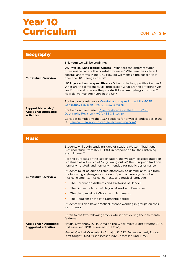#### CONTENTS

| <b>Geography</b>                                                               |                                                                                                                                                                                                                                                                                                                                                                                                                                                                                                                                           |
|--------------------------------------------------------------------------------|-------------------------------------------------------------------------------------------------------------------------------------------------------------------------------------------------------------------------------------------------------------------------------------------------------------------------------------------------------------------------------------------------------------------------------------------------------------------------------------------------------------------------------------------|
| <b>Curriculum Overview</b>                                                     | This term we will be studying:<br><b>UK Physical Landscapes: Coasts - What are the different types</b><br>of waves? What are the coastal processes? What are the different<br>coastal landforms in the UK? How do we manage the coast? How<br>does the UK manage coasts?<br><b>UK Physical Landscapes: Rivers -</b> What is the long profile of a river?<br>What are the different fluvial processes? What are the different river<br>landforms and how are they created? How are hydrographs used?<br>How do we manage rivers in the UK? |
| <b>Support Materials /</b><br><b>Additional suggested</b><br><b>activities</b> | For help on coasts, use - Coastal landscapes in the UK - GCSE<br><b>Geography Revision - AQA - BBC Bitesize</b><br>For help on rivers, use - River landscapes in the UK - GCSE<br>Geography Revision - AQA - BBC Bitesize<br>Consider completing the AQA sections for physcial landscapes in the<br>UK Seneca - Learn 2x Faster (senecalearning.com)                                                                                                                                                                                      |

| <b>Music</b>                                                  |                                                                                                                                                                                                                      |
|---------------------------------------------------------------|----------------------------------------------------------------------------------------------------------------------------------------------------------------------------------------------------------------------|
| <b>Curriculum Overview</b>                                    | Students will begin studying Area of Study 1: Western Traditional<br>Classical Music from 1650 - 1910, in preparation for their listening<br>exam in year 11.                                                        |
|                                                               | For the purposes of this specification, the western classical tradition<br>is defined as art music of (or growing out of) the European tradition,<br>normally notated, and normally intended for public performance. |
|                                                               | Students must be able to listen attentively to unfamiliar music from<br>the following styles/genres to identify and accurately describe<br>musical elements, musical contexts and musical language:                  |
|                                                               | The Coronation Anthems and Oratorios of Handel.<br>$\bullet$                                                                                                                                                         |
|                                                               | The Orchestra Music of Haydn, Mozart and Beethoven.<br>$\bullet$                                                                                                                                                     |
|                                                               | The piano music of Chopin and Schumann.<br>$\bullet$                                                                                                                                                                 |
|                                                               | The Requiem of the late Romantic period.<br>$\bullet$                                                                                                                                                                |
|                                                               | Students will also have practical lessons working in groups on their<br>instruments.                                                                                                                                 |
| <b>Additional / Additional</b><br><b>Suggested activities</b> | Listen to the two following tracks whilst considering their elemental<br>features:                                                                                                                                   |
|                                                               | Haydn: Symphony 101 in D major The Clock movt. 2 (first taught 2016,<br>first assessed 2018, assessed until 2021).                                                                                                   |
|                                                               | Mozart Clarinet Concerto in A major, K. 622, 3rd movement, Rondo<br>(first taught 2020, first assessed 2022, assessed until N/A).                                                                                    |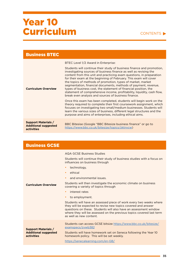#### CONTENTS

| <b>Business BTEC</b>                                                    |                                                                                                                                                                                                                                                                                                                                                                                                                                                                                                                                                                                                                                                                                                                                                                                                                                                                                                                                                                                                                                     |
|-------------------------------------------------------------------------|-------------------------------------------------------------------------------------------------------------------------------------------------------------------------------------------------------------------------------------------------------------------------------------------------------------------------------------------------------------------------------------------------------------------------------------------------------------------------------------------------------------------------------------------------------------------------------------------------------------------------------------------------------------------------------------------------------------------------------------------------------------------------------------------------------------------------------------------------------------------------------------------------------------------------------------------------------------------------------------------------------------------------------------|
| <b>Curriculum Overview</b>                                              | BTEC Level 1/2 Award in Enterprise:<br>Students will continue their study of business finance and promotion,<br>investigating sources of business finance as well as revising the<br>content from this unit and practicing exam questions, in preparation<br>for their exam at the beginning of February. This exam will cover<br>the topics of methods of promotion, types of market, market<br>segmentation, financial documents, methods of payment, revenue,<br>types of business cost, the statement of financial position, the<br>statement of comprehensive income, profitability, liquidity, cash flow,<br>break even analysis and sources of business finance.<br>Once this exam has been completed, students will begin work on the<br>theory required to complete their first coursework assignment, which<br>focuses on investigating two small/medium businesses. Students will<br>learn the various sizes of business, different legal structures and the<br>purpose and aims of enterprises, including ethical aims. |
| <b>Support Materials /</b><br><b>Additional suggested</b><br>activities | BBC Bitesise (Google "BBC Bitesize business finance" or go to<br>https://www.bbc.co.uk/bitesize/topics/zktnycw)                                                                                                                                                                                                                                                                                                                                                                                                                                                                                                                                                                                                                                                                                                                                                                                                                                                                                                                     |

| <b>Business GCSE</b>                                                    |                                                                                                                                                                                                                                                                                                                                                                                                                                                                                                                                                                                                                                                                                                                   |
|-------------------------------------------------------------------------|-------------------------------------------------------------------------------------------------------------------------------------------------------------------------------------------------------------------------------------------------------------------------------------------------------------------------------------------------------------------------------------------------------------------------------------------------------------------------------------------------------------------------------------------------------------------------------------------------------------------------------------------------------------------------------------------------------------------|
| <b>Curriculum Overview</b>                                              | <b>AQA GCSE Business Studies</b><br>Students will continue their study of business studies with a focus on<br>influences on business through<br>technology,<br>٠<br>ethical<br>$\bullet$<br>and environmental issues.<br>$\bullet$<br>Students will then investigate the economic climate on business<br>covering a variety of topics through<br>interest rates<br>$\bullet$<br>to employment.<br>٠<br>Students will have an assessed piece of work every two weeks where<br>they will be expected to revise new topics covered and answer<br>questions on these. Students will also have an assessment window<br>where they will be assessed on the previous topics covered last term<br>as well as new content. |
| <b>Support Materials /</b><br><b>Additional suggested</b><br>activities | Students can access GCSE bitsize https://www.bbc.co.uk/bitesize/<br>examspecs/zvwb382<br>Students will have homework set on Seneca following the Year 10<br>homework policy. This will be set weekly.<br>https://senecalearning.com/en-GB/                                                                                                                                                                                                                                                                                                                                                                                                                                                                        |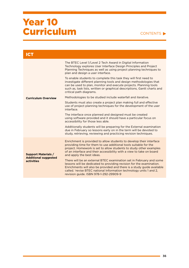| ICT                                                                            |                                                                                                                                                                                                                                                                                                                                        |
|--------------------------------------------------------------------------------|----------------------------------------------------------------------------------------------------------------------------------------------------------------------------------------------------------------------------------------------------------------------------------------------------------------------------------------|
| <b>Curriculum Overview</b>                                                     | The BTEC Level 1/Level 2 Tech Award in Digital Information<br>Technology explores User Interface Design Principles and Project<br>Planning Techniques as well as using project planning techniques to<br>plan and design a user interface.                                                                                             |
|                                                                                | To enable students to complete this task they will first need to<br>investigate different planning tools and design methodologies that<br>can be used to plan, monitor and execute projects. Planning tools<br>such as, task lists, written or graphical descriptions, Gantt charts and<br>critical path diagrams.                     |
|                                                                                | Methodologies to be studied include waterfall and iterative.                                                                                                                                                                                                                                                                           |
|                                                                                | Students must also create a project plan making full and effective<br>use of project planning techniques for the development of the user<br>interface.                                                                                                                                                                                 |
|                                                                                | The interface once planned and designed must be created<br>using software provided and it should have a particular focus on<br>accessibility for those less able.                                                                                                                                                                      |
|                                                                                | Additionally students will be preparing for the External examination<br>due in February so lessons early on in the term will be devoted to<br>study, retrieving, reviewing and practicing revision techniques.                                                                                                                         |
| <b>Support Materials /</b><br><b>Additional suggested</b><br><b>activities</b> | Enrichment is provided to allow students to develop their interface<br>providing time for them to use additional tools suitable for the<br>project. Homework is set to allow students to study other examples<br>of an interface and their accessibility with a view to take on board<br>and apply the best ideas.                     |
|                                                                                | There will be an external BTEC examination set in February and some<br>lessons will be dedicated to providing revision for the examination.<br>Enrichments will also be provided and there is a study guide available<br>called. 'revise BTEC national Information technology units 1 and 2,<br>revision guide. ISBN 978-1-292-29909-9 |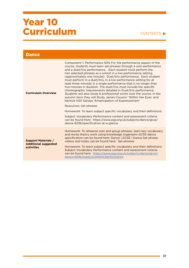| <b>Dance</b>                                                            |                                                                                                                                                                                                                                                                                                                                                                                                                                                                                                                                                                                                                                                                                                                                                                                                                                                                                                                                                                                                                                                                                                             |
|-------------------------------------------------------------------------|-------------------------------------------------------------------------------------------------------------------------------------------------------------------------------------------------------------------------------------------------------------------------------------------------------------------------------------------------------------------------------------------------------------------------------------------------------------------------------------------------------------------------------------------------------------------------------------------------------------------------------------------------------------------------------------------------------------------------------------------------------------------------------------------------------------------------------------------------------------------------------------------------------------------------------------------------------------------------------------------------------------------------------------------------------------------------------------------------------------|
| <b>Curriculum Overview</b>                                              | Component 1: Performance 30% For the performance aspect of the<br>course, students must learn set phrases through a solo performance<br>and a duet/trio performance. Each student must perform the<br>two selected phrases as a soloist in a live performance setting<br>(approximately one minute). Duet/trio performance. Each student<br>must perform in a duet/trio, in a live performance setting for at<br>least three minutes in a single performance that is no longer than<br>five minutes in duration. The duet/trio must include the specific<br>choreographic requirements detailed in Duet/trio performance.<br>Students will also study 6 professional works over the course. In the<br>autumn term they will Study James Cousins' 'Within Her Eyes' and<br>Kenrick H2O Sandys 'Emancipation of Expressionism'<br>Resources: Set phrases<br>Homework: To learn subject specific vocabulary and their definitions:<br>Subject Vocabulary Performance content and assessment criteria<br>can be found here: https://www.aqa.org.uk/subjects/dance/gcse/<br>dance-8236/specification-at-a-glance |
| <b>Support Materials /</b><br><b>Additional suggested</b><br>activities | Homework: To rehearse solo and group phrases, learn key vocabulary<br>and revise theory work using knowledge organisers GCSE dance<br>specification can be found here: Dance   GCSE   Dance Set phrase<br>videos and notes can be found here: Set phrases<br>Homework: To learn subject specific vocabulary and their definitions:<br>Subject Vocabulary Performance content and assessment criteria<br>can be found here: https://www.aga.org.uk/subjects/dance/gcse/<br>dance-8236/subjectcontent/performance                                                                                                                                                                                                                                                                                                                                                                                                                                                                                                                                                                                             |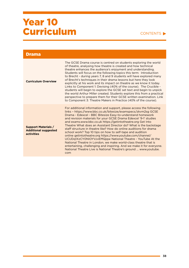#### CONTENTS

| <b>Drama</b>                                                                   |                                                                                                                                                                                                                                                                                                                                                                                                                                                                                                                                                                                                                                                                                                                                                                                                                                                                                                  |
|--------------------------------------------------------------------------------|--------------------------------------------------------------------------------------------------------------------------------------------------------------------------------------------------------------------------------------------------------------------------------------------------------------------------------------------------------------------------------------------------------------------------------------------------------------------------------------------------------------------------------------------------------------------------------------------------------------------------------------------------------------------------------------------------------------------------------------------------------------------------------------------------------------------------------------------------------------------------------------------------|
| <b>Curriculum Overview</b>                                                     | The GCSE Drama course is centred on students exploring the world<br>of theatre, analysing how theatre is created and how technical<br>theatre enhances the audience's enjoyment and understanding.<br>Students will focus on the following topics this term: Introduction<br>to Brecht - during years 7, 8 and 9 students will have explored many<br>of Brecht's techniques in their drama lessons but here they look<br>explicitly at his work and its impact on theatre as we know it today.<br>Links to Component 1: Devising (40% of the course). The Crucible -<br>students will begin to explore the GCSE set text and begin to unpick<br>the world Arthur Miller created. Students explore this from a practical<br>perspective to prepare them for their GCSE written examination. Link<br>to Component 3: Theatre Makers in Practice (40% of the course).                               |
| <b>Support Materials /</b><br><b>Additional suggested</b><br><b>activities</b> | For additional information and support, please access the following<br>links - https://www.bbc.co.uk/bitesize/examspecs/zkvm2sg GCSE<br>Drama - Edexcel - BBC Bitesize Easy-to-understand homework<br>and revision materials for your GCSE Drama Edexcel '9-1' studies<br>and exams.www.bbc.co.uk https://getintotheatre.org Get Into<br>Theatre What does an Assistant Director do? What is the backstage<br>staff structure in theatre like? How do online auditions for drama<br>school work? Top 10 tips on how to self-tape and audition<br>online getintotheatre.org https://www.youtube.com/channel/<br>UCUDq1XzCY0NIOYVJvEMQjqw National Theatre - YouTube At the<br>National Theatre in London, we make world-class theatre that is<br>entertaining, challenging and inspiring. And we make it for everyone.<br>National Theatre Live is National Theatre's ground  www.youtube.<br>com |

÷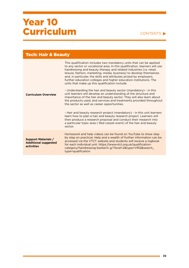#### CONTENTS  $\blacktriangleright$

#### Tech: Hair & Beauty **Curriculum Overview**  This qualification includes two mandatory units that can be applied to any sector or vocational area. In this qualification, learners will use hairdressing and beauty therapy and related industries (i.e. retail, leisure, fashion, marketing, media, business) to develop themselves and, in particular, the skills and attributes prized by employers, further education colleges and higher education institutions. The units that make up this qualification include: - Understanding the hair and beauty sector (mandatory) - in this unit learners will develop an understanding of the structure and importance of the hair and beauty sector. They will also learn about the products used, and services and treatments provided throughout the sector as well as career opportunities. - Hair and beauty research project (mandatory) - in this unit learners learn how to plan a hair and beauty research project. Learners will then produce a research proposal and conduct their research into a particular topic area ( Red carpet event) of the hair and beauty sector. **Support Materials / Additional suggested activities**  Homework and help videos can be found on YouTube to show step by step on practical. Help and a wealth of further information can be accessed via the VTCT website and students will receive a logbook for each individual unit. https://www.vtct.org.uk/qualificationcategory/hairdressing-barberin g/?level=2&type=VRQ&search\_ type=qualification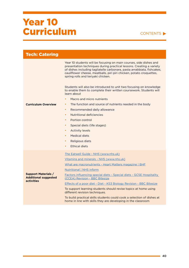#### CONTENTS

| <b>Tech: Catering</b>                                                          |                                                                                                                                                                                                                                                                                                                                                                                                                                                                                                                                                                                                                                                                                                                                                                                                                                                               |
|--------------------------------------------------------------------------------|---------------------------------------------------------------------------------------------------------------------------------------------------------------------------------------------------------------------------------------------------------------------------------------------------------------------------------------------------------------------------------------------------------------------------------------------------------------------------------------------------------------------------------------------------------------------------------------------------------------------------------------------------------------------------------------------------------------------------------------------------------------------------------------------------------------------------------------------------------------|
| <b>Curriculum Overview</b>                                                     | Year 10 students will be focusing on main courses, side dishes and<br>presentation techniques during practical lessons. Creating a variety<br>of dishes including tagliatelle carbonara, pasta arrabbiata, fishcakes,<br>cauliflower cheese, meatballs, piri piri chicken, potato croquettes,<br>spring rolls and teriyaki chicken.<br>Students will also be introduced to unit two focusing on knowledge<br>to enable them to complete their written coursework. Students will<br>learn about<br>Macro and micro nutrients<br>$\bullet$<br>The function and source of nutrients needed in the body<br>$\bullet$<br>Recommended daily allowance<br>$\bullet$<br><b>Nutritional deficiencies</b><br>$\bullet$<br>Portion control<br>$\bullet$<br>Special diets (life stages)<br>$\bullet$<br><b>Activity levels</b><br>$\bullet$<br>Medical diets<br>$\bullet$ |
|                                                                                | Religious diets<br>$\bullet$<br><b>Ethical diets</b><br>$\bullet$                                                                                                                                                                                                                                                                                                                                                                                                                                                                                                                                                                                                                                                                                                                                                                                             |
|                                                                                |                                                                                                                                                                                                                                                                                                                                                                                                                                                                                                                                                                                                                                                                                                                                                                                                                                                               |
| <b>Support Materials /</b><br><b>Additional suggested</b><br><b>activities</b> | The Eatwell Guide - NHS (www.nhs.uk)<br>Vitamins and minerals - NHS (www.nhs.uk)<br>What are macronutrients - Heart Matters magazine   BHF<br><b>Nutritional   NHS inform</b><br>Factors influencing special diets - Special diets - GCSE Hospitality<br>(CCEA) Revision - BBC Bitesize<br>Effects of a poor diet - Diet - KS3 Biology Revision - BBC Bitesize                                                                                                                                                                                                                                                                                                                                                                                                                                                                                                |
|                                                                                | To support learning students should revise topics at home using<br>different revision techniques.<br>To build practical skills students could cook a selection of dishes at<br>home in line with skills they are developing in the classroom                                                                                                                                                                                                                                                                                                                                                                                                                                                                                                                                                                                                                  |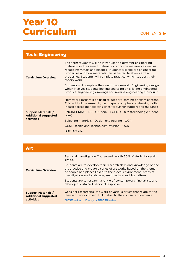#### CONTENTS

| <b>Tech: Engineering</b>                                                       |                                                                                                                                                                                                                                                                                                                                                           |
|--------------------------------------------------------------------------------|-----------------------------------------------------------------------------------------------------------------------------------------------------------------------------------------------------------------------------------------------------------------------------------------------------------------------------------------------------------|
| <b>Curriculum Overview</b>                                                     | This term students will be introduced to different engineering<br>materials such as smart materials, composite materials as well as<br>recapping metals and plastics. Students will explore engineering<br>properties and how materials can be tested to show certain<br>properties. Students will complete practical which support their<br>theory work. |
|                                                                                | Students will complete their unit 1 coursework: Engineering design<br>which involves students looking analysing an existing engineered<br>product, engineering drawings and reverse engineering a product.                                                                                                                                                |
| <b>Support Materials /</b><br><b>Additional suggested</b><br><b>activities</b> | Homework tasks will be used to support learning of exam content.<br>This will include research, past paper examples and drawing skills.<br>Please access the following links for further support and guidance                                                                                                                                             |
|                                                                                | ENGINEERING - DESIGN AND TECHNOLOGY (technologystudent.<br>com)                                                                                                                                                                                                                                                                                           |
|                                                                                | Selecting materials - Design engineering - OCR -                                                                                                                                                                                                                                                                                                          |
|                                                                                | <b>GCSE Design and Technology Revision - OCR -</b>                                                                                                                                                                                                                                                                                                        |
|                                                                                | <b>BBC Bitesize</b>                                                                                                                                                                                                                                                                                                                                       |

| АИ                                                                      |                                                                                                                                                                                                                                                                           |
|-------------------------------------------------------------------------|---------------------------------------------------------------------------------------------------------------------------------------------------------------------------------------------------------------------------------------------------------------------------|
| <b>Curriculum Overview</b>                                              | Personal Investigation Coursework worth 60% of student overall<br>grade.                                                                                                                                                                                                  |
|                                                                         | Students are to develop their research skills and knowledge of fine<br>art practice and create a series of art works based on the theme<br>of people and places linked to their local environment. Areas of<br>investigation are Landscape, Architecture and Portraiture. |
|                                                                         | Students are to research a range of contemporary fine artists and<br>develop a sustained personal response.                                                                                                                                                               |
| <b>Support Materials /</b><br><b>Additional suggested</b><br>activities | Consider researching the work of various artists that relate to the<br>theme of work chosen. Link below to the course requirements:<br><b>GCSE Art and Design - BBC Bitesize</b>                                                                                          |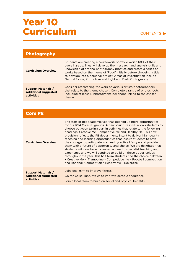| <b>Photography</b>                                                      |                                                                                                                                                                                                                                                                                                                                                                                                                            |
|-------------------------------------------------------------------------|----------------------------------------------------------------------------------------------------------------------------------------------------------------------------------------------------------------------------------------------------------------------------------------------------------------------------------------------------------------------------------------------------------------------------|
| <b>Curriculum Overview</b>                                              | Students are creating a coursework portfolio worth 60% of their<br>overall grade. They will develop their research and analysis skills and<br>knowledge of art and photography practice and create a series of<br>works based on the theme of 'Food' initially before choosing a title<br>to develop into a personal project. Areas of investigation include<br>Natural forms, Portraiture and Light and Dark Photography. |
| <b>Support Materials /</b><br><b>Additional suggested</b><br>activities | Consider researching the work of various artists/photographers<br>that relate to the theme chosen. Complete a range of photoshoots<br>including at least 15 photographs per shoot linking to the chosen<br>theme.                                                                                                                                                                                                          |

| <b>Core PE</b>                                                          |                                                                                                                                                                                                                                                                                                                                                                                                                                                                                                                                                                                                                                                                                                                                                                                                                                                                                                                             |
|-------------------------------------------------------------------------|-----------------------------------------------------------------------------------------------------------------------------------------------------------------------------------------------------------------------------------------------------------------------------------------------------------------------------------------------------------------------------------------------------------------------------------------------------------------------------------------------------------------------------------------------------------------------------------------------------------------------------------------------------------------------------------------------------------------------------------------------------------------------------------------------------------------------------------------------------------------------------------------------------------------------------|
| <b>Curriculum Overview</b>                                              | The start of this academic year has opened up more opportunities<br>for our KS4 Core PE groups. A new structure in PE allows students to<br>choose between taking part in activities that relate to the following<br>headings. Creative Me, Competitive Me and Healthy Me. This new<br>provision reflects the PE departments intent to deliver high quality<br>teaching and learning opportunities that inspire students to have<br>the courage to participate in a healthy active lifestyle and provide<br>them with a future of opportunity and choice. We are delighted that<br>students will now have increased access to specialist teaching and<br>experience and we will continue to build on these opportunities<br>throughout the year. This half term students had the choice between:<br>• Creative Me - Trampoline • Competitive Me - Football competition<br>and Handball Competition • Healthy Me - Boxercise |
| <b>Support Materials /</b><br><b>Additional suggested</b><br>activities | Join local gym to improve fitness<br>Go for walks, runs, cycles to improve aerobic endurance<br>Join a local team to build on social and physical benefits.                                                                                                                                                                                                                                                                                                                                                                                                                                                                                                                                                                                                                                                                                                                                                                 |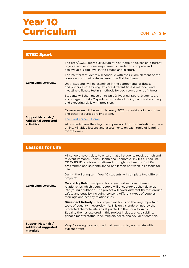#### CONTENTS

| <b>BTEC Sport</b>                                                       |                                                                                                                                                                                                          |
|-------------------------------------------------------------------------|----------------------------------------------------------------------------------------------------------------------------------------------------------------------------------------------------------|
|                                                                         | The btec/GCSE sport curriculum at Key Stage 4 focuses on different<br>physical and emotional requirements needed to compete and<br>achieve at a good level in the course and in sport.                   |
|                                                                         | This half term students will continue with their exam element of the<br>course and sit their external exam the first half term.                                                                          |
| <b>Curriculum Overview</b>                                              | Unit 1 students will be examined in the components of fitness<br>and principles of training, explore different fitness methods and<br>investigate fitness testing methods for each component of fitness. |
|                                                                         | Students will then move on to Unit 2: Practical Sport. Students are<br>encouraged to take 2 sports in more detail, fining technical accuracy<br>and executing skills with precision.                     |
| <b>Support Materials /</b><br><b>Additional suggested</b><br>activities | External exam will be sat in Janurary 2022 so revision of class notes<br>and other resources are important.                                                                                              |
|                                                                         | The EverLearner: Home                                                                                                                                                                                    |
|                                                                         | All students have their log in and password for this fantastic resource<br>online. All video lessons and assessments on each topic of learning<br>for the exam.                                          |

| <b>Lessons for Life</b>                                                |                                                                                                                                                                                                                                                                                                                                                                      |
|------------------------------------------------------------------------|----------------------------------------------------------------------------------------------------------------------------------------------------------------------------------------------------------------------------------------------------------------------------------------------------------------------------------------------------------------------|
|                                                                        | All schools have a duty to ensure that all students receive a rich and<br>relevant Personal, Social, Health and Economic (PSHE) curriculum.<br>OBA's PSHE provision is delivered through our Lessons for Life<br>programme and students spend one lesson per week in Lessons for<br>l ife.                                                                           |
|                                                                        | During the Spring term Year 10 students will complete two different<br>projects:                                                                                                                                                                                                                                                                                     |
| <b>Curriculum Overview</b>                                             | <b>Me and My Relationships</b> - this project will explore different<br>relationships which young people will encounter as they develop<br>into young adulthood. The project will cover different themes around<br>safety and equality including consent, different types of couples,<br>marriage and healthy relationships.                                         |
|                                                                        | <b>Disrespect Nobody</b> - this project will focus on the very important<br>topic of equality in everyday life. This unit is underpinned by the<br>protected characteristics as stipulated in the Equality Act 2010.<br>Equality themes explored in this project include: age, disability,<br>gender, marital status, race, religion/belief, and sexual orientation. |
| <b>Support Materials /</b><br><b>Additional suggested</b><br>materials | Keep following local and national news to stay up to date with<br>current affairs.                                                                                                                                                                                                                                                                                   |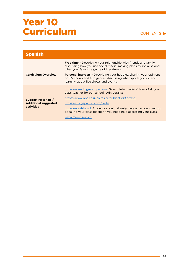| <b>Spanish</b>                                                          |                                                                                                                                                                                               |
|-------------------------------------------------------------------------|-----------------------------------------------------------------------------------------------------------------------------------------------------------------------------------------------|
|                                                                         | <b>Free time</b> - Describing your relationship with friends and family,<br>discussing how you use social media, making plans to socialise and<br>what your favourite genre of literature is. |
| <b>Curriculum Overview</b>                                              | <b>Personal interests</b> - Describing your hobbies, sharing your opinions<br>on TV shows and film genres, discussing what sports you do and<br>learning about live shows and events.         |
|                                                                         | https://www.linguascope.com/ Select 'Intermediate' level (Ask your<br>class teacher for our school login details)                                                                             |
| <b>Support Materials /</b><br><b>Additional suggested</b><br>activities | https://www.bbc.co.uk/bitesize/subjects/z4dgxnb                                                                                                                                               |
|                                                                         | https://studyspanish.com/verbs                                                                                                                                                                |
|                                                                         | https://erevision.uk Students should already have an account set up.<br>Speak to your class teacher if you need help accessing your class.                                                    |
|                                                                         | www.memrise.com                                                                                                                                                                               |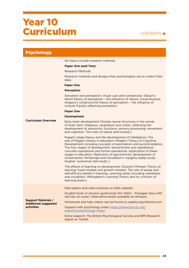#### CONTENTS

| <b>Psychology</b>                                         |                                                                                                                                                                                                                                                                                                                                                                                                                                                                                                                            |
|-----------------------------------------------------------|----------------------------------------------------------------------------------------------------------------------------------------------------------------------------------------------------------------------------------------------------------------------------------------------------------------------------------------------------------------------------------------------------------------------------------------------------------------------------------------------------------------------------|
|                                                           | All topics include research methods                                                                                                                                                                                                                                                                                                                                                                                                                                                                                        |
|                                                           | <b>Paper One (and Two):</b>                                                                                                                                                                                                                                                                                                                                                                                                                                                                                                |
|                                                           | <b>Research Methods</b>                                                                                                                                                                                                                                                                                                                                                                                                                                                                                                    |
|                                                           | Research methods and designs that psychologists use to collect their<br>data.                                                                                                                                                                                                                                                                                                                                                                                                                                              |
|                                                           | <b>Paper One</b>                                                                                                                                                                                                                                                                                                                                                                                                                                                                                                           |
|                                                           | <b>Perception</b>                                                                                                                                                                                                                                                                                                                                                                                                                                                                                                          |
|                                                           | Sensation and perception; Visual cues and constancies; Gibson's<br>direct theory of perception - the influence of nature; Visual illusions;<br>Gregory's constructivist theory of perception - the influence of<br>nurture; Factors affecting perception.                                                                                                                                                                                                                                                                  |
|                                                           | <b>Paper One</b>                                                                                                                                                                                                                                                                                                                                                                                                                                                                                                           |
|                                                           | <b>Development</b>                                                                                                                                                                                                                                                                                                                                                                                                                                                                                                         |
| <b>Curriculum Overview</b>                                | Early brain development (Simple neural structures in the womb,<br>of brain stem, thalamus, cerebellum and cortex, reflecting the<br>development of autonomic functions, sensory processing, movement<br>and cognition. The roles of nature and nurture.)                                                                                                                                                                                                                                                                   |
|                                                           | Piaget's stage theory and the development of intelligence; The<br>role of Piaget's theory in education (Piaget's Theory of Cognitive<br>Development including concepts of assimilation and accommodation.<br>The four stages of development: sensorimotor, pre-operational,<br>concrete operational and formal operational. Application of these<br>stages in education. Reduction of egocentricity, development of<br>conservation. McGarrigle and Donaldson's 'naughty teddy study';<br>Hughes' 'policeman doll study'.) |
|                                                           | The effects of learning on development (Dweck's Mindset Theory of<br>learning: fixed mindset and growth mindset. The role of praise and<br>self-efficacy beliefs in learning. Learning styles Including verbalisers<br>and visualisers. Willingham's Learning Theory and his criticism of<br>learning styles.)                                                                                                                                                                                                             |
|                                                           | Past papers and mark schemes on AQA website.                                                                                                                                                                                                                                                                                                                                                                                                                                                                               |
|                                                           | Student book or revision guide book (for AQA) - Flanagan (boy with<br>red hair on cover). Alternative books available on Amazon.                                                                                                                                                                                                                                                                                                                                                                                           |
| <b>Support Materials /</b><br><b>Additional suggested</b> | Homework and help videos can be found on weekly psychboost, com                                                                                                                                                                                                                                                                                                                                                                                                                                                            |
| <b>activities</b>                                         | Support with psychology notes: https://www.tutor2u.net/<br>search?q=psychology+notes                                                                                                                                                                                                                                                                                                                                                                                                                                       |
|                                                           | Extra research: The British Psychological Society and BPS Research<br>digest on Twitter                                                                                                                                                                                                                                                                                                                                                                                                                                    |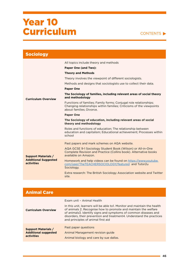

| <b>Sociology</b>                                                               |                                                                                                                                                                       |
|--------------------------------------------------------------------------------|-----------------------------------------------------------------------------------------------------------------------------------------------------------------------|
|                                                                                | All topics include theory and methods                                                                                                                                 |
|                                                                                | <b>Paper One (and Two):</b>                                                                                                                                           |
|                                                                                | <b>Theory and Methods</b>                                                                                                                                             |
|                                                                                | Theory involves the viewpoint of different sociologists.                                                                                                              |
|                                                                                | Methods and designs that sociologists use to collect their data.                                                                                                      |
|                                                                                | <b>Paper One</b>                                                                                                                                                      |
| <b>Curriculum Overview</b>                                                     | The Sociology of families, including relevant areas of social theory<br>and methodology                                                                               |
|                                                                                | Functions of families; Family forms; Conjugal role relationships;<br>Changing relationships within families; Criticisms of the viewpoints<br>about families: Divorce. |
|                                                                                | <b>Paper One</b>                                                                                                                                                      |
|                                                                                | The Sociology of education, including relevant areas of social<br>theory and methodology                                                                              |
|                                                                                | Roles and functions of education; The relationship between<br>education and capitalism; Educational achievement; Processes within<br>school                           |
|                                                                                | Past papers and mark schemes on AQA website.                                                                                                                          |
| <b>Support Materials /</b><br><b>Additional Suggested</b><br><b>activities</b> | AQA GCSE 9-1 Sociology Student Book (Wilson) or All-in-One<br>Complete Revision and Practice (Collins book). Alternative books<br>available on Amazon.                |
|                                                                                | Homework and help videos can be found on https://www.youtube.<br>com/user/TheTEACHERSOCIOLOGY/featured and Tutor2u<br>Sociology.                                      |
|                                                                                | Extra research: The British Sociology Association website and Twitter<br>site.                                                                                        |

| <b>Animal Care</b>                                                      |                                                                                                                                                                                                                                                                                                                                                            |
|-------------------------------------------------------------------------|------------------------------------------------------------------------------------------------------------------------------------------------------------------------------------------------------------------------------------------------------------------------------------------------------------------------------------------------------------|
| <b>Curriculum Overview</b>                                              | Exam unit - Animal Health<br>In this unit, learners will be able to !. Monitor and maintain the health<br>of animals 2. Recognise how to promote and maintain the welfare<br>of animals3. Identify signs and symptoms of common diseases and<br>disorders, their prevention and treatment4. Understand the practices<br>and principles of animal first aid |
| <b>Support Materials /</b><br><b>Additional suggested</b><br>activities | Past paper questions<br>Animal Management revision guide<br>Animal biology and care by sue dallas.                                                                                                                                                                                                                                                         |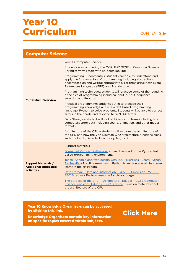#### CONTENTS

| <b>Computer Science</b>                                                        |                                                                                                                                                                                                                                                   |
|--------------------------------------------------------------------------------|---------------------------------------------------------------------------------------------------------------------------------------------------------------------------------------------------------------------------------------------------|
| <b>Curriculum Overview</b>                                                     | Year 10 Computer Science                                                                                                                                                                                                                          |
|                                                                                | Students are completing the OCR J277 GCSE in Computer Science.<br>Spring term will start with students looking:                                                                                                                                   |
|                                                                                | Programming Fundamentals: students are able to understand and<br>apply the fundamentals of programming including abstraction,<br>decomposition and writing appropriate algorithms using both Exam<br>References Language (ERF) and Pseudocode.    |
|                                                                                | Programming techniques: students will practice some of the founding<br>principles of programming including input, output, sequence,<br>selection and iteration.                                                                                   |
|                                                                                | Practical programming: students put in to practice their<br>programming knowledge and use a text-based programming<br>language, Python, to solve problems. Students will be able to correct<br>errors in their code and respond to SYNTAX errors. |
|                                                                                | Data Storage - student will look at binary structures including hoe<br>computers store data including sound, animation, and other media<br>formats.                                                                                               |
|                                                                                | Architecture of the CPU - students will explore the architecture of<br>the CPU and how the Von Neuman CPU architecture functions along<br>with the Fetch, Decode, Execute cycle (FDE)                                                             |
|                                                                                | <b>Support materials</b>                                                                                                                                                                                                                          |
| <b>Support Materials /</b><br><b>Additional suggested</b><br><b>activities</b> | Download Python   Python.org - free download of the Python text<br>based programming environment.                                                                                                                                                 |
|                                                                                | Teach Python 3 and web design with 200+ exercises - Learn Python<br>3 - Snakify - Practice exercises in Python to reinforce what has been<br>learnt in the classroom.                                                                             |
|                                                                                | Data storage - Data and information - GCSE ICT Revision - WJEC -<br>BBC Bitesize - Revison resource for data storage.                                                                                                                             |
|                                                                                | The purpose of the CPU - Architecture - Edugas - GCSE Computer<br>Science Revision - Edugas - BBC Bitesize - revision material about<br>the architecture of the CPU                                                                               |

Year 10 Knowledge Organisers can be accessed by clicking this link.

Knowledge Organisers contain key information on specific topics covered within subjects.

[Click Here](https://drive.google.com/drive/folders/1AXRSRHgnZ-2v3No1eA0ILvrZL7HROUSL?usp=sharing)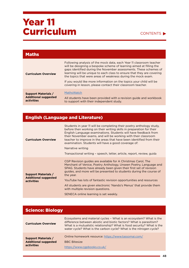CONTENTS

| <b>Maths</b>                                                            |                                                                                                                                                                                                                                                                                                                                                                                                                                                                                                 |
|-------------------------------------------------------------------------|-------------------------------------------------------------------------------------------------------------------------------------------------------------------------------------------------------------------------------------------------------------------------------------------------------------------------------------------------------------------------------------------------------------------------------------------------------------------------------------------------|
| <b>Curriculum Overview</b>                                              | Following analysis of the mock data, each Year 11 classroom teacher<br>will be designing a bespoke scheme of learning aimed at filling the<br>gaps identified during the November assessments. These schemes of<br>learning will be unique to each class to ensure that they are covering<br>the topics that were areas of weakness during the mock exam.<br>If you would like more information on the topics your child will be<br>covering in lesson, please contact their classroom teacher. |
| <b>Support Materials /</b><br><b>Additional suggested</b><br>activities | <b>MathsWatch</b><br>All students have been provided with a revision guide and workbook<br>to support with their independent study.                                                                                                                                                                                                                                                                                                                                                             |

### English (Language and Literature)

| <b>Curriculum Overview</b>                                                     | Students in year 11 will be completing their poetry anthology study.<br>before then working on their writing skills in preparation for their<br>English Language examinations. Students will have feedback from<br>their November exams, and will be working with their classroom<br>teacher to improve in the areas that have been identified from their<br>examination. Students will have a good coverage of:<br>Narrative writing<br>Transactional writing - speech, letter, article, report, review, guide        |
|--------------------------------------------------------------------------------|------------------------------------------------------------------------------------------------------------------------------------------------------------------------------------------------------------------------------------------------------------------------------------------------------------------------------------------------------------------------------------------------------------------------------------------------------------------------------------------------------------------------|
| <b>Support Materials /</b><br><b>Additional suggested</b><br><b>activities</b> | CGP Revision guides are available for A Christmas Carol, The<br>Merchant of Venice, Poetry Anthology, Unseen Poetry, Language and<br>SPAG. Students have already been given their first set of revision<br>quides, and more will be presented to students during the course of<br>the year.<br>YouTube has lots of fantastic revision opportunities and resources<br>All students are given electronic 'Nando's Menus' that provide them<br>with multiple revision questions.<br>SENECA online learning is set weekly. |

| <b>Science: Biology</b>                                                 |                                                                                                                                                                                                                                                                                          |
|-------------------------------------------------------------------------|------------------------------------------------------------------------------------------------------------------------------------------------------------------------------------------------------------------------------------------------------------------------------------------|
| <b>Curriculum Overview</b>                                              | Ecosystems and material cycles - What is an ecosystem? What is the<br>difference between abiotic and biotic factors? What is parasitism?<br>What is a mutualistic relationship? What is food security? What is the<br>water cycle? What is the carbon cycle? What is the nitrogen cycle? |
| <b>Support Materials /</b><br><b>Additional suggested</b><br>activities | Online homework resource: https://www.tassomai.com/<br><b>BBC Bitesize</b><br>https://www.cgpbooks.co.uk/                                                                                                                                                                                |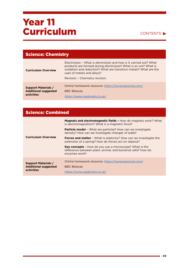| <b>Science: Chemistry</b>                                               |                                                                                                                                                                                                                                                                              |
|-------------------------------------------------------------------------|------------------------------------------------------------------------------------------------------------------------------------------------------------------------------------------------------------------------------------------------------------------------------|
| <b>Curriculum Overview</b>                                              | Electrolysis - What is electrolysis and how is it carried out? What<br>products are formed during electrolysis? What is an ore? What is<br>oxidation and reduction? What are transition metals? What are the<br>uses of metals and alloys?<br>Revision - Chemistry revision. |
| <b>Support Materials /</b><br><b>Additional suggested</b><br>activities | Online homework resource: https://www.tassomai.com/<br><b>BBC Bitesize</b><br>https://www.cgpbooks.co.uk/                                                                                                                                                                    |

| <b>Science: Combined</b>                                                |                                                                                                                                                  |
|-------------------------------------------------------------------------|--------------------------------------------------------------------------------------------------------------------------------------------------|
|                                                                         | <b>Magnets and electromagnetic fields - How do magnets work? What</b><br>is electromagnetism? What is a magnetic force?                          |
|                                                                         | <b>Particle model -</b> What are particles? How can we investigate<br>density? How can we investigate changes of state?                          |
| <b>Curriculum Overview</b>                                              | <b>Forces and matter</b> - What is elasticity? How can we investigate the<br>extension of a spring? How do forces act on objects?                |
|                                                                         | <b>Key concepts</b> - How do you use a microscope? What is the<br>difference between plant, animal, and bacterial cells? How do<br>enzymes work? |
| <b>Support Materials /</b><br><b>Additional suggested</b><br>activities | Online homework resource: https://www.tassomai.com/<br><b>BBC Bitesize</b><br>https://www.cgpbooks.co.uk/                                        |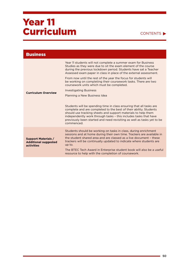| <b>Business</b>                                                                |                                                                                                                                                                                                                                                                                                                                                                         |
|--------------------------------------------------------------------------------|-------------------------------------------------------------------------------------------------------------------------------------------------------------------------------------------------------------------------------------------------------------------------------------------------------------------------------------------------------------------------|
|                                                                                | Year 11 students will not complete a summer exam for Business<br>Studies as they were due to sit the exam element of the course<br>during the previous lockdown period. Students have sat a Teacher<br>Assessed exam paper in class in place of the external assessment.                                                                                                |
|                                                                                | From now until the rest of the year the focus for students will<br>be working on completing their coursework tasks. There are two<br>coursework units which must be completed.                                                                                                                                                                                          |
|                                                                                | <b>Investigating Business</b>                                                                                                                                                                                                                                                                                                                                           |
| <b>Curriculum Overview</b>                                                     | Planning a New Business Idea                                                                                                                                                                                                                                                                                                                                            |
|                                                                                | Students will be spending time in class ensuring that all tasks are<br>complete and are completed to the best of their ability. Students<br>should use tracking sheets and support materials to help them<br>independently work through tasks - this includes tasks that have<br>previously been started and need revisiting as well as tasks yet to be<br>commenced.   |
| <b>Support Materials /</b><br><b>Additional suggested</b><br><b>activities</b> | Students should be working on tasks in class, during enrichment<br>sessions and at home during their own time. Trackers are available in<br>the student shared area and are classed as a live document - these<br>trackers will be continually updated to indicate where students are<br>up to.<br>The BTEC Tech Award in Enterprise student book will also be a useful |
|                                                                                | resource to help with the completion of coursework.                                                                                                                                                                                                                                                                                                                     |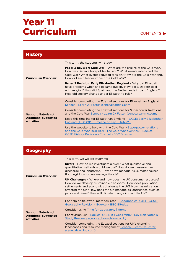| <b>History</b>                                                          |                                                                                                                                                                                                                                                                                                                                                                                                                                                                                                                                                                                   |
|-------------------------------------------------------------------------|-----------------------------------------------------------------------------------------------------------------------------------------------------------------------------------------------------------------------------------------------------------------------------------------------------------------------------------------------------------------------------------------------------------------------------------------------------------------------------------------------------------------------------------------------------------------------------------|
| <b>Curriculum Overview</b>                                              | This term, the students will study:<br><b>Paper 2 Revision: Cold War</b> - What are the origins of the Cold War?<br>How was Berlin a hotspot for tension? What events intensified the<br>Cold War? What events reduced tension? How did the Cold War end?<br>How did each leader impact the Cold War?<br>Paper 2 Revision: Early Elizabethan England - Why did Elizabeth<br>have problems when she became queen? How did Elizabeth deal                                                                                                                                           |
|                                                                         | with religion? How did Spain and the Netherlands impact England?<br>How did society change under Elizabeth's rule?                                                                                                                                                                                                                                                                                                                                                                                                                                                                |
| <b>Support Materials /</b><br><b>Additional suggested</b><br>activities | Consider completing the Edexcel sections for Elizabethan England<br>Seneca - Learn 2x Faster (senecalearning.com)<br>Consider completing the Edexcel sections for Superpower Relations<br>and the Cold War Seneca - Learn 2x Faster (senecalearning.com)<br>Read this timeline for Elizabethan England - GCSE: Early Elizabethan<br>England (1558-88) - Timeline of Key   tutor2u<br>Use the website to help with the Cold War - Superpower relations<br>and the Cold War, 1941-1991 - The Cold War overview - Edexcel -<br><b>GCSE History Revision - Edexcel - BBC Bitesize</b> |

| Geography                                                               |                                                                                                                                                                                                                                                                                                                                                                                                                                                                                                                                                                                                                    |
|-------------------------------------------------------------------------|--------------------------------------------------------------------------------------------------------------------------------------------------------------------------------------------------------------------------------------------------------------------------------------------------------------------------------------------------------------------------------------------------------------------------------------------------------------------------------------------------------------------------------------------------------------------------------------------------------------------|
| <b>Curriculum Overview</b>                                              | This term, we will be studying:<br><b>Rivers</b> - How do we investigate a river? What qualitative and<br>quantitative methods would we use? How do we measure river<br>discharge and landforms? How do we manage risks? What causes<br>flooding? How do we manage floods?<br><b>UK Challenges</b> - Where and how does the UK consume resources?<br>How do we develop sustainable transport? How does population,<br>settlements and economics challenge the UK? How has migration<br>affected the UK? How does the UK manage its landscapes, such as<br>parks and rivers? How will climate change impact the UK? |
| <b>Support Materials /</b><br><b>Additional suggested</b><br>activities | For help on fieldwork methods, read - Geographical skills - GCSE<br>Geography Revision - Edexcel - BBC Bitesize<br>Consider using Time for Geography   Home<br>For revision use - Edexcel GCSE 9-1 Geography   Revision Notes &<br>Study Resource (geography-revision.co.uk)<br>Consider completing the Edexcel sections for UK's changing<br>landscapes and resource management Seneca - Learn 2x Faster<br>(senecalearning.com)                                                                                                                                                                                  |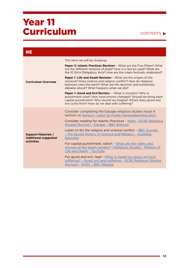CONTENTS<sup>></sup>

| <b>RE</b>                                                               |                                                                                                                                                                                                                                                          |
|-------------------------------------------------------------------------|----------------------------------------------------------------------------------------------------------------------------------------------------------------------------------------------------------------------------------------------------------|
| <b>Curriculum Overview</b>                                              | This term we will be studying:                                                                                                                                                                                                                           |
|                                                                         | <b>Paper 3: Islamic Practices Revision - What are the Five Pillars? What</b><br>are the different versions of jihad? How is a Qur'an used? What are<br>the 10 Shi'a Obligatory Acts? How are the major festivals celebrated?                             |
|                                                                         | <b>Paper 1: Life and Death Revision - What are the origins of the</b><br>universe? Does science and religion conflict? How do religious<br>believers view the earth? What are the abortion and euthanasia<br>debates about? What happens when we die?    |
|                                                                         | <b>Paper 1: Good and Evil Revision - What is morality? Why is</b><br>punishment used? How have prisons changed? Should we bring back<br>capital punishment? Why should we forgive? Where does good and<br>evil come from? How do we deal with suffering? |
| <b>Support Materials /</b><br><b>Additional suggested</b><br>activities | Consider completing the Eduqas religious studies route A<br>section on Seneca - Learn 2x Faster (senecalearning.com)                                                                                                                                     |
|                                                                         | Consider reading for Islamic Practices - Islam - GCSE Religious<br><b>Studies Revision - Edugas - BBC Bitesize</b>                                                                                                                                       |
|                                                                         | Listen to for the religion and science conflict - BBC Sounds<br>- The Secret History of Science and Religion - Available<br><b>Episodes</b>                                                                                                              |
|                                                                         | For capital punishment, watch - What are the rights and<br>wrongs of the death penalty?   Religious Studies - Matters of<br>Life and Death - YouTube                                                                                                     |
|                                                                         | For good and evil, read - What is meant by good, evil and<br>suffering? - Good, evil and suffering - GCSE Religious Studies<br>Revision - WJEC - BBC Bitesize                                                                                            |

÷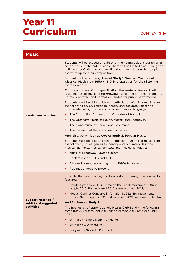### CONTENTS<sup>></sup>

| <b>Music</b>                                                            |                                                                                                                                                                                                                                                                   |
|-------------------------------------------------------------------------|-------------------------------------------------------------------------------------------------------------------------------------------------------------------------------------------------------------------------------------------------------------------|
|                                                                         | Students will be expected to finish of their compositions during after<br>school and enrichment sessions. There will be limited class time given<br>initially after Christmas and an allocated time in lessons to complete<br>the write up for their composition. |
|                                                                         | Students will be studying Area of Study 1: Western Traditional<br>Classical Music from 1650 - 1910, in preparation for their listening<br>exam in year 11.                                                                                                        |
|                                                                         | For the purposes of this specification, the western classical tradition<br>is defined as art music of (or growing out of) the European tradition,<br>normally notated, and normally intended for public performance.                                              |
|                                                                         | Students must be able to listen attentively to unfamiliar music from<br>the following styles/genres to identify and accurately describe<br>musical elements, musical contexts and musical language:                                                               |
| <b>Curriculum Overview</b>                                              | The Coronation Anthems and Oratorios of Handel.                                                                                                                                                                                                                   |
|                                                                         | The Orchestra Music of Haydn, Mozart and Beethoven.<br>$\bullet$                                                                                                                                                                                                  |
|                                                                         | The piano music of Chopin and Schumann.<br>$\bullet$                                                                                                                                                                                                              |
|                                                                         | The Requiem of the late Romantic period.<br>٠                                                                                                                                                                                                                     |
|                                                                         | After this, we will look at Area of Study 2: Popular Music.                                                                                                                                                                                                       |
|                                                                         | Students must be able to listen attentively to unfamiliar music from<br>the following styles/genres to identify and accurately describe<br>musical elements, musical contexts and musical language:                                                               |
|                                                                         | Music of Broadway 1950s to 1990s<br>$\bullet$                                                                                                                                                                                                                     |
|                                                                         | Rock music of 1960s and 1970s                                                                                                                                                                                                                                     |
|                                                                         | Film and computer gaming music 1990s to present<br>$\bullet$                                                                                                                                                                                                      |
|                                                                         | Pop music 1990s to present.<br>$\bullet$                                                                                                                                                                                                                          |
|                                                                         | Listen to the two following tracks whilst considering their elemental<br>features:                                                                                                                                                                                |
|                                                                         | Haydn: Symphony 101 in D major The Clock movement 2 (first<br>taught 2016, first assessed 2018, assessed until 2021)                                                                                                                                              |
|                                                                         | Mozart Clarinet Concerto in A major, K. 622, 3rd movement,<br>Rondo (first taught 2020, first assessed 2022, assessed until N/A)                                                                                                                                  |
| <b>Support Materials /</b><br><b>Additional suggested</b><br>activities | And for Area of Study 2:                                                                                                                                                                                                                                          |
|                                                                         | The Beatles: Sgt Pepper's Lonely Hearts Club Band - the following<br>three tracks: (first taught 2016, first assessed 2018, assessed until<br>2021)                                                                                                               |
|                                                                         | With a Little Help from my Friends                                                                                                                                                                                                                                |
|                                                                         | Within You, Without You<br>$\bullet$                                                                                                                                                                                                                              |
|                                                                         | Lucy in the Sky with Diamonds<br>٠                                                                                                                                                                                                                                |

÷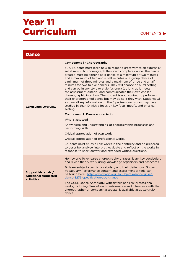| <b>Dance</b>                                                                   |                                                                                                                                                                                                                                                                                                                                                                                                                                                                                                                                                                                                                                                                                                                                                                                                                                                     |
|--------------------------------------------------------------------------------|-----------------------------------------------------------------------------------------------------------------------------------------------------------------------------------------------------------------------------------------------------------------------------------------------------------------------------------------------------------------------------------------------------------------------------------------------------------------------------------------------------------------------------------------------------------------------------------------------------------------------------------------------------------------------------------------------------------------------------------------------------------------------------------------------------------------------------------------------------|
|                                                                                | <b>Component 1 - Choreography</b>                                                                                                                                                                                                                                                                                                                                                                                                                                                                                                                                                                                                                                                                                                                                                                                                                   |
| <b>Curriculum Overview</b>                                                     | 30% Students must learn how to respond creatively to an externally<br>set stimulus, to choreograph their own complete dance. The dance<br>created must be either a solo dance of a minimum of two minutes<br>and a maximum of two and a half minutes or a group dance of<br>a minimum of three minutes and a maximum of three and a half<br>minutes for two to five dancers. They will choose an aural setting<br>and can be in any style or style fusion(s) (as long as it meets<br>the assessment criteria) and communicates their own chosen<br>choreographic intention. The student is not required to perform in<br>their choreographed dance but may do so if they wish. Students will<br>also recall key information on the 6 professional works they have<br>studied in Year 10 with a focus on key facts, motifs, and physical<br>setting. |
|                                                                                | <b>Component 2: Dance appreciation</b>                                                                                                                                                                                                                                                                                                                                                                                                                                                                                                                                                                                                                                                                                                                                                                                                              |
|                                                                                | What's assessed                                                                                                                                                                                                                                                                                                                                                                                                                                                                                                                                                                                                                                                                                                                                                                                                                                     |
|                                                                                | Knowledge and understanding of choreographic processes and<br>performing skills.                                                                                                                                                                                                                                                                                                                                                                                                                                                                                                                                                                                                                                                                                                                                                                    |
|                                                                                | Critical appreciation of own work.                                                                                                                                                                                                                                                                                                                                                                                                                                                                                                                                                                                                                                                                                                                                                                                                                  |
|                                                                                | Critical appreciation of professional works.                                                                                                                                                                                                                                                                                                                                                                                                                                                                                                                                                                                                                                                                                                                                                                                                        |
|                                                                                | Students must study all six works in their entirety and be prepared<br>to describe, analyse, interpret, evaluate and reflect on the works in<br>response to short answer and extended writing questions.                                                                                                                                                                                                                                                                                                                                                                                                                                                                                                                                                                                                                                            |
| <b>Support Materials /</b><br><b>Additional suggested</b><br><b>activities</b> | Homework: To rehearse choreography phrases, learn key vocabulary<br>and revise theory work using knowledge organisers and flashcards<br>To learn subject specific vocabulary and their definitions: Subject<br>Vocabulary Performance content and assessment criteria can<br>be found here: https://www.aqa.org.uk/subjects/dance/gcse/<br>dance-8236/specification-at-a-glance<br>The GCSE Dance Anthology, with details of all six professional<br>works, including films of each performance and interviews with the<br>choreographer or company associate, is available at aga.org.uk/<br>dance                                                                                                                                                                                                                                                 |
|                                                                                |                                                                                                                                                                                                                                                                                                                                                                                                                                                                                                                                                                                                                                                                                                                                                                                                                                                     |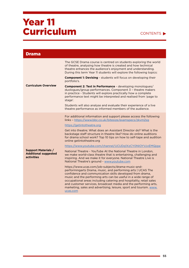#### CONTENTS<sup>></sup>

| <b>Drama</b>                                                                   |                                                                                                                                                                                                                                                                                                                                                                                                                                                                              |
|--------------------------------------------------------------------------------|------------------------------------------------------------------------------------------------------------------------------------------------------------------------------------------------------------------------------------------------------------------------------------------------------------------------------------------------------------------------------------------------------------------------------------------------------------------------------|
|                                                                                | The GCSE Drama course is centred on students exploring the world<br>of theatre, analysing how theatre is created and how technical<br>theatre enhances the audience's enjoyment and understanding.<br>During this term Year 11 students will explore the following topics:                                                                                                                                                                                                   |
|                                                                                | <b>Component 1: Devising - students will focus on developing their</b><br>portfolio's.                                                                                                                                                                                                                                                                                                                                                                                       |
| <b>Curriculum Overview</b>                                                     | Component 2: Text in Performance - developing monologues/<br>duologues/group performances. Component 3 - theatre makers<br>in practice - Students will explore practically how a complete<br>performance text might be interpreted and realised from 'page to<br>stage'.                                                                                                                                                                                                     |
|                                                                                | Students will also analyse and evaluate their experience of a live<br>theatre performance as informed members of the audience.                                                                                                                                                                                                                                                                                                                                               |
|                                                                                | For additional information and support please access the following<br>links - https://www.bbc.co.uk/bitesize/examspecs/zkvm2sg                                                                                                                                                                                                                                                                                                                                               |
|                                                                                | https://getintotheatre.org                                                                                                                                                                                                                                                                                                                                                                                                                                                   |
|                                                                                | Get into theatre; What does an Assistant Director do? What is the<br>backstage staff structure in theatre like? How do online auditions<br>for drama school work? Top 10 tips on how to self-tape and audition<br>online getintotheatre.org                                                                                                                                                                                                                                  |
|                                                                                | https://www.youtube.com/channel/UCUDq1XzCY0NIOYVJvEMQjqw                                                                                                                                                                                                                                                                                                                                                                                                                     |
| <b>Support Materials /</b><br><b>Additional suggested</b><br><b>activities</b> | National Theatre - YouTube At the National Theatre in London.<br>we make world-class theatre that is entertaining, challenging and<br>inspiring. And we make it for everyone. National Theatre Live is<br>National Theatre's ground - www.youtube.com                                                                                                                                                                                                                        |
|                                                                                | https://www.ucas.com/job-subjects/drama-music-and-<br>performingarts Drama, music, and performing arts   UCAS The<br>confidence and communication skills developed from drama.<br>music and the performing arts can be useful in a wide range of<br>occupational areas including catering and hospitality, retail sales<br>and customer services, broadcast media and the performing arts,<br>marketing, sales and advertising, leisure, sport and tourism. www.<br>ucas.com |
|                                                                                |                                                                                                                                                                                                                                                                                                                                                                                                                                                                              |

÷.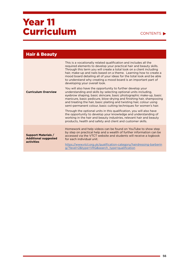#### CONTENTS<sup>></sup>

| <b>Hair &amp; Beauty</b>                                                |                                                                                                                                                                                                                                                                                                                                                                                                                                                                     |
|-------------------------------------------------------------------------|---------------------------------------------------------------------------------------------------------------------------------------------------------------------------------------------------------------------------------------------------------------------------------------------------------------------------------------------------------------------------------------------------------------------------------------------------------------------|
| <b>Curriculum Overview</b>                                              | This is a vocationally related qualification and includes all the<br>required elements to develop your practical hair and beauty skills.<br>Through this term you will create a total look on a client including<br>hair, make-up and nails based on a theme. Learning how to create a<br>mood board detailing all of your ideas for the total look and be able<br>to understand why creating a mood board is an important part of<br>developing your overall look. |
|                                                                         | You will also have the opportunity to further develop your<br>understanding and skills by selecting optional units including,<br>eyebrow shaping, basic skincare, basic photographic make-up, basic<br>manicure, basic pedicure, blow-drying and finishing hair, shampooing<br>and treating the hair, basic plaiting and twisting hair, colour using<br>semi-permanent colour, basic cutting techniques for women's hair.                                           |
|                                                                         | Through the optional units in this qualification, you will also have<br>the opportunity to develop your knowledge and understanding of<br>working in the hair and beauty industries, relevant hair and beauty<br>products, health and safety and client and customer skills.                                                                                                                                                                                        |
| <b>Support Materials /</b><br><b>Additional suggested</b><br>activities | Homework and help videos can be found on YouTube to show step<br>by step on practical help and a wealth of further information can be<br>accessed via the VTCT website and students will receive a logbook<br>for each individual unit.                                                                                                                                                                                                                             |
|                                                                         | https://www.vtct.org.uk/qualification-category/hairdressing-barberin<br>g/?level=2&type=VRQ&search_type=qualification                                                                                                                                                                                                                                                                                                                                               |

۰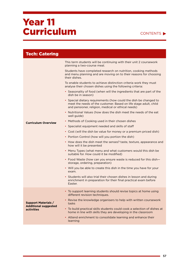#### CONTENTS<sup>></sup>

| <b>Tech: Catering</b>                                                          |                                                                                                                                                                                            |
|--------------------------------------------------------------------------------|--------------------------------------------------------------------------------------------------------------------------------------------------------------------------------------------|
|                                                                                | This term students will be continuing with their unit 2 coursework<br>planning a two-course meal.                                                                                          |
|                                                                                | Students have completed research on nutrition, cooking methods<br>and menu planning and are moving on to their reasons for choosing<br>their dishes.                                       |
|                                                                                | To enable students to achieve distinction criteria work they must<br>analyse their chosen dishes using the following criteria:                                                             |
|                                                                                | • Seasonality of food (when will the ingredients that are part of the<br>dish be in season)                                                                                                |
|                                                                                | • Special dietary requirements (how could the dish be changed to<br>meet the needs of the customer. Based on life stage adult, child<br>and pensioner, religion, medical or ethical needs) |
|                                                                                | • Nutritional Values (how does the dish meet the needs of the eat<br>well guide)                                                                                                           |
| <b>Curriculum Overview</b>                                                     | • Methods of Cooking used in their chosen dishes                                                                                                                                           |
|                                                                                | • Specialist equipment needed and skills of staff                                                                                                                                          |
|                                                                                | • Cost (will the dish be value for money or a premium priced dish)                                                                                                                         |
|                                                                                | • Portion Control (how will you portion the dish)                                                                                                                                          |
|                                                                                | • How does the dish meet the senses? taste, texture, appearance and<br>how will it be presented                                                                                            |
|                                                                                | • Menu Types (what menu and what customers would this dish be<br>suitable for. How could it be modified)                                                                                   |
|                                                                                | • Food Waste (how can you ensure waste is reduced for this dish-<br>storage, ordering, preparation)                                                                                        |
|                                                                                | • Will you be able to create this dish in the time you have for your<br>exam.                                                                                                              |
|                                                                                | • Students will also trial their chosen dishes in lesson and during<br>enrichment in preparation for their final practical exam before<br>Easter.                                          |
|                                                                                | • To support learning students should revise topics at home using<br>different revision techniques.                                                                                        |
| <b>Support Materials /</b><br><b>Additional suggested</b><br><b>activities</b> | • Revise the knowledge organisers to help with written coursework<br>tasks                                                                                                                 |
|                                                                                | • To build practical skills students could cook a selection of dishes at<br>home in line with skills they are developing in the classroom                                                  |
|                                                                                | • Attend enrichment to consolidate learning and enhance their<br>learning                                                                                                                  |

÷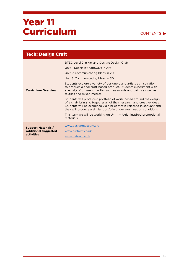

| <b>Tech: Design Craft</b>                                               |                                                                                                                                                                                                                                                                                                                                                                                                                                                                                                                                                                                                                                                                                                                                                                                                  |
|-------------------------------------------------------------------------|--------------------------------------------------------------------------------------------------------------------------------------------------------------------------------------------------------------------------------------------------------------------------------------------------------------------------------------------------------------------------------------------------------------------------------------------------------------------------------------------------------------------------------------------------------------------------------------------------------------------------------------------------------------------------------------------------------------------------------------------------------------------------------------------------|
| <b>Curriculum Overview</b>                                              | BTEC Level 2 in Art and Design: Design Craft<br>Unit 1: Specialist pathways in Art<br>Unit 2: Communicating Ideas in 2D<br>Unit 3: Communicating Ideas in 3D<br>Students explore a variety of designers and artists as inspiration<br>to produce a final craft-based product. Students experiment with<br>a variety of different medias such as woods and paints as well as<br>textiles and mixed medias.<br>Students will produce a portfolio of work, based around the design<br>of a chair, bringing together all of their research and creative ideas.<br>Students will be examined via a brief that is released in January and<br>they will produce a similar portfolio under examination conditions.<br>This term we will be working on Unit 1 - Artist inspired promotional<br>materials. |
| <b>Support Materials /</b><br><b>Additional suggested</b><br>activities | www.designmuseum.org<br>www.pintrest.co.uk<br>www.dafont.co.uk                                                                                                                                                                                                                                                                                                                                                                                                                                                                                                                                                                                                                                                                                                                                   |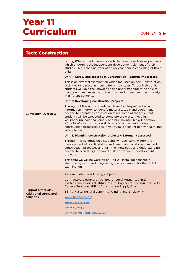#### CONTENTS

#### Tech: Construction **Curriculum Overview**  During KS4, students have access to two one-hour lessons per week which underpins the independent development element of their studies. This is the final year of a two-year course consisting of three units. **Unit 1: Safety and security in Construction – Externally assessed** This is an external examination which focusses on how Construction activities take place in many different contexts. Through this unit, students will gain the knowledge and understanding to be able to plan how to minimise risk to their own and others health and safety in different contexts. **Unit 2: Developing construction projects** Throughout this unit students will learn to interpret technical information in order to identify materials, tools and equipment needed to complete construction tasks, some of the tasks that students will be expected to complete are plastering, tiling, wallpapering, painting, joinery and bricklaying. This will develop a "toolbox" of construction skills which can be used during construction processes, ensuring you take account of any health and safety issues. **Unit 3: Planning construction projects – Externally assessed**  Through this synoptic unit, students will use learning from the development of practical skills and health and safety requirements of construction processes and gain the knowledge and understanding needed to plan straightforward built environment development projects. This term we will be working on Unit 2 – Installing household electrical systems and tiling; alongside preparation for the Unit 3 examination **Support Materials / Additional suggested activities**  Research into the following subjects: Contractors, Designers, Architects , Local Authority , HSE ,Professional Bodies (Institute of Civil Engineers, Construction Skills, Careers Providers, RIBA) Construction Supply Chain. Tiling, Plastering, Wallpapering, Painting and Bricklaying [www.ihsmarkit.com](http://www.ihsmarkit.com/) [www.thenbs.com](http://www.thenbs.com/) [www.ice.org.uk](http://www.ice.org.uk/) [www.designingbuildings.co.uk](http://www.designingbuildings.co.uk/)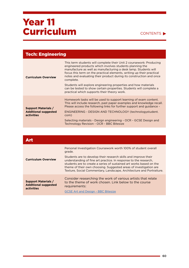| <b>Tech: Engineering</b>                                                |                                                                                                                                                                                                                                                                                                                                                                 |
|-------------------------------------------------------------------------|-----------------------------------------------------------------------------------------------------------------------------------------------------------------------------------------------------------------------------------------------------------------------------------------------------------------------------------------------------------------|
| <b>Curriculum Overview</b>                                              | This term students will complete their Unit 2 coursework: Producing<br>engineered products which involves students planning the<br>manufacture as well as manufacturing a desk lamp. Students will<br>focus this term on the practical elements, writing up their practical<br>notes and evaluating their product during its construction and once<br>complete. |
|                                                                         | Students will explore engineering properties and how materials<br>can be tested to show certain properties. Students will complete a<br>practical which supports their theory work.                                                                                                                                                                             |
| <b>Support Materials /</b><br><b>Additional suggested</b><br>activities | Homework tasks will be used to support learning of exam content.<br>This will include research, past paper examples and knowledge recall.<br>Please access the following links for further support and guidance -                                                                                                                                               |
|                                                                         | ENGINEERING - DESIGN AND TECHNOLOGY (technologystudent.<br>com)                                                                                                                                                                                                                                                                                                 |
|                                                                         | Selecting materials - Design engineering - OCR - GCSE Design and<br>Technology Revision - OCR - BBC Bitesize                                                                                                                                                                                                                                                    |

| <b>Art.</b>                                                             |                                                                                                                                                                                                                                                                                                                                                         |
|-------------------------------------------------------------------------|---------------------------------------------------------------------------------------------------------------------------------------------------------------------------------------------------------------------------------------------------------------------------------------------------------------------------------------------------------|
| <b>Curriculum Overview</b>                                              | Personal Investigation Coursework worth 100% of student overall<br>grade.                                                                                                                                                                                                                                                                               |
|                                                                         | Students are to develop their research skills and improve their<br>understanding of fine art practice. In response to the research,<br>students are to create a series of sustained art works based on the<br>theme of their own choosing. Suggested areas of investigation are<br>Texture, Social Commentary, Landscape, Architecture and Portraiture. |
| <b>Support Materials /</b><br><b>Additional suggested</b><br>activities | Consider researching the work of various artists that relate<br>to the theme of work chosen. Link below to the course<br>requirements:                                                                                                                                                                                                                  |
|                                                                         | <b>GCSE Art and Design - BBC Bitesize</b>                                                                                                                                                                                                                                                                                                               |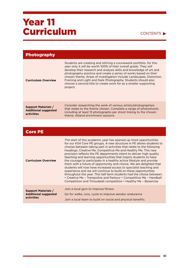#### CONTENTS<sup>></sup>

| <b>Photography</b>                                                      |                                                                                                                                                                                                                                                                                                                                                                                                                                                                                                             |
|-------------------------------------------------------------------------|-------------------------------------------------------------------------------------------------------------------------------------------------------------------------------------------------------------------------------------------------------------------------------------------------------------------------------------------------------------------------------------------------------------------------------------------------------------------------------------------------------------|
| <b>Curriculum Overview</b>                                              | Students are creating and refining a coursework portfolio, for this<br>year only it will be worth 100% of their overall grade. They will<br>develop their research and analysis skills and knowledge of art and<br>photography practice and create a series of works based on their<br>chosen theme. Areas of investigation include Landscapes, Distortion,<br>Framing and Light and Dark Photography. Students should also<br>choose a second title to create work for as a smaller supporting<br>project. |
| <b>Support Materials /</b><br><b>Additional suggested</b><br>activities | Consider researching the work of various artists/photographers<br>that relate to the theme chosen. Complete a range of photoshoots<br>including at least 15 photographs per shoot linking to the chosen<br>theme. Attend enrichment sessions                                                                                                                                                                                                                                                                |

### Core PE

| <b>Curriculum Overview</b>  | The start of this academic year has opened up more opportunities<br>for our KS4 Core PE groups. A new structure in PE allows students to<br>choose between taking part in activities that relate to the following<br>headings. Creative Me, Competitive Me and Healthy Me. This new<br>provision reflects the PE departments intent to deliver high quality<br>teaching and learning opportunities that inspire students to have<br>the courage to participate in a healthy active lifestyle and provide<br>them with a future of opportunity and choice. We are delighted that<br>students will now have increased access to specialist teaching and<br>experience and we will continue to build on these opportunities<br>throughout the year. This half term students had the choice between:<br>• Creative Me - Trampoline and Parkour • Competitive Me - Handball<br>Competition and Tchoukball competition • Healthy Me - Boxercise |
|-----------------------------|-------------------------------------------------------------------------------------------------------------------------------------------------------------------------------------------------------------------------------------------------------------------------------------------------------------------------------------------------------------------------------------------------------------------------------------------------------------------------------------------------------------------------------------------------------------------------------------------------------------------------------------------------------------------------------------------------------------------------------------------------------------------------------------------------------------------------------------------------------------------------------------------------------------------------------------------|
| <b>Support Materials /</b>  | Join a local gym to improve fitness                                                                                                                                                                                                                                                                                                                                                                                                                                                                                                                                                                                                                                                                                                                                                                                                                                                                                                       |
| <b>Additional suggested</b> | Go for walks, runs, cycle to improve aerobic endurance                                                                                                                                                                                                                                                                                                                                                                                                                                                                                                                                                                                                                                                                                                                                                                                                                                                                                    |
| activities                  | Join a local team to build on social and physical benefits.                                                                                                                                                                                                                                                                                                                                                                                                                                                                                                                                                                                                                                                                                                                                                                                                                                                                               |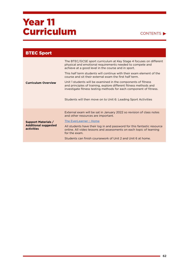| <b>BTEC Sport</b>                                                       |                                                                                                                                                                                                          |
|-------------------------------------------------------------------------|----------------------------------------------------------------------------------------------------------------------------------------------------------------------------------------------------------|
|                                                                         | The BTEC/GCSE sport curriculum at Key Stage 4 focuses on different<br>physical and emotional requirements needed to compete and<br>achieve at a good level in the course and in sport.                   |
|                                                                         | This half term students will continue with their exam element of the<br>course and sit their external exam the first half term.                                                                          |
| <b>Curriculum Overview</b>                                              | Unit 1 students will be examined in the components of fitness<br>and principles of training, explore different fitness methods and<br>investigate fitness testing methods for each component of fitness. |
|                                                                         | Students will then move on to Unit 6: Leading Sport Activities                                                                                                                                           |
| <b>Support Materials /</b><br><b>Additional suggested</b><br>activities | External exam will be sat in January 2022 so revision of class notes<br>and other resources are important.                                                                                               |
|                                                                         | The EverLearner :: Home                                                                                                                                                                                  |
|                                                                         | All students have their log in and password for this fantastic resource<br>online. All video lessons and assessments on each topic of learning<br>for the exam.                                          |
|                                                                         | Students can finish coursework of Unit 2 and Unit 6 at home.                                                                                                                                             |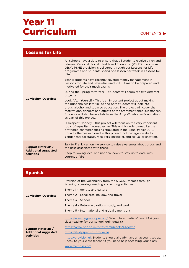| <b>Lessons for Life</b>                                                        |                                                                                                                                                                                                                                                                                                                                                                               |
|--------------------------------------------------------------------------------|-------------------------------------------------------------------------------------------------------------------------------------------------------------------------------------------------------------------------------------------------------------------------------------------------------------------------------------------------------------------------------|
| <b>Curriculum Overview</b>                                                     | All schools have a duty to ensure that all students receive a rich and<br>relevant Personal, Social, Health and Economic (PSHE) curriculum.<br>OBA's PSHE provision is delivered through our Lessons for Life<br>programme and students spend one lesson per week in Lessons for<br>$l$ ife.                                                                                  |
|                                                                                | Year 11 students have recently covered money management in<br>Lessons for Life and have also used PSHE time to be prepared and<br>motivated for their mock exams.                                                                                                                                                                                                             |
|                                                                                | During the Spring term Year 11 students will complete two different<br>projects:                                                                                                                                                                                                                                                                                              |
|                                                                                | Look After Yourself - This is an important project about making<br>the right choices later in life and here students will look into<br>drugs, alcohol and tobacco education. The project will cover the<br>motivations, dangers and effects of the aforementioned substances.<br>Students will also have a talk from the Amy Winehouse Foundation<br>as part of this project. |
|                                                                                | Disrespect Nobody - this project will focus on the very important<br>topic of equality in everyday life. This unit is underpinned by the<br>protected characteristics as stipulated in the Equality Act 2010.<br>Equality themes explored in this project include: age, disability,<br>gender, marital status, race, religion/belief, and sexual orientation.                 |
| <b>Support Materials /</b><br><b>Additional suggested</b><br><b>activities</b> | Talk to Frank - an online service to raise awareness about drugs and<br>the risks associated with these.                                                                                                                                                                                                                                                                      |
|                                                                                | Keep following local and national news to stay up to date with<br>current affairs.                                                                                                                                                                                                                                                                                            |

| <b>Spanish</b>                                                          |                                                                                                                                                                                                                                                                                                                                                                         |
|-------------------------------------------------------------------------|-------------------------------------------------------------------------------------------------------------------------------------------------------------------------------------------------------------------------------------------------------------------------------------------------------------------------------------------------------------------------|
| <b>Curriculum Overview</b>                                              | Revision of the vocabulary from the 5 GCSE themes through<br>listening, speaking, reading and writing activities.<br>Theme 1 - Identity and culture<br>Theme 2 - Local area, holiday, and travel<br>Theme 3 - School<br>Theme 4 - Future aspirations, study, and work<br>Theme 5 - International and global dimensions                                                  |
| <b>Support Materials /</b><br><b>Additional suggested</b><br>activities | https://www.linguascope.com/ Select 'Intermediate' level (Ask your<br>class teacher for our school login details)<br>https://www.bbc.co.uk/bitesize/subjects/z4dgxnb<br>https://studyspanish.com/verbs<br>https://erevision.uk Students should already have an account set up.<br>Speak to your class teacher if you need help accessing your class.<br>www.memrise.com |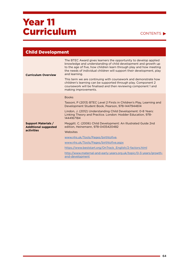| <b>Child Development</b>                                  |                                                                                                                                                                                                                                                                                                     |
|-----------------------------------------------------------|-----------------------------------------------------------------------------------------------------------------------------------------------------------------------------------------------------------------------------------------------------------------------------------------------------|
| <b>Curriculum Overview</b>                                | The BTEC Award gives learners the opportunity to develop applied<br>knowledge and understanding of child development and growth up<br>to the age of five, how children learn through play and how meeting<br>the needs of individual children will support their development, play<br>and learning. |
|                                                           | This term we are continuing with coursework and demonstrate how<br>children's learning can be supported through play. Component 2<br>coursework will be finalised and then reviewing component 1 and<br>making improvements.                                                                        |
|                                                           | <b>Books</b>                                                                                                                                                                                                                                                                                        |
|                                                           | Tassoni, P (2013) BTEC Level 2 Firsts in Children's Play, Learning and<br>Development Student Book, Pearson, 978-1447944614                                                                                                                                                                         |
|                                                           | Lindon, J. (2012) Understanding Child Development: 0-8 Years:<br>Linking Theory and Practice. London: Hodder Education, 978-<br>1444167184                                                                                                                                                          |
| <b>Support Materials /</b><br><b>Additional suggested</b> | Meggitt. C. (2006) Child Development: An Illustrated Guide 2nd<br>edition, Heinemann, 978-0435420482                                                                                                                                                                                                |
| activities                                                | Websites                                                                                                                                                                                                                                                                                            |
|                                                           | www.nhs.uk/Tools/Pages/birthtofive.                                                                                                                                                                                                                                                                 |
|                                                           | www.nhs.uk/Tools/Pages/birthtofive.aspx                                                                                                                                                                                                                                                             |
|                                                           | https://www.beststart.org/OnTrack English/2-factors.html                                                                                                                                                                                                                                            |
|                                                           | http://www.maternal-and-early-years.org.uk/topic/0-3-years/growth-<br>and-development                                                                                                                                                                                                               |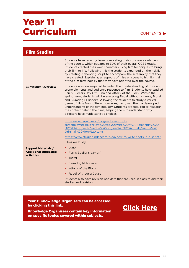#### CONTENTS

| <b>Film Studies</b>                                                     |                                                                                                                                                                                                                                                                                                                                                                                                                                                                                                                                                                                                                                                                                                                                                                                                                                                                                                                                                                                                                                                                                                                                   |
|-------------------------------------------------------------------------|-----------------------------------------------------------------------------------------------------------------------------------------------------------------------------------------------------------------------------------------------------------------------------------------------------------------------------------------------------------------------------------------------------------------------------------------------------------------------------------------------------------------------------------------------------------------------------------------------------------------------------------------------------------------------------------------------------------------------------------------------------------------------------------------------------------------------------------------------------------------------------------------------------------------------------------------------------------------------------------------------------------------------------------------------------------------------------------------------------------------------------------|
| <b>Curriculum Overview</b>                                              | Students have recently been completing their coursework element<br>of the course, which equates to 30% of their overall GCSE grade.<br>Students created their own characters using film techniques to bring<br>their film to life. Following this the students expanded on their skills<br>by creating a shooting script to accompany the screenplay that they<br>have created. Explaining all aspects of mise en scene to highlight all<br>of the film terminology that they have adopted over the course.<br>Students are now required to widen their understanding of mise en<br>scene elements and audience response to film. Students have studied<br>Ferris Buellers Day Off, Juno and Attack of the Block. Within the<br>spring term, students will be analysing Rebel without a cause, Tsotsi<br>and Slumdog Millionaire. Allowing the students to study a varied<br>genre of films from different decades, has given them a developed<br>understanding of the film industry. Students are required to research<br>the context behind the films, helping them to understand why<br>directors have made stylistic choices. |
| <b>Support Materials /</b><br><b>Additional suggested</b><br>activities | https://www.squibler.io/blog/write-a-script-<br>screenplay/#:~:text=How%20to%20Write%20a%20Screenplay.%20<br>1%201.%20Spec.to%20Be%20Original%2C%20Actually%20Be%20<br>Original.%20More%20items<br>https://www.studiobinder.com/blog/how-to-write-shots-in-a-script/<br>Films we study-<br>Juno<br>Ferris Bueller's day off<br>Tsotsi<br><b>Slumdog Millionaire</b><br>Attack of the Block<br>Rebel Without a Cause<br>Students also have revision booklets that are used in class to aid their<br>studies and revision.                                                                                                                                                                                                                                                                                                                                                                                                                                                                                                                                                                                                          |

Year 11 Knowledge Organisers can be accessed by clicking this link.



Knowledge Organisers contain key information on specific topics covered within subjects.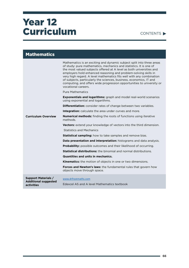#### CONTENTS

| <b>Mathematics</b>                                                      |                                                                                                                                                                                                                                                                                                                                                                                                                                                                                                                                       |
|-------------------------------------------------------------------------|---------------------------------------------------------------------------------------------------------------------------------------------------------------------------------------------------------------------------------------------------------------------------------------------------------------------------------------------------------------------------------------------------------------------------------------------------------------------------------------------------------------------------------------|
|                                                                         | Mathematics is an exciting and dynamic subject split into three areas<br>of study: pure mathematics, mechanics and statistics. It is one of<br>the most valued subjects offered at A level as both universities and<br>employers hold enhanced reasoning and problem-solving skills in<br>very high regard. A level mathematics fits well with any combination<br>of subjects, particularly the sciences, business, economics, IT and<br>computing, and offers wide progression opportunities to university or<br>vocational careers. |
|                                                                         | <b>Pure Mathematics</b>                                                                                                                                                                                                                                                                                                                                                                                                                                                                                                               |
|                                                                         | <b>Exponentials and logarithms:</b> graph and model real-world scenarios<br>using exponential and logarithms.                                                                                                                                                                                                                                                                                                                                                                                                                         |
|                                                                         | <b>Differentiation:</b> consider rates of change between two variables.                                                                                                                                                                                                                                                                                                                                                                                                                                                               |
|                                                                         | <b>Integration:</b> calculate the area under curves and more.                                                                                                                                                                                                                                                                                                                                                                                                                                                                         |
| <b>Curriculum Overview</b>                                              | <b>Numerical methods:</b> finding the roots of functions using iterative<br>methods.                                                                                                                                                                                                                                                                                                                                                                                                                                                  |
|                                                                         | <b>Vectors:</b> extend your knowledge of vectors into the third dimension.                                                                                                                                                                                                                                                                                                                                                                                                                                                            |
|                                                                         | <b>Statistics and Mechanics</b>                                                                                                                                                                                                                                                                                                                                                                                                                                                                                                       |
|                                                                         | <b>Statistical sampling:</b> how to take samples and remove bias.                                                                                                                                                                                                                                                                                                                                                                                                                                                                     |
|                                                                         | <b>Data presentation and interpretation:</b> histograms and data analysis.                                                                                                                                                                                                                                                                                                                                                                                                                                                            |
|                                                                         | <b>Probability:</b> possible outcomes and their likelihood of occurring.                                                                                                                                                                                                                                                                                                                                                                                                                                                              |
|                                                                         | <b>Statistical distributions:</b> the binomial and normal distributions.                                                                                                                                                                                                                                                                                                                                                                                                                                                              |
|                                                                         | <b>Quantities and units in mechanics.</b>                                                                                                                                                                                                                                                                                                                                                                                                                                                                                             |
|                                                                         | <b>Kinematics:</b> the motion of objects in one or two dimensions.                                                                                                                                                                                                                                                                                                                                                                                                                                                                    |
|                                                                         | Forces and Newton's laws: the fundamental rules that govern how<br>objects move through space.                                                                                                                                                                                                                                                                                                                                                                                                                                        |
| <b>Support Materials /</b><br><b>Additional suggested</b><br>activities | www.drfrostmaths.com<br>Edexcel AS and A level Mathematics textbook                                                                                                                                                                                                                                                                                                                                                                                                                                                                   |
|                                                                         |                                                                                                                                                                                                                                                                                                                                                                                                                                                                                                                                       |

÷,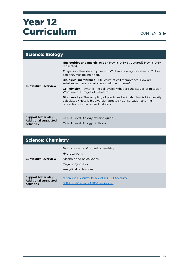#### CONTENTS

| <b>Science: Biology</b>                                                 |                                                                                                                                                                                        |
|-------------------------------------------------------------------------|----------------------------------------------------------------------------------------------------------------------------------------------------------------------------------------|
| <b>Curriculum Overview</b>                                              | <b>Nucleotides and nucleic acids - How is DNA structured? How is DNA</b><br>replicated?                                                                                                |
|                                                                         | <b>Enzymes</b> - How do enzymes work? How are enzymes effected? How<br>can enzymes be inhibited?                                                                                       |
|                                                                         | <b>Biological membranes</b> - Structure of cell membranes. How are<br>substances transported across cell membranes?                                                                    |
|                                                                         | <b>Cell division</b> - What is the cell cycle? What are the stages of mitosis?<br>What are the stages of meiosis?                                                                      |
|                                                                         | <b>Biodiversity</b> - The sampling of plants and animals. How is biodiversity<br>calculated? How is biodiversity affected? Conservation and the<br>protection of species and habitats. |
| <b>Support Materials /</b><br><b>Additional suggested</b><br>activities | OCR A-Level Biology revision guide.                                                                                                                                                    |
|                                                                         | OCR A-Level Biology textbook.                                                                                                                                                          |

| <b>Science: Chemistry</b>                                               |                                                                                                                               |
|-------------------------------------------------------------------------|-------------------------------------------------------------------------------------------------------------------------------|
| <b>Curriculum Overview</b>                                              | Basic concepts of organic chemistry<br>Hydrocarbons<br>Alcohols and haloalkanes<br>Organic synthesis<br>Analytical techniques |
| <b>Support Materials /</b><br><b>Additional suggested</b><br>activities | chemrevise   Resources for A-level and GCSE Chemistry<br>OCR A Level Chemistry A H432 Specification                           |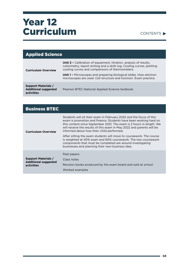#### CONTENTS

| <b>Applied Science</b>                                                  |                                                                                                                                                                                                        |
|-------------------------------------------------------------------------|--------------------------------------------------------------------------------------------------------------------------------------------------------------------------------------------------------|
| <b>Curriculum Overview</b>                                              | <b>Unit 2 -</b> Calibration of equipment, titration, analysis of results,<br>colorimetry, report writing and a skills log. Cooling curves, plotting<br>cooling curves and comparisons of thermometers. |
|                                                                         | <b>Unit 1 -</b> Microscopes and preparing biological slides. How electron<br>microscopes are used. Cell structure and function. Exam practice.                                                         |
| <b>Support Materials /</b><br><b>Additional suggested</b><br>activities | Pearson BTEC National Applied Science textbook.                                                                                                                                                        |

| <b>Business BTEC</b>                                                    |                                                                                                                                                                                                                                                                                                                                        |
|-------------------------------------------------------------------------|----------------------------------------------------------------------------------------------------------------------------------------------------------------------------------------------------------------------------------------------------------------------------------------------------------------------------------------|
| <b>Curriculum Overview</b>                                              | Students will sit their exam in February 2022 and the focus of this<br>exam is promotion and finance. Students have been working hard on<br>this content since September 2021. The exam is 2 hours in length. We<br>will receive the results of this exam in May 2022 and parents will be<br>informed about how their child performed. |
|                                                                         | After sitting the exam students will move to coursework. The course<br>is weighted at 40% exam and 60% coursework. The two coursework<br>components that must be completed are around investigating<br>businesses and planning their own business idea.                                                                                |
| <b>Support Materials /</b><br><b>Additional suggested</b><br>activities | Past papers                                                                                                                                                                                                                                                                                                                            |
|                                                                         | Class notes                                                                                                                                                                                                                                                                                                                            |
|                                                                         | Revision books produced by the exam board and sold at school                                                                                                                                                                                                                                                                           |
|                                                                         | Worked examples                                                                                                                                                                                                                                                                                                                        |

÷,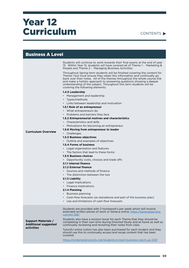#### CONTENTS

| <b>Business A Level</b>                                                 |                                                                                                                                                                                                                                                                                                                                                                                                                      |
|-------------------------------------------------------------------------|----------------------------------------------------------------------------------------------------------------------------------------------------------------------------------------------------------------------------------------------------------------------------------------------------------------------------------------------------------------------------------------------------------------------|
|                                                                         | Students will continue to work towards their final exams at the end of year<br>13. Within Year 12, students will have covered all of Theme 1 - Marketing &<br>People and Theme 2 - Managing Business Activities                                                                                                                                                                                                      |
|                                                                         | Throughout Spring term students will be finished covering the content for<br>Theme 1 but must ensure they retain this information and continually go<br>back over their notes. All of the themes throughout the whole course link<br>and make a holistic approach to answering questions showing a deeper<br>understanding of the subject. Throughout this term students will be<br>covering the following elements: |
|                                                                         | 1.4.5 Leadership                                                                                                                                                                                                                                                                                                                                                                                                     |
|                                                                         | • Management and leadership                                                                                                                                                                                                                                                                                                                                                                                          |
|                                                                         | • Types/methods                                                                                                                                                                                                                                                                                                                                                                                                      |
|                                                                         | • Links between leadership and motivation                                                                                                                                                                                                                                                                                                                                                                            |
|                                                                         | 1.5.1 Role of an entrepreneur                                                                                                                                                                                                                                                                                                                                                                                        |
|                                                                         | • What entrepreneurs do                                                                                                                                                                                                                                                                                                                                                                                              |
|                                                                         | • Problems and barriers they face                                                                                                                                                                                                                                                                                                                                                                                    |
|                                                                         | 1.5.2 Entrepreneurial motives and characteristics                                                                                                                                                                                                                                                                                                                                                                    |
|                                                                         | • Characteristics and skills                                                                                                                                                                                                                                                                                                                                                                                         |
|                                                                         | • Motivations for becoming an entrepreneur                                                                                                                                                                                                                                                                                                                                                                           |
| <b>Curriculum Overview</b>                                              | 1.5.6 Moving from entrepreneur to leader<br>• Challenges                                                                                                                                                                                                                                                                                                                                                             |
|                                                                         | 1.5.3 Business objectives                                                                                                                                                                                                                                                                                                                                                                                            |
|                                                                         | • Outline and examples of objectives                                                                                                                                                                                                                                                                                                                                                                                 |
|                                                                         | 1.5.4 Forms of business                                                                                                                                                                                                                                                                                                                                                                                              |
|                                                                         | • Legal organisation and features                                                                                                                                                                                                                                                                                                                                                                                    |
|                                                                         | • The factors that lead to these forms                                                                                                                                                                                                                                                                                                                                                                               |
|                                                                         | <b>1.5.5 Business choices</b>                                                                                                                                                                                                                                                                                                                                                                                        |
|                                                                         | • Opportunity costs, choices and trade offs                                                                                                                                                                                                                                                                                                                                                                          |
|                                                                         | 2.1.1 Internal finance                                                                                                                                                                                                                                                                                                                                                                                               |
|                                                                         | 2.1.2 External finance                                                                                                                                                                                                                                                                                                                                                                                               |
|                                                                         | • Sources and methods of finance                                                                                                                                                                                                                                                                                                                                                                                     |
|                                                                         | The distinction between the two<br>$\bullet$                                                                                                                                                                                                                                                                                                                                                                         |
|                                                                         | 2.1.3 Liability                                                                                                                                                                                                                                                                                                                                                                                                      |
|                                                                         | • Legal implications                                                                                                                                                                                                                                                                                                                                                                                                 |
|                                                                         | • Finance implications                                                                                                                                                                                                                                                                                                                                                                                               |
|                                                                         | 2.1.4 Planning                                                                                                                                                                                                                                                                                                                                                                                                       |
|                                                                         | • Business planning<br>Cash-flow forecasts (as standalone and part of the business plan)                                                                                                                                                                                                                                                                                                                             |
|                                                                         | Use and limitations of cash-flow forecasts                                                                                                                                                                                                                                                                                                                                                                           |
|                                                                         | Students are provided with 2 homework's per week which will involve<br>extended written pieces of work or Seneca online. https://senecalearning.<br>$com/en-GB/$                                                                                                                                                                                                                                                     |
| <b>Support Materials /</b><br><b>Additional suggested</b><br>activities | Students also have a revision book for each Theme that they should be<br>completing in their own time during Directed Study and at home as well as<br>continually reviewing and revisiting their notes from class.                                                                                                                                                                                                   |
|                                                                         | Tutor2U online tuition has also been purchased for each student and they<br>should use this to continually access and recap content that has been<br>covered.                                                                                                                                                                                                                                                        |
|                                                                         | https://ondemand.tutor2u.net/students/a-level-business-catch-up-2021                                                                                                                                                                                                                                                                                                                                                 |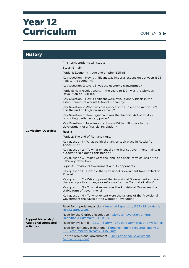

| <b>History</b>                                                                 |                                                                                                                                                                                                                                                                                                                                                                                                                                                                                                                                                                                                                                                                                                                                                                                                                                                                                                                                                                                                                                                                                                                                                                                                                                                                                                                                                                                                                                            |
|--------------------------------------------------------------------------------|--------------------------------------------------------------------------------------------------------------------------------------------------------------------------------------------------------------------------------------------------------------------------------------------------------------------------------------------------------------------------------------------------------------------------------------------------------------------------------------------------------------------------------------------------------------------------------------------------------------------------------------------------------------------------------------------------------------------------------------------------------------------------------------------------------------------------------------------------------------------------------------------------------------------------------------------------------------------------------------------------------------------------------------------------------------------------------------------------------------------------------------------------------------------------------------------------------------------------------------------------------------------------------------------------------------------------------------------------------------------------------------------------------------------------------------------|
| <b>Curriculum Overview</b>                                                     | This term, students will study:<br>Stuart Britain<br>Topic 4: Economy, trade and empire 1625-88<br>Key Question 1: How significant was imperial expansion between 1625<br>-88 to the economy?<br>Key Question 2: Overall, was the economy transformed?<br>Topic 5: How revolutionary, in the years to 1701, was the Glorious<br>Revolution of 1688-89?<br>Key Question 1: How significant were revolutionary ideals in the<br>establishment of a constitutional monarchy?<br>Key Question 2: What was the impact of the Toleration Act of 1689<br>and the end of Anglican supremacy?<br>Key Question 3: How significant was the Triennial Act of 1694 in<br>promoting parliamentary power?<br>Key Question 4: How important were William III's wars in the<br>development of a financial revolution?<br><b>Russia</b><br>Topic 2: The end of Romanov rule.<br>Key question 1 - What political changes took place in Russia from<br>19006-1914?<br>Key question 2 - To what extent did the Tsarist government maintain<br>autocratic rule during this period?<br>Key question 3 - What were the long- and short-term causes of the<br>February revolution?<br>Topic 3: Provisional Government and its opponents.<br>Key question 1 - How did the Provisional Government take control of<br>Russia?<br>Key question 2 - Who opposed the Provisional Government and was<br>there any political change or reforms after the Tsar's abdication? |
|                                                                                | Key question 3 - To what extent was the Provisional Government a<br>stable form of government?<br>Key question 4 - To what extent were the failures of the Provisional<br>Government the cause of the October Revolution?                                                                                                                                                                                                                                                                                                                                                                                                                                                                                                                                                                                                                                                                                                                                                                                                                                                                                                                                                                                                                                                                                                                                                                                                                  |
| <b>Support Materials /</b><br><b>Additional suggested</b><br><b>activities</b> | Read for imperial expansion - Imperial Expansion, 1625 - 88 by Harriet<br>Hewitt (prezi.com)<br>Read for the Glorious Revolution - Glorious Revolution of 1688 -<br>Definition & Summary - HISTORY<br>Read for William III - BBC - History - British History in depth: William III<br>Read for Romanov executions - Romanov family executed, ending a<br>300-year imperial dynasty - HISTORY<br>For the provisional government - The Provisional Government<br>(alphahistory.com)                                                                                                                                                                                                                                                                                                                                                                                                                                                                                                                                                                                                                                                                                                                                                                                                                                                                                                                                                          |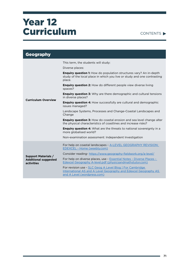

| <b>Geography</b>                                                               |                                                                                                                                                                                                                                                                                                                                                                                                                                                                                                                                                                                                                                                                                                                                                                                                                                                                                       |
|--------------------------------------------------------------------------------|---------------------------------------------------------------------------------------------------------------------------------------------------------------------------------------------------------------------------------------------------------------------------------------------------------------------------------------------------------------------------------------------------------------------------------------------------------------------------------------------------------------------------------------------------------------------------------------------------------------------------------------------------------------------------------------------------------------------------------------------------------------------------------------------------------------------------------------------------------------------------------------|
| <b>Curriculum Overview</b>                                                     | This term, the students will study:<br>Diverse places:<br>Enquiry question 1: How do population structures vary? An in-depth<br>study of the local place in which you live or study and one contrasting<br>place.<br>Enquiry question 2: How do different people view diverse living<br>spaces?<br><b>Enquiry question 3:</b> Why are there demographic and cultural tensions<br>in diverse places?<br>Enquiry question 4: How successfully are cultural and demographic<br>issues managed?<br>Landscape Systems, Processes and Change-Coastal Landscapes and<br>Change<br>Enquiry question 3: How do coastal erosion and sea level change alter<br>the physical characteristics of coastlines and increase risks?<br><b>Enquiry question 4:</b> What are the threats to national sovereignty in a<br>more globalised world?<br>Non-examination assessment: Independent Investigation |
| <b>Support Materials /</b><br><b>Additional suggested</b><br><b>activities</b> | For help on coastal landscapes - A-LEVEL GEOGRAPHY REVISION:<br>EDEXCEL - Home (weebly.com)<br>Consider reading-https://www.geography-fieldwork.org/a-level/<br>For help on diverse places, use - Essential Notes - Diverse Places -<br>Edexcel Geography A-level.pdf (physicsandmathstutor.com)<br>For revision use - SLC Geog A Level Blog   For Cambridge<br>International AS and A Level Geography and Edexcel Geography AS<br>and A Level (wordpress.com)                                                                                                                                                                                                                                                                                                                                                                                                                        |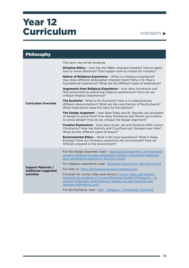#### CONTENTS

| <b>Philosophy</b>                                                       |                                                                                                                                                                                                                                        |
|-------------------------------------------------------------------------|----------------------------------------------------------------------------------------------------------------------------------------------------------------------------------------------------------------------------------------|
|                                                                         | This term, we will be studying:                                                                                                                                                                                                        |
|                                                                         | <b>Situation Ethics</b> - How has the 1960s changed morality? How to apply<br>love to moral dilemmas? Does agape work as a basis for morality?                                                                                         |
|                                                                         | Nature of Religious Experience - What is a religious experience?<br>How does different philosopher interpret them? Why is St. Paul a<br>foundational experience? What are the different types of experience?                           |
|                                                                         | Arguments from Religious Experience - How does Swinburne and<br>Hick prove God by examining religious experiences? How can we<br>critique religious experiences?                                                                       |
| <b>Curriculum Overview</b>                                              | <b>The Eucharist</b> - What is the Eucharist? How is it understood by<br>different denominations? What are the core themes of the Eucharist?<br>What implications does this have for the believer?                                     |
|                                                                         | <b>The Design Argument</b> - How does Paley and St. Aquinas use analogies<br>of design to prove God? How does Swinburne and Tenant use science<br>to prove design? How do we critique the design argument?                             |
|                                                                         | <b>Creative Expressions</b> - How does music, art and literature differ across<br>Christianity? How has Nativity and Crucifixion art changed over time?<br>What are the different types of prayer?                                     |
|                                                                         | <b>Environmental Ethics</b> - What is the Gaia hypothesis? What is Deep<br>Ecology? How do Christians respond to the environment? How do<br>Atheists respond to the environment?                                                       |
|                                                                         | For the design argument, read - Teleological Argument   a2-level-level-<br>revision, religious-studies, philosophy-religion, arguments-existence-<br>god, teleological-argument   Revision World                                       |
|                                                                         | For religious experience, read - Religious Experience   Revision World                                                                                                                                                                 |
| <b>Support Materials /</b><br><b>Additional suggested</b><br>activities | For help on https://philosophydungeon.weebly.com/                                                                                                                                                                                      |
|                                                                         | Consider for course notes and revision Course notes and revision<br>materials for students of A Level Religious Studies/Philosophy. - A<br>blog for Philosophy and Religious Studies A-Level students and<br>teachers (philrsblog.com) |
|                                                                         | For the Eucharist, read - BBC - Religions - Christianity: Eucharist                                                                                                                                                                    |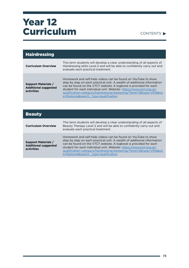#### CONTENTS

| <b>Hairdressing</b>                                                     |                                                                                                                                                                                                                                                                                                                                                                                                   |
|-------------------------------------------------------------------------|---------------------------------------------------------------------------------------------------------------------------------------------------------------------------------------------------------------------------------------------------------------------------------------------------------------------------------------------------------------------------------------------------|
| <b>Curriculum Overview</b>                                              | This term students will develop a clear understanding of all aspects of<br>Hairdressing skills Level 2 and will be able to confidently carry out and<br>evaluate each practical treatment.                                                                                                                                                                                                        |
| <b>Support Materials /</b><br><b>Additional suggested</b><br>activities | Homework and self-help videos can be found on YouTube to show<br>step by step on each practical unit. A wealth of additional information<br>can be found on the VTCT website. A logbook is provided for each<br>student for each individual unit. Website- https://www.vtct.org.uk/<br>gualification-category/hairdressing-barbering/?level=2&type=VRQ&siz<br>e=Diploma&search type=qualification |

| <b>Beauty</b>                                                           |                                                                                                                                                                                                                                                                                                                                                                                                   |
|-------------------------------------------------------------------------|---------------------------------------------------------------------------------------------------------------------------------------------------------------------------------------------------------------------------------------------------------------------------------------------------------------------------------------------------------------------------------------------------|
| <b>Curriculum Overview</b>                                              | This term students will develop a clear understanding of all aspects of<br>Beauty Therapy Level 2 and will be able to confidently carry out and<br>evaluate each practical treatment.                                                                                                                                                                                                             |
| <b>Support Materials /</b><br><b>Additional suggested</b><br>activities | Homework and self-help videos can be found on YouTube to show<br>step by step on each practical unit. A wealth of additional information<br>can be found on the VTCT website. A logbook is provided for each<br>student for each individual unit. Website- https://www.vtct.org.uk/<br>gualification-category/hairdressing-barbering/?level=2&type=VRQ&siz<br>e=Diploma&search type=qualification |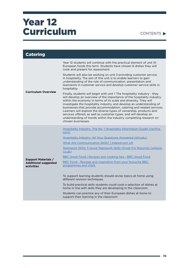| <b>Catering</b>                           |                                                                                                                                                                                                                                                                                                                                                                                                                                                                                                                                                                                                                 |
|-------------------------------------------|-----------------------------------------------------------------------------------------------------------------------------------------------------------------------------------------------------------------------------------------------------------------------------------------------------------------------------------------------------------------------------------------------------------------------------------------------------------------------------------------------------------------------------------------------------------------------------------------------------------------|
| <b>Curriculum Overview</b>                | Year 12 students will continue with the practical element of unit 10<br>European foods this term. Students have chosen 6 dishes they will<br>cook and present for assessment.                                                                                                                                                                                                                                                                                                                                                                                                                                   |
|                                           | Students will also be working on unit 3 providing customer service<br>in hospitality. The aim of this unit is to enable learners to gain<br>understanding of the role of communication, presentation and<br>teamwork in customer service and develop customer service skills in<br>hospitality.                                                                                                                                                                                                                                                                                                                 |
|                                           | Finally, students will begin with unit 1 The hospitality industry - they<br>will develop an overview of the importance of the hospitality industry<br>within the economy in terms of its scale and diversity. They will<br>investigate the hospitality industry, and develop an understanding of<br>businesses that provide accommodation, catering and related services.<br>Learners will explore the diverse types of ownership, products and<br>services offered, as well as customer types, and will develop an<br>understanding of trends within the industry completing research on<br>chosen businesses. |
|                                           | Hospitality Industry: The No. 1 Hospitality Information Guide! (revfine.<br>com)                                                                                                                                                                                                                                                                                                                                                                                                                                                                                                                                |
|                                           | Hospitality Industry: All Your Questions Answered (ehl.edu)                                                                                                                                                                                                                                                                                                                                                                                                                                                                                                                                                     |
|                                           | What Are Communication Skills?   Indeed.com UK                                                                                                                                                                                                                                                                                                                                                                                                                                                                                                                                                                  |
|                                           | Teamwork Skills: 5 Good Teamwork Skills (Great For Resume) (wikijob.<br>co.uk)                                                                                                                                                                                                                                                                                                                                                                                                                                                                                                                                  |
| <b>Support Materials /</b>                | BBC Good Food   Recipes and cooking tips - BBC Good Food                                                                                                                                                                                                                                                                                                                                                                                                                                                                                                                                                        |
| <b>Additional suggested</b><br>activities | BBC Food - Recipes and inspiration from your favourite BBC<br>programmes and chefs                                                                                                                                                                                                                                                                                                                                                                                                                                                                                                                              |
|                                           | To support learning students should revise topics at home using<br>different revision techniques.                                                                                                                                                                                                                                                                                                                                                                                                                                                                                                               |
|                                           | To build practical skills students could cook a selection of dishes at<br>home in line with skills they are developing in the classroom                                                                                                                                                                                                                                                                                                                                                                                                                                                                         |
|                                           | Students can practice any of their European dishes at home to<br>support their learning in the classroom                                                                                                                                                                                                                                                                                                                                                                                                                                                                                                        |

÷.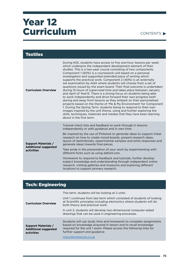| <b>Textiles</b>                                                                |                                                                                                                                                                                                                                                                                                                                                                                                                                                                                                                                                                                                                                                                                                                                                                                                                                                                                                                                                                                                                                                                                                                                                               |
|--------------------------------------------------------------------------------|---------------------------------------------------------------------------------------------------------------------------------------------------------------------------------------------------------------------------------------------------------------------------------------------------------------------------------------------------------------------------------------------------------------------------------------------------------------------------------------------------------------------------------------------------------------------------------------------------------------------------------------------------------------------------------------------------------------------------------------------------------------------------------------------------------------------------------------------------------------------------------------------------------------------------------------------------------------------------------------------------------------------------------------------------------------------------------------------------------------------------------------------------------------|
| <b>Curriculum Overview</b>                                                     | During KS5, students have access to five one-hour lessons per week<br>which underpins the independent development element of their<br>studies. This is a two-year course consisting of two components.<br>Component 1 (60%) is a coursework unit based on a personal<br>investigation and supported extended piece of writing which<br>supports the practical work. Component 2 (40%) is an externally<br>set examination by AQA where students will choose from a set of<br>questions issued by the exam board. Their final outcome is undertaken<br>during 15 hours of supervised time and takes place between January<br>and April of Year13. There is a strong focus on students being able<br>to work independently and drive forward their own progress both<br>during and away from lessons as they embark on their personalised<br>projects based on the theme of 'Me & My Environment' for Component<br>1. During the Spring Term, students being to respond to their own<br>images inspired by the unit theme, using and further exploring the<br>skills, techniques, materials and medias that they have been learning<br>about in the first term. |
| <b>Support Materials /</b><br><b>Additional suggested</b><br><b>activities</b> | Tutorial check lists and feedback to work through in lessons<br>independently or with guidance and in own time.                                                                                                                                                                                                                                                                                                                                                                                                                                                                                                                                                                                                                                                                                                                                                                                                                                                                                                                                                                                                                                               |
|                                                                                | Be inspired by the use of Pinterest to generate ideas to support initial<br>research on how to create mood boards, present research ideas,<br>layout of sketchbooks, experimental samples and artist responses and<br>generate ideas towards final pieces.                                                                                                                                                                                                                                                                                                                                                                                                                                                                                                                                                                                                                                                                                                                                                                                                                                                                                                    |
|                                                                                | Take pride in the presentation of your work by experimenting with<br>different fonts such as using dafont.com.                                                                                                                                                                                                                                                                                                                                                                                                                                                                                                                                                                                                                                                                                                                                                                                                                                                                                                                                                                                                                                                |
|                                                                                | Homework to respond to feedback and tutorials, further develop<br>subject knowledge and understanding through independent online<br>research, visiting galleries and museums and exploring different<br>locations to support primary research.                                                                                                                                                                                                                                                                                                                                                                                                                                                                                                                                                                                                                                                                                                                                                                                                                                                                                                                |

| <b>Tech: Engineering</b>                                                |                                                                                                                                                                                                                                           |
|-------------------------------------------------------------------------|-------------------------------------------------------------------------------------------------------------------------------------------------------------------------------------------------------------------------------------------|
| <b>Curriculum Overview</b>                                              | This term, students will be looking at 2 units.                                                                                                                                                                                           |
|                                                                         | Unit 1 continues from last term which consisted of students of looking<br>at Scientific principles including electronics where students will do<br>both theory and practical work.                                                        |
|                                                                         | In unit 2, students will develop two-dimensional computer-aided<br>drawings that can be used in engineering processes.                                                                                                                    |
| <b>Support Materials /</b><br><b>Additional suggested</b><br>activities | Students will use study time and homework to complete assignments<br>based on knowledge acquired in lesson and to recall knowledge<br>required for the unit 1 exam. Please access the following links for<br>further support and guidance |
|                                                                         | www.bbcbitesize.co.uk                                                                                                                                                                                                                     |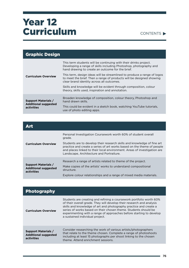#### CONTENTS

| <b>Graphic Design</b>                                                   |                                                                                                                                                                                              |
|-------------------------------------------------------------------------|----------------------------------------------------------------------------------------------------------------------------------------------------------------------------------------------|
| <b>Curriculum Overview</b>                                              | This term students will be continuing with their drinks project.<br>Developing a range of skills including Photoshop, photography and<br>hand drawing to create an outcome for the brief.    |
|                                                                         | This term, design ideas will be streamlined to produce a range of logos<br>to meet the brief. Then a range of products will be designed showing<br>clear brand identity across all outcomes. |
|                                                                         | Skills and knowledge will be evident through composition, colour<br>theory, skills used, inspiration and annotation.                                                                         |
| <b>Support Materials /</b><br><b>Additional suggested</b><br>activities | Broaden knowledge of composition, colour theory, Photoshop and<br>hand drawn skills.                                                                                                         |
|                                                                         | This could be evident in a sketch book, watching YouTube tutorials,<br>use of photo editing apps.                                                                                            |

| <b>Art</b>                                                              |                                                                                                                                                                                                                                                                           |
|-------------------------------------------------------------------------|---------------------------------------------------------------------------------------------------------------------------------------------------------------------------------------------------------------------------------------------------------------------------|
| <b>Curriculum Overview</b>                                              | Personal Investigation Coursework worth 60% of student overall<br>grade.                                                                                                                                                                                                  |
|                                                                         | Students are to develop their research skills and knowledge of fine art<br>practice and create a series of art works based on the theme of people<br>and places linked to their local environment. Areas of investigation are<br>Landscape, Architecture and Portraiture. |
| <b>Support Materials /</b><br><b>Additional suggested</b><br>activities | Research a range of artists related to theme of the project.                                                                                                                                                                                                              |
|                                                                         | Make copies of the artists' works to understand compositional<br>structure.                                                                                                                                                                                               |
|                                                                         | Explore colour relationships and a range of mixed media materials.                                                                                                                                                                                                        |

| <b>Photography</b>                                                      |                                                                                                                                                                                                                                                                                                                                                                                                |
|-------------------------------------------------------------------------|------------------------------------------------------------------------------------------------------------------------------------------------------------------------------------------------------------------------------------------------------------------------------------------------------------------------------------------------------------------------------------------------|
| <b>Curriculum Overview</b>                                              | Students are creating and refining a coursework portfolio worth 60%<br>of their overall grade. They will develop their research and analysis<br>skills and knowledge of art and photography practice and create a<br>series of works based on their chosen theme. Students should be<br>experimenting with a range of approaches before starting to develop<br>a sustained individual project. |
| <b>Support Materials /</b><br><b>Additional suggested</b><br>activities | Consider researching the work of various artists/photographers<br>that relate to the theme chosen. Complete a range of photoshoots<br>including at least 15 photographs per shoot linking to the chosen<br>theme. Attend enrichment sessions.                                                                                                                                                  |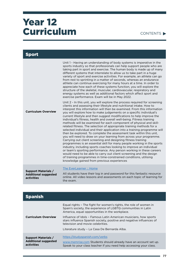#### CONTENTS

| Unit 1 - Having an understanding of body systems is imperative in the<br>sports industry so that professionals can help support people who are<br>taking part in sport and exercise. The human body is made up of many<br>different systems that interrelate to allow us to take part in a huge<br>variety of sport and exercise activities. For example, an athlete can go<br>from rest to sprinting in a matter of seconds, whereas an endurance<br>athlete can continue exercising for many hours at a time. In order to<br>appreciate how each of these systems function, you will explore the<br>structure of the skeletal, muscular, cardiovascular, respiratory and<br>energy systems as well as additional factors which affect sport and<br>exercise performance. Exam will be in May 2022.                                                                                                                                                                                                                                                                                                                                                                                                                                                                                                        |
|-------------------------------------------------------------------------------------------------------------------------------------------------------------------------------------------------------------------------------------------------------------------------------------------------------------------------------------------------------------------------------------------------------------------------------------------------------------------------------------------------------------------------------------------------------------------------------------------------------------------------------------------------------------------------------------------------------------------------------------------------------------------------------------------------------------------------------------------------------------------------------------------------------------------------------------------------------------------------------------------------------------------------------------------------------------------------------------------------------------------------------------------------------------------------------------------------------------------------------------------------------------------------------------------------------------|
| Unit 2 - In this unit, you will explore the process required for screening<br>clients and assessing their lifestyle and nutritional intake. How to<br>interpret this information will then be examined. From this information<br>you will explore how to make judgements on a specific individual's<br>current lifestyle and then suggest modifications to help improve the<br>individual's fitness, health and overall well-being. Fitness training<br>methods will be examined for each component of physical and skill-<br>related fitness. The selection of appropriate training methods for a<br>selected individual and their application into a training programme will<br>then be explored. To complete the assessment task within this unit,<br>you will need to draw on your learning from across your programme.<br>Carrying out client screening and designing fitness training<br>programmes is an essential skill for many people working in the sports<br>industry, including sports coaches looking to improve an individual<br>or team's sporting performance. Any person working in these careers<br>would need to be able to carry out client screening and the design<br>of training programmes in time-constrained conditions, utilising<br>knowledge gained from previous experiences |
| The EverLearner :: Home<br>All students have their log in and password for this fantastic resource<br>online. All video lessons and assessments on each topic of learning for<br>the exam.                                                                                                                                                                                                                                                                                                                                                                                                                                                                                                                                                                                                                                                                                                                                                                                                                                                                                                                                                                                                                                                                                                                  |
|                                                                                                                                                                                                                                                                                                                                                                                                                                                                                                                                                                                                                                                                                                                                                                                                                                                                                                                                                                                                                                                                                                                                                                                                                                                                                                             |

| <b>Spanish</b>                                                          |                                                                                                                                                                                      |
|-------------------------------------------------------------------------|--------------------------------------------------------------------------------------------------------------------------------------------------------------------------------------|
| <b>Curriculum Overview</b>                                              | Equal rights - The fight for women's rights, the role of women in<br>Spain's society, the experience of LGBTQ communities in Latin<br>America, equal opportunities in the workplace. |
|                                                                         | Influence of Idols - Famous Latin American musicians, how sports<br>stars influence Spanish society, positive and negative influences of<br>television and movie celebrities.        |
|                                                                         | Literature study - La Casa De Bernarda Alba.                                                                                                                                         |
| <b>Support Materials /</b><br><b>Additional suggested</b><br>activities | https://studyspanish.com/verbs<br>www.memrise.com Students should already have an account set up.<br>Speak to your class teacher if you need help accessing your class.              |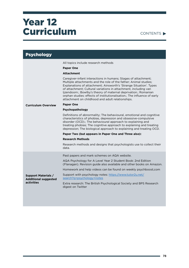

| <b>Psychology</b>                                                              |                                                                                                                                                                                                                                                                                                                                                                                                                                                                                |
|--------------------------------------------------------------------------------|--------------------------------------------------------------------------------------------------------------------------------------------------------------------------------------------------------------------------------------------------------------------------------------------------------------------------------------------------------------------------------------------------------------------------------------------------------------------------------|
|                                                                                | All topics include research methods                                                                                                                                                                                                                                                                                                                                                                                                                                            |
|                                                                                | <b>Paper One</b>                                                                                                                                                                                                                                                                                                                                                                                                                                                               |
|                                                                                | <b>Attachment</b>                                                                                                                                                                                                                                                                                                                                                                                                                                                              |
|                                                                                | Caregiver-infant interactions in humans; Stages of attachment;<br>Multiple attachments and the role of the father; Animal studies;<br>Explanations of attachment; Ainsworth's 'Strange Situation'. Types<br>of attachment; Cultural variations in attachment, including van<br>Ijzendoorn.; Bowlby's theory of maternal deprivation.; Romanian<br>orphan studies: effects of institutionalisation.; The influence of early<br>attachment on childhood and adult relationships. |
| <b>Curriculum Overview</b>                                                     | <b>Paper One</b>                                                                                                                                                                                                                                                                                                                                                                                                                                                               |
|                                                                                | Psychopathology                                                                                                                                                                                                                                                                                                                                                                                                                                                                |
|                                                                                | Definitions of abnormality; The behavioural, emotional and cognitive<br>characteristics of phobias, depression and obsessive-compulsive<br>disorder (OCD).; The behavioural approach to explaining and<br>treating phobias; The cognitive approach to explaining and treating<br>depression; The biological approach to explaining and treating OCD.                                                                                                                           |
|                                                                                | Paper Two (but appears in Paper One and Three also):                                                                                                                                                                                                                                                                                                                                                                                                                           |
|                                                                                | <b>Research Methods</b>                                                                                                                                                                                                                                                                                                                                                                                                                                                        |
|                                                                                | Research methods and designs that psychologists use to collect their<br>data.                                                                                                                                                                                                                                                                                                                                                                                                  |
|                                                                                | Past papers and mark schemes on AQA website.                                                                                                                                                                                                                                                                                                                                                                                                                                   |
|                                                                                | AQA Psychology for A Level Year 2 Student Book: 2nd Edition<br>(Flanagan). Revision guide also available and other books on Amazon.                                                                                                                                                                                                                                                                                                                                            |
|                                                                                | Homework and help videos can be found on weekly psychboost, com                                                                                                                                                                                                                                                                                                                                                                                                                |
| <b>Support Materials /</b><br><b>Additional suggested</b><br><b>activities</b> | Support with psychology notes: https://www.tutor2u.net/<br>search?q=psychology+notes                                                                                                                                                                                                                                                                                                                                                                                           |
|                                                                                | Extra research: The British Psychological Society and BPS Research<br>digest on Twitter                                                                                                                                                                                                                                                                                                                                                                                        |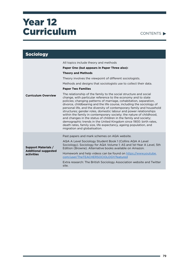

| <b>Sociology</b>                                                        |                                                                                                                                                                                                                                                                                                                                                                                                                                                                                                                                                                                                                                                                                                                                                      |
|-------------------------------------------------------------------------|------------------------------------------------------------------------------------------------------------------------------------------------------------------------------------------------------------------------------------------------------------------------------------------------------------------------------------------------------------------------------------------------------------------------------------------------------------------------------------------------------------------------------------------------------------------------------------------------------------------------------------------------------------------------------------------------------------------------------------------------------|
|                                                                         | All topics include theory and methods                                                                                                                                                                                                                                                                                                                                                                                                                                                                                                                                                                                                                                                                                                                |
|                                                                         | Paper One (but appears in Paper Three also):                                                                                                                                                                                                                                                                                                                                                                                                                                                                                                                                                                                                                                                                                                         |
|                                                                         | <b>Theory and Methods</b>                                                                                                                                                                                                                                                                                                                                                                                                                                                                                                                                                                                                                                                                                                                            |
|                                                                         | Theory involves the viewpoint of different sociologists.                                                                                                                                                                                                                                                                                                                                                                                                                                                                                                                                                                                                                                                                                             |
|                                                                         | Methods and designs that sociologists use to collect their data.                                                                                                                                                                                                                                                                                                                                                                                                                                                                                                                                                                                                                                                                                     |
|                                                                         | <b>Paper Two Families</b>                                                                                                                                                                                                                                                                                                                                                                                                                                                                                                                                                                                                                                                                                                                            |
| <b>Curriculum Overview</b>                                              | The relationship of the family to the social structure and social<br>change, with particular reference to the economy and to state<br>policies; changing patterns of marriage, cohabitation, separation,<br>divorce, childbearing and the life course, including the sociology of<br>personal life, and the diversity of contemporary family and household<br>structures; gender roles, domestic labour and power relationships<br>within the family in contemporary society; the nature of childhood,<br>and changes in the status of children in the family and society;<br>demographic trends in the United Kingdom since 1900: birth rates,<br>death rates, family size, life expectancy, ageing population, and<br>migration and globalisation. |
| <b>Support Materials /</b><br><b>Additional suggested</b><br>activities | Past papers and mark schemes on AQA website.<br>AQA A Level Sociology Student Book 1 (Collins AQA A Level<br>Sociology). Sociology for AQA Volume 1: AS and 1st-Year A Level, 5th<br>Edition (Browne). Alternative books available on Amazon.<br>Homework and help videos can be found on https://www.youtube.<br>com/user/TheTEACHERSOCIOLOGY/featured<br>Extra research: The British Sociology Association website and Twitter<br>site.                                                                                                                                                                                                                                                                                                            |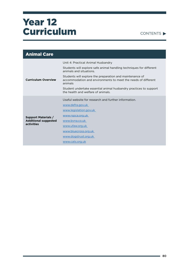

| <b>Animal Care</b>                                                      |                                                                                                                                                                                                                                                                                                                                                   |
|-------------------------------------------------------------------------|---------------------------------------------------------------------------------------------------------------------------------------------------------------------------------------------------------------------------------------------------------------------------------------------------------------------------------------------------|
| <b>Curriculum Overview</b>                                              | Unit 4: Practical Animal Husbandry<br>Students will explore safe animal handling techniques for different<br>animals and situations.<br>Students will explore the preparation and maintenance of<br>accommodation and environments to meet the needs of different<br>animals<br>Student undertake essential animal husbandry practices to support |
|                                                                         | the health and welfare of animals.                                                                                                                                                                                                                                                                                                                |
| <b>Support Materials /</b><br><b>Additional suggested</b><br>activities | Useful website for research and further information.<br>www.defra.gov.uk<br>www.legislation.gov.uk<br>www.rspca.org.uk<br>www.byna.co.uk<br>www.ufaw.org.uk<br>www.bluecross.org.uk<br>www.dogstrust.org.uk<br>www.cats.org.uk                                                                                                                    |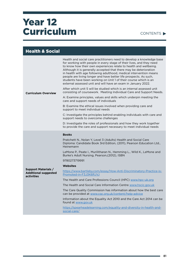#### CONTENTS

| <b>Health &amp; Social</b>                                                     |                                                                                                                                                                                                                                                                                                                                                                                                                                                                                                                                                                         |
|--------------------------------------------------------------------------------|-------------------------------------------------------------------------------------------------------------------------------------------------------------------------------------------------------------------------------------------------------------------------------------------------------------------------------------------------------------------------------------------------------------------------------------------------------------------------------------------------------------------------------------------------------------------------|
| <b>Curriculum Overview</b>                                                     | Health and social care practitioners need to develop a knowledge base<br>for working with people in every stage of their lives, and they need<br>to know how their own experiences relate to health and wellbeing.<br>Although it is generally accepted that there may be deterioration<br>in health with age following adulthood, medical intervention means<br>people are living longer and have better life prospects. As such,<br>students have been working on Unit 1 of their course which is an<br>external assessed unit and will have an exam in January 2022. |
|                                                                                | After which unit 5 will be studied which is an internal assessed unit<br>consisting of coursework. Meeting Individual Care and Support Needs.                                                                                                                                                                                                                                                                                                                                                                                                                           |
|                                                                                | A: Examine principles, values and skills which underpin meeting the<br>care and support needs of individuals                                                                                                                                                                                                                                                                                                                                                                                                                                                            |
|                                                                                | B: Examine the ethical issues involved when providing care and<br>support to meet individual needs                                                                                                                                                                                                                                                                                                                                                                                                                                                                      |
|                                                                                | C: Investigate the principles behind enabling individuals with care and<br>support needs to overcome challenges                                                                                                                                                                                                                                                                                                                                                                                                                                                         |
|                                                                                | D: Investigate the roles of professionals and how they work together<br>to provide the care and support necessary to meet individual needs                                                                                                                                                                                                                                                                                                                                                                                                                              |
|                                                                                |                                                                                                                                                                                                                                                                                                                                                                                                                                                                                                                                                                         |
|                                                                                | <b>Books</b>                                                                                                                                                                                                                                                                                                                                                                                                                                                                                                                                                            |
|                                                                                | Pratchett N., Nolan Y, Level 3 (Adults) Health and Social Care<br>Diploma: Candidate Book 3rd Edition, (2011), Pearson Education Ltd.,<br>Heinemann                                                                                                                                                                                                                                                                                                                                                                                                                     |
|                                                                                | LeMone P., Peate I., Murilitharan N., Hemming L., Wild K., LeMone and<br>Burke's Adult Nursing, Pearson, (2012), ISBN                                                                                                                                                                                                                                                                                                                                                                                                                                                   |
|                                                                                | 9780273719991                                                                                                                                                                                                                                                                                                                                                                                                                                                                                                                                                           |
|                                                                                | <b>Websites</b>                                                                                                                                                                                                                                                                                                                                                                                                                                                                                                                                                         |
| <b>Support Materials /</b><br><b>Additional suggested</b><br><b>activities</b> | https://www.bartleby.com/essay/How-Anti-Discriminatory-Practice-is-<br>Promoted-in-F3J3K6RJVJ                                                                                                                                                                                                                                                                                                                                                                                                                                                                           |
|                                                                                | The Health and Care Professions Council (HPC) www.hpc-uk.org                                                                                                                                                                                                                                                                                                                                                                                                                                                                                                            |
|                                                                                | The Health and Social Care Information Centre www.hscic.gov.uk                                                                                                                                                                                                                                                                                                                                                                                                                                                                                                          |
|                                                                                | The Care Quality Commission has information about how the best care<br>can be provided at www.cqc.org.uk/content/help-advice                                                                                                                                                                                                                                                                                                                                                                                                                                            |
|                                                                                | Information about the Equality Act 2010 and the Care Act 2014 can be<br>found at www.gov.uk                                                                                                                                                                                                                                                                                                                                                                                                                                                                             |

**State**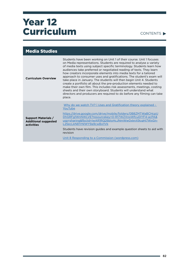#### CONTENTS

| <b>Media Studies</b>                                                           |                                                                                                                                                                                                                                                                                                                                                                                                                                                                                                                                                                                                                                                                                                                                                                                                                          |
|--------------------------------------------------------------------------------|--------------------------------------------------------------------------------------------------------------------------------------------------------------------------------------------------------------------------------------------------------------------------------------------------------------------------------------------------------------------------------------------------------------------------------------------------------------------------------------------------------------------------------------------------------------------------------------------------------------------------------------------------------------------------------------------------------------------------------------------------------------------------------------------------------------------------|
| <b>Curriculum Overview</b>                                                     | Students have been working on Unit 1 of their course. Unit 1 focuses<br>on Media representations. Students are required to analyse a variety<br>of media texts using subject specific terminology. Students learn how<br>audiences take preferred or negotiated reading of texts. They learn<br>how creators incorporate elements into media texts for a tailored<br>approach to consumer uses and gratifications. The student's exam will<br>take place in January. The students will then begin Unit 4. Students<br>create a portfolio all about the pre-production elements needed to<br>make their own film. This includes risk assessments, meetings, costing<br>sheets and their own storyboard. Students will understand what<br>directors and producers are required to do before any filming can take<br>place. |
| <b>Support Materials /</b><br><b>Additional suggested</b><br><b>activities</b> | Why do we watch TV?   Uses and Gratification theory explained -<br>YouTube<br>https://drive.google.com/drive/mobile/folders/0B8ZMTWaBCHcpU<br>DhGRFg1WnNWLVE?resourcekey=0-R17WZXnoWfcu0IYF4-acPA&<br>usp=sharing&fbclid=IwAR1RQ26blyHcJNmWw0xknX9cqHi7WxGn-<br>L25ecLkN8TrNIWY9a9cwBxl1Vk<br>Students have revision guides and example question sheets to aid with<br>revision<br>Unit 8 Responding to a Commission (wordpress.com)                                                                                                                                                                                                                                                                                                                                                                                     |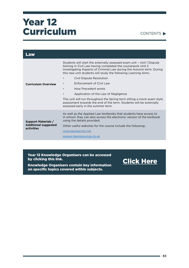CONTENTS

[Click Here](https://drive.google.com/drive/folders/1Zoliqg1iXEkIQ92oXb7V85g63PPgQM-m?usp=sharing)

| Law                                       |                                                                                                                                                                                                                                                                                 |
|-------------------------------------------|---------------------------------------------------------------------------------------------------------------------------------------------------------------------------------------------------------------------------------------------------------------------------------|
|                                           | Students will start the externally assessed exam unit - Unit 1 Dispute<br>Solving in Civil Law having completed the coursework Unit 2<br>Investigating Aspects of Criminal Law during the Autumn term. During<br>this new unit students will study the following Learning Aims: |
|                                           | Civil Dispute Resolution                                                                                                                                                                                                                                                        |
| <b>Curriculum Overview</b>                | Enforcement of Civil Law                                                                                                                                                                                                                                                        |
|                                           | How Precedent works                                                                                                                                                                                                                                                             |
|                                           | Application of the Law of Negligence                                                                                                                                                                                                                                            |
|                                           | This unit will run throughout the Spring term sitting a mock exam style<br>assessment towards the end of the term. Students will be externally<br>assessed early in the summer term.                                                                                            |
| <b>Support Materials /</b>                | As well as the Applied Law textbooks that students have access to<br>in school, they can also access the electronic version of the textbook<br>using the details provided.                                                                                                      |
| <b>Additional suggested</b><br>activities | Other useful websites for the course include the following:                                                                                                                                                                                                                     |
|                                           | www.lawteacher.net                                                                                                                                                                                                                                                              |
|                                           | www.e-lawresources.co.uk                                                                                                                                                                                                                                                        |

Year 12 Knowledge Organisers can be accessed by clicking this link.

Knowledge Organisers contain key information on specific topics covered within subjects.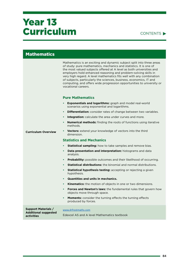#### CONTENTS

| <b>Mathematics</b>                        |                                                                                                                                                                                                                                                                                                                                                                                                                                                                                                                                       |
|-------------------------------------------|---------------------------------------------------------------------------------------------------------------------------------------------------------------------------------------------------------------------------------------------------------------------------------------------------------------------------------------------------------------------------------------------------------------------------------------------------------------------------------------------------------------------------------------|
|                                           | Mathematics is an exciting and dynamic subject split into three areas<br>of study: pure mathematics, mechanics and statistics. It is one of<br>the most valued subjects offered at A level as both universities and<br>employers hold enhanced reasoning and problem-solving skills in<br>very high regard. A level mathematics fits well with any combination<br>of subjects, particularly the sciences, business, economics, IT and<br>computing, and offers wide progression opportunities to university or<br>vocational careers. |
|                                           | <b>Pure Mathematics</b>                                                                                                                                                                                                                                                                                                                                                                                                                                                                                                               |
|                                           | Exponentials and logarithms: graph and model real-world<br>scenarios using exponential and logarithms.                                                                                                                                                                                                                                                                                                                                                                                                                                |
|                                           | <b>Differentiation:</b> consider rates of change between two variables.                                                                                                                                                                                                                                                                                                                                                                                                                                                               |
|                                           | <b>Integration:</b> calculate the area under curves and more.<br>$\bullet$                                                                                                                                                                                                                                                                                                                                                                                                                                                            |
|                                           | <b>Numerical methods:</b> finding the roots of functions using iterative<br>methods.                                                                                                                                                                                                                                                                                                                                                                                                                                                  |
| <b>Curriculum Overview</b>                | • Vectors: extend your knowledge of vectors into the third<br>dimension.                                                                                                                                                                                                                                                                                                                                                                                                                                                              |
|                                           | <b>Statistics and Mechanics</b>                                                                                                                                                                                                                                                                                                                                                                                                                                                                                                       |
|                                           | <b>Statistical sampling:</b> how to take samples and remove bias.<br>$\bullet$                                                                                                                                                                                                                                                                                                                                                                                                                                                        |
|                                           | Data presentation and interpretation: histograms and data<br>$\bullet$<br>analysis.                                                                                                                                                                                                                                                                                                                                                                                                                                                   |
|                                           | <b>Probability:</b> possible outcomes and their likelihood of occurring.<br>$\bullet$                                                                                                                                                                                                                                                                                                                                                                                                                                                 |
|                                           | <b>Statistical distributions:</b> the binomial and normal distributions.<br>$\bullet$                                                                                                                                                                                                                                                                                                                                                                                                                                                 |
|                                           | <b>Statistical hypothesis testing:</b> accepting or rejecting a given<br>$\bullet$<br>hypothesis.                                                                                                                                                                                                                                                                                                                                                                                                                                     |
|                                           | <b>Quantities and units in mechanics.</b><br>$\bullet$                                                                                                                                                                                                                                                                                                                                                                                                                                                                                |
|                                           | <b>Kinematics:</b> the motion of objects in one or two dimensions.<br>$\bullet$ .                                                                                                                                                                                                                                                                                                                                                                                                                                                     |
|                                           | <b>Forces and Newton's laws:</b> the fundamental rules that govern how<br>$\bullet$<br>objects move through space.                                                                                                                                                                                                                                                                                                                                                                                                                    |
|                                           | <b>Moments:</b> consider the turning effects the turning effects<br>$\bullet$<br>produced by forces.                                                                                                                                                                                                                                                                                                                                                                                                                                  |
| <b>Support Materials /</b>                | www.drfrostmaths.com                                                                                                                                                                                                                                                                                                                                                                                                                                                                                                                  |
| <b>Additional suggested</b><br>activities | Edexcel AS and A level Mathematics textbook                                                                                                                                                                                                                                                                                                                                                                                                                                                                                           |

÷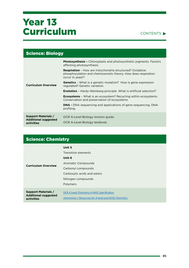#### CONTENTS<sup>></sup>

| <b>Science: Biology</b>                                                 |                                                                                                                                                     |
|-------------------------------------------------------------------------|-----------------------------------------------------------------------------------------------------------------------------------------------------|
|                                                                         | <b>Photosynthesis -</b> Chloroplasts and photosynthetic pigments. Factors<br>affecting photosynthesis.                                              |
|                                                                         | <b>Respiration</b> - How are mitochondria structured? Oxidative<br>phosphorylation and chemiosmotic theory. How does respiration<br>occur in yeast? |
| <b>Curriculum Overview</b>                                              | <b>Genetics</b> – What is a genetic mutation? How is gene expression<br>regulated? Genetic variation.                                               |
|                                                                         | <b>Evolution</b> - Hardy-Weinberg principle. What is artificial selection?                                                                          |
|                                                                         | <b>Ecosystems</b> - What is an ecosystem? Recycling within ecosystems.<br>Conservation and preservation of ecosystems.                              |
|                                                                         | <b>DNA -</b> DNA sequencing and applications of gene sequencing. DNA<br>profiling.                                                                  |
| <b>Support Materials /</b><br><b>Additional suggested</b><br>activities | OCR A-Level Biology revision guide.<br>OCR A-Level Biology textbook.                                                                                |

#### Science: Chemistry

|                                                                         | Unit 5                                                                                              |
|-------------------------------------------------------------------------|-----------------------------------------------------------------------------------------------------|
|                                                                         | Transition elements                                                                                 |
|                                                                         | Unit 6                                                                                              |
| <b>Curriculum Overview</b>                                              | <b>Aromatic Compounds</b>                                                                           |
|                                                                         | Carbonyl compounds                                                                                  |
|                                                                         | Carboxylic acids and esters                                                                         |
|                                                                         | Nitrogen compounds                                                                                  |
|                                                                         | Polymers                                                                                            |
| <b>Support Materials /</b><br><b>Additional suggested</b><br>activities | OCR A Level Chemistry A H432 Specification<br>chemrevise   Resources for A-level and GCSE Chemistry |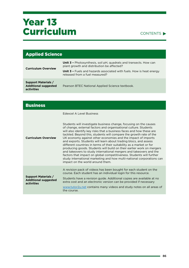#### CONTENTS

| <b>Applied Science</b>                                                  |                                                                                                                                                                                                                                         |
|-------------------------------------------------------------------------|-----------------------------------------------------------------------------------------------------------------------------------------------------------------------------------------------------------------------------------------|
| <b>Curriculum Overview</b>                                              | <b>Unit 3 -</b> Photosynthesis, soil pH, quadrats and transects. How can<br>plant growth and distribution be affected?<br><b>Unit 3 -</b> Fuels and hazards associated with fuels. How is heat energy<br>released from a fuel measured? |
| <b>Support Materials /</b><br><b>Additional suggested</b><br>activities | Pearson BTEC National Applied Science textbook.                                                                                                                                                                                         |

| <b>Business</b>                                                         |                                                                                                                                                                                                                                                                                                                                                                                                                                                                                                                                                                                                                                                                                                                                                                                                                                     |
|-------------------------------------------------------------------------|-------------------------------------------------------------------------------------------------------------------------------------------------------------------------------------------------------------------------------------------------------------------------------------------------------------------------------------------------------------------------------------------------------------------------------------------------------------------------------------------------------------------------------------------------------------------------------------------------------------------------------------------------------------------------------------------------------------------------------------------------------------------------------------------------------------------------------------|
|                                                                         | <b>Edexcel A Level Business</b>                                                                                                                                                                                                                                                                                                                                                                                                                                                                                                                                                                                                                                                                                                                                                                                                     |
| <b>Curriculum Overview</b>                                              | Students will investigate business change, focusing on the causes<br>of change, external factors and organisational culture. Students<br>will also identify key risks that a business faces and how these are<br>tackled. Beyond this, students will compare the growth rate of the<br>UK economy against other economies and the impact of imports<br>and exports. Students will learn about trading blocs, and assess<br>different countries in terms of their suitability as a market or for<br>producing goods. Students will build on their earlier work on mergers<br>and takeovers to study international mergers and takeovers and the<br>factors that impact on global competitiveness. Students will further<br>study international marketing and how multi-national corporations can<br>impact on the world around them. |
| <b>Support Materials /</b><br><b>Additional suggested</b><br>activities | A revision pack of videos has been bought for each student on the<br>course. Each student has an individual login for this resource.                                                                                                                                                                                                                                                                                                                                                                                                                                                                                                                                                                                                                                                                                                |
|                                                                         | Students have a revision guide. Additional copies are available at no<br>extra cost and an electronic version can be provided if necessary                                                                                                                                                                                                                                                                                                                                                                                                                                                                                                                                                                                                                                                                                          |
|                                                                         | www.tutor2u.net contains many videos and study notes on all areas of<br>the course.                                                                                                                                                                                                                                                                                                                                                                                                                                                                                                                                                                                                                                                                                                                                                 |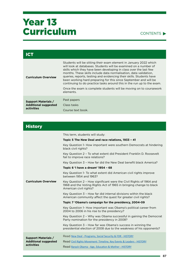| <b>Curriculum Overview</b>                                              | Students will be sitting their exam element in January 2022 which<br>will look at databases. Students will be examined on a number of<br>skills which they have been developing in class over the last few<br>months. These skills include data normalisation, data validation.<br>queries, reports, testing and evidencing their skills. Students have<br>been working hard preparing for this since September and will be<br>continuing to do practice tasks around this in the run up to the exam.<br>Once the exam is complete students will be moving on to coursework<br>elements. |
|-------------------------------------------------------------------------|------------------------------------------------------------------------------------------------------------------------------------------------------------------------------------------------------------------------------------------------------------------------------------------------------------------------------------------------------------------------------------------------------------------------------------------------------------------------------------------------------------------------------------------------------------------------------------------|
| <b>Support Materials /</b><br><b>Additional suggested</b><br>activities | Past papers<br>Class tasks<br>Course text book.                                                                                                                                                                                                                                                                                                                                                                                                                                                                                                                                          |

| <b>History</b>                                            |                                                                                                                                                                    |
|-----------------------------------------------------------|--------------------------------------------------------------------------------------------------------------------------------------------------------------------|
|                                                           | This term, students will study:                                                                                                                                    |
|                                                           | Topic 5 The New Deal and race relations, 1933 - 41                                                                                                                 |
|                                                           | Key Question 1- How important were southern Democrats at hindering<br>black civil rights?                                                                          |
|                                                           | Key Question 2 - To what extent did President Franklin D. Roosevelt<br>fail to improve race relations?                                                             |
|                                                           | Key Question 3 - How far did the New Deal benefit black America?                                                                                                   |
|                                                           | Topic 6 'I have a dream' 1954 - 68                                                                                                                                 |
|                                                           | Key Question 1- To what extent did American civil rights improve<br>between 1954 and 1963?                                                                         |
| <b>Curriculum Overview</b>                                | Key Question 2 - How significant were the Civil Rights of 1964 and<br>1968 and the Voting Rights Act of 1965 in bringing change to black<br>American civil rights? |
|                                                           | Key Question 3 - How far did internal divisions within the black<br>American community affect the quest for greater civil rights?                                  |
|                                                           | Topic 7 'Obama's campaign for the presidency, 2004-09                                                                                                              |
|                                                           | Key Question 1- How important was Obama's political career from<br>2004 to 2006 in his rise to the presidency?                                                     |
|                                                           | Key Question 2 - Why was Obama successful in gaining the Democrat<br>Party nomination for the presidency in 2008?                                                  |
|                                                           | Key Question 3 - How far was Obama's success in winning the<br>presidential election of 2008 due to the weakness of his opponents?                                 |
|                                                           | Read New Deal - Programs, Social Security & FDR - HISTORY                                                                                                          |
| <b>Support Materials /</b><br><b>Additional suggested</b> | Read Civil Rights Movement: Timeline, Key Events & Leaders - HISTORY                                                                                               |
| activities                                                | Read Barack Obama - Age, Education & Mother - HISTORY                                                                                                              |
|                                                           |                                                                                                                                                                    |

CONTENTS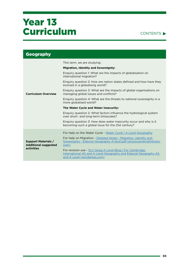

| <b>Geography</b>                                                        |                                                                                                                                                            |
|-------------------------------------------------------------------------|------------------------------------------------------------------------------------------------------------------------------------------------------------|
|                                                                         | This term, we are studying:                                                                                                                                |
|                                                                         | <b>Migration, Identity and Sovereignty:</b>                                                                                                                |
|                                                                         | Enguiry question 1: What are the impacts of globalisation on<br>international migration?                                                                   |
|                                                                         | Enquiry question 2: How are nation states defined and how have they<br>evolved in a globalising world?                                                     |
| <b>Curriculum Overview</b>                                              | Enguiry question 3: What are the impacts of global organisations on<br>managing global issues and conflicts?                                               |
|                                                                         | Enquiry question 4: What are the threats to national sovereignty in a<br>more globalised world?                                                            |
|                                                                         | The Water Cycle and Water Insecurity:                                                                                                                      |
|                                                                         | Enquiry question 2: What factors influence the hydrological system<br>over short- and long-term timescales?                                                |
|                                                                         | Enquiry question 3: How does water insecurity occur and why is it<br>becoming such a global issue for the 21st century?                                    |
|                                                                         | For help on the Water Cycle - Water Cycle   A Level Geography                                                                                              |
| <b>Support Materials /</b><br><b>Additional suggested</b><br>activities | For help on Migration - Detailed Notes - Migration, Identity and<br>Sovereignty - Edexcel Geography A-level.pdf (physicsandmathstutor.<br>com)             |
|                                                                         | For revision use - SLC Geog A Level Blog   For Cambridge<br>International AS and A Level Geography and Edexcel Geography AS<br>and A Level (wordpress.com) |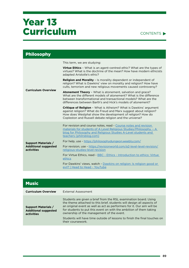#### CONTENTS

| <b>Philosophy</b>                                                              |                                                                                                                                                                                                                                                                                                                                                                                                                                                                                                                                                                                                                                                                                                                                                                                                                                                                                                                                  |
|--------------------------------------------------------------------------------|----------------------------------------------------------------------------------------------------------------------------------------------------------------------------------------------------------------------------------------------------------------------------------------------------------------------------------------------------------------------------------------------------------------------------------------------------------------------------------------------------------------------------------------------------------------------------------------------------------------------------------------------------------------------------------------------------------------------------------------------------------------------------------------------------------------------------------------------------------------------------------------------------------------------------------|
| <b>Curriculum Overview</b>                                                     | This term, we are studying:<br><b>Virtue Ethics</b> - What is an agent-centred ethic? What are the types of<br>virtues? What is the doctrine of the mean? How have modern ethicists<br>adapted Aristotle's ethic?<br><b>Religion and Morality - Is morality dependent or independent of</b><br>religion? What is Dawkins' view on morality and religion? How have<br>cults, terrorism and new religious movements caused controversy?<br><b>Atonement Theory</b> - What is atonement, salvation and grace?<br>What are the different models of atonement? What is the difference<br>between transformational and transactional models? What are the<br>differences between Barth's and Hick's models of atonement?<br><b>Critique of Religion - What is Atheism? What is Dawkins' argument</b><br>against religion? What do Freud and Marx suggest about religion?<br>How does Westphal show the development of religion? How do |
| <b>Support Materials /</b><br><b>Additional suggested</b><br><b>activities</b> | Copleston and Russell debate religion and the universe?<br>For revision and course notes, read - Course notes and revision<br>materials for students of A Level Religious Studies/Philosophy. - A<br>blog for Philosophy and Religious Studies A-Level students and<br>teachers (philrsblog.com)<br>For help, use - https://philosophydungeon.weebly.com/<br>For revision, use - https://revisionworld.com/a2-level-level-revision/<br>religious-studies-level-revision<br>For Virtue Ethics, read - BBC - Ethics - Introduction to ethics: Virtue<br>ethics<br>For Dawkins' views, watch - Dawkins on religion: Is religion good or<br>evil?   Head to Head - YouTube                                                                                                                                                                                                                                                           |

| <b>Music</b>                                                            |                                                                                                                                                                                                                                                                                                                                                                                                                                          |
|-------------------------------------------------------------------------|------------------------------------------------------------------------------------------------------------------------------------------------------------------------------------------------------------------------------------------------------------------------------------------------------------------------------------------------------------------------------------------------------------------------------------------|
| <b>Curriculum Overview</b>                                              | External Assessment                                                                                                                                                                                                                                                                                                                                                                                                                      |
| <b>Support Materials /</b><br><b>Additional suggested</b><br>activities | Students are given a brief from the RSL examination board. Using<br>the theme attached to this brief, students will design all aspects of<br>an original event as well as act as performers for it. Our aim will be<br>for students to put this event on with the ambition of them taking<br>ownership of the management of the event.<br>Students will have time outside of lessons to finish the final touches on<br>their coursework. |

ä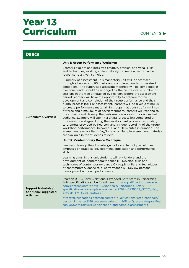#### CONTENTS<sup>></sup>

| <b>Dance</b>                                                                   |                                                                                                                                                                                                                                                                                                                                                                                                                                                                                                                                                                                                                                                                                                                                                                                                                                                                                                                                                                                                                                                                                                                                                                            |
|--------------------------------------------------------------------------------|----------------------------------------------------------------------------------------------------------------------------------------------------------------------------------------------------------------------------------------------------------------------------------------------------------------------------------------------------------------------------------------------------------------------------------------------------------------------------------------------------------------------------------------------------------------------------------------------------------------------------------------------------------------------------------------------------------------------------------------------------------------------------------------------------------------------------------------------------------------------------------------------------------------------------------------------------------------------------------------------------------------------------------------------------------------------------------------------------------------------------------------------------------------------------|
|                                                                                | <b>Unit 3: Group Performance Workshop</b>                                                                                                                                                                                                                                                                                                                                                                                                                                                                                                                                                                                                                                                                                                                                                                                                                                                                                                                                                                                                                                                                                                                                  |
| <b>Curriculum Overview</b>                                                     | Learners explore and integrate creative, physical and vocal skills<br>and techniques, working collaboratively to create a performance in<br>response to a given stimulus.                                                                                                                                                                                                                                                                                                                                                                                                                                                                                                                                                                                                                                                                                                                                                                                                                                                                                                                                                                                                  |
|                                                                                | Summary of assessment This mandatory unit will be assessed<br>through a task worth 60 marks and completed under supervised<br>conditions. The supervised assessment period will be completed in<br>five hours and should be arranged by the centre over a number of<br>sessions in the wee timetabled by Pearson. Before the assessment<br>period, learners will have the opportunity to prepare for the<br>development and completion of the group performance and their<br>digital process log. For assessment, learners will be given a stimulus<br>to create performance material. In groups that consist of a minimum<br>of three and a maximum of seven members, learners will respond to<br>the stimulus and develop the performance workshop for an invited<br>audience. Learners will submit a digital process log completed at<br>four milestone stages during the development process, responding<br>to prompts provided by Pearson, and a video recording of the group<br>workshop performance, between 10 and 20 minutes in duration. The<br>assessment availability is May/June only. Sample assessment materials<br>are available in the student's folders. |
|                                                                                | Unit 12: Contemporary Dance Technique                                                                                                                                                                                                                                                                                                                                                                                                                                                                                                                                                                                                                                                                                                                                                                                                                                                                                                                                                                                                                                                                                                                                      |
|                                                                                | Learners develop their knowledge, skills and techniques with an<br>emphasis on practical development, application and performance<br>skills.                                                                                                                                                                                                                                                                                                                                                                                                                                                                                                                                                                                                                                                                                                                                                                                                                                                                                                                                                                                                                               |
|                                                                                | Learning aims: In this unit students will: A - Understand the<br>development of contemporary dance B - Develop skills and<br>techniques of contemporary dance C - Apply skills and techniques<br>of contemporary dance to a performance D - Review personal<br>development and own performance.                                                                                                                                                                                                                                                                                                                                                                                                                                                                                                                                                                                                                                                                                                                                                                                                                                                                            |
| <b>Support Materials /</b><br><b>Additional suggested</b><br><b>activities</b> | Pearson BTEC Level 3 National Extended Certificate in Performing<br>Arts specification can be found here: https://qualifications.pearson.<br>com/content/dam/pdf/BTECNationals/Performing-Arts/2016/<br>specification-and-sampleassessments/9781446938362 BTEC Nat<br>ExtCert PA Spec Iss2C.pdf<br>https://qualifications.pearson.com/en/qualifications/btec-nationals/<br>performing-arts-2016.coursematerials.html#filterQuery=category:Pear<br>son-UK:Category%2FSpecification-and-sample-assessments                                                                                                                                                                                                                                                                                                                                                                                                                                                                                                                                                                                                                                                                   |

÷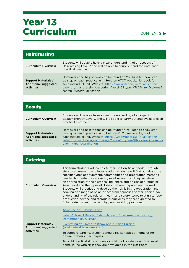#### CONTENTS

| <b>Hairdressing</b>                                                     |                                                                                                                                                                                                                                                                                                             |
|-------------------------------------------------------------------------|-------------------------------------------------------------------------------------------------------------------------------------------------------------------------------------------------------------------------------------------------------------------------------------------------------------|
| <b>Curriculum Overview</b>                                              | Students will be able have a clear understanding of all aspects of<br>Hairdressing Level 3 and will be able to carry out and evaluate each<br>practical treatment.                                                                                                                                          |
| <b>Support Materials /</b><br><b>Additional suggested</b><br>activities | Homework and help videos can be found on YouTube to show step<br>by step on each practical unit. Help on VTCT website, logbook for<br>each individual unit. Website- https://www.vtct.org.uk/qualification-<br>category/hairdressing-barbering/?level=2&type=VRQ&size=Diploma&<br>search_type=qualification |

| <b>Beauty</b>                                                           |                                                                                                                                                                                                                                                                                                             |
|-------------------------------------------------------------------------|-------------------------------------------------------------------------------------------------------------------------------------------------------------------------------------------------------------------------------------------------------------------------------------------------------------|
| <b>Curriculum Overview</b>                                              | Students will be able have a clear understanding of all aspects of<br>Beauty Therapy Level 3 and will be able to carry out and evaluate each<br>practical treatment.                                                                                                                                        |
| <b>Support Materials /</b><br><b>Additional suggested</b><br>activities | Homework and help videos can be found on YouTube to show step<br>by step on each practical unit. Help on VTCT website, logbook for<br>each individual unit. Website- https://www.vtct.org.uk/qualification-<br>category/hairdressing-barbering/?level=2&type=VRQ&size=Diploma&s<br>earch type=qualification |

| <b>Catering</b>                                                         |                                                                                                                                                                                                                                                                                                                                                                                                                                                                                                                                                                                                                                                                                                                                                                                                            |
|-------------------------------------------------------------------------|------------------------------------------------------------------------------------------------------------------------------------------------------------------------------------------------------------------------------------------------------------------------------------------------------------------------------------------------------------------------------------------------------------------------------------------------------------------------------------------------------------------------------------------------------------------------------------------------------------------------------------------------------------------------------------------------------------------------------------------------------------------------------------------------------------|
| <b>Curriculum Overview</b>                                              | This term students will complete their unit on Asian foods. Through<br>structured research and investigation, students will find out about the<br>specific types of equipment, commodities and preparation methods<br>needed to create the various styles of Asian food. They will develop<br>an appreciation of the historical influences and origins of a range of<br>Asian food and the types of dishes that are prepared and cooked.<br>Students will practise and develop their skills in the preparation and<br>cooking of a range of Asian dishes from countries of their choice. An<br>understanding of the relevant health and safety issues relating to food<br>production, service and storage is crucial as they are expected to<br>follow safe, professional, and hygienic working practices. |
| <b>Support Materials /</b><br><b>Additional suggested</b><br>activities | Asian recipes   Jamie Oliver<br>Asian Cuisine & Foods: Asian-Nation:: Asian American History,<br>Demographics, & Issues<br><b>Everything You Need to Know about Asian Cuisine</b><br>(positivehealthwellness.com)<br>To support learning, students should revise topics at home using<br>different revision techniques.<br>To build practical skills, students could cook a selection of dishes at<br>home in line with skills they are developing in the classroom                                                                                                                                                                                                                                                                                                                                        |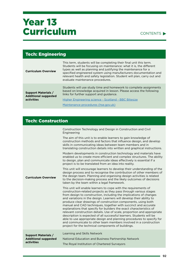#### CONTENTS  $\blacktriangleright$

| <b>Tech: Engineering</b>                                                |                                                                                                                                                                                                                                                                                                                                                                                                  |
|-------------------------------------------------------------------------|--------------------------------------------------------------------------------------------------------------------------------------------------------------------------------------------------------------------------------------------------------------------------------------------------------------------------------------------------------------------------------------------------|
| <b>Curriculum Overview</b>                                              | This term, students will be completing their final unit this term.<br>Students will be focusing on maintenance: what it is, the different<br>types as well as planning and justifying the maintenance for a<br>specified engineered system using manufacturers documentation and<br>relevant health and safety legislation. Student will plan, carry out and<br>evaluate maintenance procedures. |
| <b>Support Materials /</b><br><b>Additional suggested</b><br>activities | Students will use study time and homework to complete assignments<br>based on knowledge acquired in lesson. Please access the following<br>links for further support and guidance.<br>Higher Engineering science - Scotland - BBC Bitesize<br>Maintenance procedures (hse.gov.uk)                                                                                                                |

| <b>Tech: Construction</b> |                                                                             |
|---------------------------|-----------------------------------------------------------------------------|
|                           | Construction Technology and Design in Construction and Civil<br>Engineering |

The aim of this unit is to enable learners to gain knowledge of construction methods and factors that influence design, and develop skills in communicating ideas between team members and in translating construction details into written and graphical instructions.

Modern developments in construction technology and materials have enabled us to create more efficient and complex structures. The ability to design, plan and communicate ideas effectively is essential if a project is to be translated from an idea into reality.

**Curriculum Overview**  This unit will encourage learners to develop their understanding of the design process and to recognise the contribution of other members of the design team. Planning and organising design activities is related to the decision-making process and the likely outcomes of decisions taken by the team within a legal framework.

> This unit will enable learners to cope with the requirements of construction-related projects as they pass through various stages from design to construction, including the implications of changes and variations in the design. Learners will develop their ability to produce clear drawings of construction components, using both manual and CAD techniques, together with succinct and accurate explanations that specify for builders the exact characteristics of relevant construction details. Use of scale, proportion and appropriate description is expected of all successful learners. Students will be able to use appropriate design and planning procedures to specify for and communicate to other team members involved in a construction project for the technical components of buildings.

| <b>Support Materials /</b>  | Learning and Skills Network                         |
|-----------------------------|-----------------------------------------------------|
| <b>Additional suggested</b> | National Education and Business Partnership Network |
| activities                  | The Royal Institution of Chartered Surveyors        |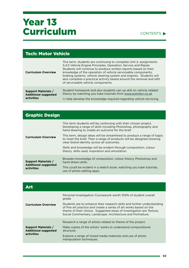#### CONTENTS

| <b>Tech: Motor Vehicle</b>                                              |                                                                                                                                                                                                                                                                                                                                                                                                                                                                  |
|-------------------------------------------------------------------------|------------------------------------------------------------------------------------------------------------------------------------------------------------------------------------------------------------------------------------------------------------------------------------------------------------------------------------------------------------------------------------------------------------------------------------------------------------------|
| <b>Curriculum Overview</b>                                              | This term, students are continuing to complete Unit 2: assignments<br>3.4.5 Vehicle Engine Principles, Operation, Service and Repair.<br>Students will continue to produce written reports based on their<br>knowledge of the operation of vehicle serviceable components,<br>braking systems, vehicle steering system and engines. Students will<br>also complete a practical activity based around the removal and refit<br>of serviceable vehicle components. |
| <b>Support Materials /</b><br><b>Additional suggested</b><br>activities | Student homework and also students can up skill on vehicle related<br>theory by watching you tube tutorials from www.autodoc.co.uk<br>to help develop the knowledge required regarding vehicle servicing.                                                                                                                                                                                                                                                        |

| <b>Graphic Design</b>                                                   |                                                                                                                                                                                              |
|-------------------------------------------------------------------------|----------------------------------------------------------------------------------------------------------------------------------------------------------------------------------------------|
| <b>Curriculum Overview</b>                                              | This term students will be continuing with their chosen project.<br>Developing a range of skills including Photoshop, photography and<br>hand drawing to create an outcome for the brief.    |
|                                                                         | This term, design ideas will be streamlined to produce a range of logos<br>to meet the brief. Then a range of products will be designed showing<br>clear brand identity across all outcomes. |
|                                                                         | Skills and knowledge will be evident through composition, colour<br>theory, skills used, inspiration and annotation.                                                                         |
| <b>Support Materials /</b><br><b>Additional suggested</b><br>activities | Broaden knowledge of composition, colour theory, Photoshop and<br>hand drawn skills.                                                                                                         |
|                                                                         | This could be evident in a sketch book, watching you tube tutorials,<br>use of photo editing apps.                                                                                           |

| Art                                                                     |                                                                                                                                                                                                                                                                                      |
|-------------------------------------------------------------------------|--------------------------------------------------------------------------------------------------------------------------------------------------------------------------------------------------------------------------------------------------------------------------------------|
| <b>Curriculum Overview</b>                                              | Personal Investigation Coursework worth 100% of student overall<br>grade.                                                                                                                                                                                                            |
|                                                                         | Students are to enhance their research skills and further understanding<br>of fine art practice and create a series of art works based on the<br>theme of their choice. Suggested areas of investigation are Texture,<br>Social Commentary, Landscape, Architecture and Portraiture. |
| <b>Support Materials /</b><br><b>Additional suggested</b><br>activities | Research a range of artists related to theme of the project.                                                                                                                                                                                                                         |
|                                                                         | Make copies of the artists' works to understand compositional<br>structure.                                                                                                                                                                                                          |
|                                                                         | Explore a range of mixed media materials and use of photo<br>manipulation techniques.                                                                                                                                                                                                |

ä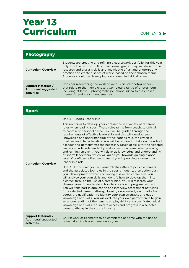#### CONTENTS

| <b>Photography</b>                                                             |                                                                                                                                                                                                                                                                                                                                                                    |
|--------------------------------------------------------------------------------|--------------------------------------------------------------------------------------------------------------------------------------------------------------------------------------------------------------------------------------------------------------------------------------------------------------------------------------------------------------------|
| <b>Curriculum Overview</b>                                                     | Students are creating and refining a coursework portfolio, for this year<br>only it will be worth 100% of their overall grade. They will develop their<br>research and analysis skills and knowledge of art and photography<br>practice and create a series of works based on their chosen theme.<br>Students should be developing a sustained individual project. |
| <b>Support Materials /</b><br><b>Additional suggested</b><br><b>activities</b> | Consider researching the work of various artists/photographers<br>that relate to the theme chosen. Complete a range of photoshoots<br>including at least 15 photographs per shoot linking to the chosen<br>theme. Attend enrichment sessions                                                                                                                       |

| Sport                                                                          |                                                                                                                                                                                                                                                                                                                                                                                                                                                                                                                                                                                                                                                                                                                                                                                                                                                                                                                          |
|--------------------------------------------------------------------------------|--------------------------------------------------------------------------------------------------------------------------------------------------------------------------------------------------------------------------------------------------------------------------------------------------------------------------------------------------------------------------------------------------------------------------------------------------------------------------------------------------------------------------------------------------------------------------------------------------------------------------------------------------------------------------------------------------------------------------------------------------------------------------------------------------------------------------------------------------------------------------------------------------------------------------|
| <b>Curriculum Overview</b>                                                     | Unit 4 - Sports Leadership<br>This unit aims to develop your confidence in a variety of different<br>roles when leading sport. These roles range from coach, to official,<br>to captain or personal trainer. You will be guided through the<br>requirements of effective leadership and this will develop your<br>knowledge and understanding of the leader's role, the key skills,<br>qualities and characteristics. You will be required to take on the role of<br>a leader and demonstrate the necessary range of skills for the selected<br>leadership role independently and as part of a team, when planning<br>and running an event. You will develop knowledge and understanding<br>of sports leadership, which will guide you towards gaining a good<br>level of confidence that would assist you in pursuing a career in a<br>leadership role                                                                  |
|                                                                                | Unit 3 - In this unit, you will research the different possible careers<br>and the associated job roles in the sports industry, then action plan<br>your development towards achieving a selected career aim. You<br>will analyse your own skills and identify how to develop them into<br>a career through the use of a career plan. You will research your<br>chosen career to understand how to access and progress within it.<br>You will take part in application and interview assessment activities<br>for a selected career pathway, drawing on knowledge and skills from<br>across the qualification to identify your own strengths and gaps in<br>knowledge and skills. You will evaluate your own performance to gain<br>an understanding of the generic employability and specific-technical<br>knowledge and skills required to access and progress in a selected<br>career pathway in the sports industry. |
| <b>Support Materials /</b><br><b>Additional suggested</b><br><b>activities</b> | Coursework assignments to be completed at home with the use of<br>notes taken in class and resources given.                                                                                                                                                                                                                                                                                                                                                                                                                                                                                                                                                                                                                                                                                                                                                                                                              |

ä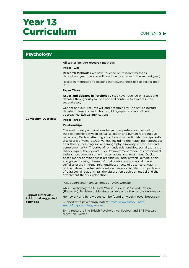

| <b>Psychology</b>                                                              |                                                                                                                                                                                                                                                                                                                                                                                                                                                                                                                                                                                                                                                                                                                                                                                                                                                                                                                                                                                                              |
|--------------------------------------------------------------------------------|--------------------------------------------------------------------------------------------------------------------------------------------------------------------------------------------------------------------------------------------------------------------------------------------------------------------------------------------------------------------------------------------------------------------------------------------------------------------------------------------------------------------------------------------------------------------------------------------------------------------------------------------------------------------------------------------------------------------------------------------------------------------------------------------------------------------------------------------------------------------------------------------------------------------------------------------------------------------------------------------------------------|
| <b>Curriculum Overview</b>                                                     | All topics include research methods<br><b>Paper Two:</b><br><b>Research Methods</b> (We have touched on research methods<br>throughout year one and will continue to explore in the second year)<br>Research methods and designs that psychologist use to collect their<br>data.<br><b>Paper Three:</b><br><b>Issues and debates in Psychology</b> (We have touched on issues and<br>debates throughout year one and will continue to explore in the                                                                                                                                                                                                                                                                                                                                                                                                                                                                                                                                                         |
|                                                                                | second year)<br>Gender and culture; Free will and determinism; The nature-nurture<br>debate; Holism and reductionism; Idiographic and nomothetic<br>approaches; Ethical implications.<br><b>Paper Three:</b>                                                                                                                                                                                                                                                                                                                                                                                                                                                                                                                                                                                                                                                                                                                                                                                                 |
|                                                                                | <b>Relationships</b>                                                                                                                                                                                                                                                                                                                                                                                                                                                                                                                                                                                                                                                                                                                                                                                                                                                                                                                                                                                         |
|                                                                                | The evolutionary explanations for partner preferences, including<br>the relationship between sexual selection and human reproductive<br>behaviour.; Factors affecting attraction in romantic relationships: self-<br>disclosure; physical attractiveness, including the matching hypothesis;<br>filter theory, including social demography, similarity in attitudes and<br>complementarity.; Theories of romantic relationships: social exchange<br>theory, equity theory and Rusbult's investment model of commitment,<br>satisfaction, comparison with alternatives and investment. Duck's<br>phase model of relationship breakdown: intra-psychic, dyadic, social<br>and grave dressing phases.; Virtual relationships in social media:<br>self-disclosure in virtual relationships; effects of absence of gating<br>on the nature of virtual relationships.; Para social relationships: levels<br>of para social relationships, the absorption addiction model and the<br>attachment theory explanation. |
|                                                                                | Past papers and mark schemes on AQA website.                                                                                                                                                                                                                                                                                                                                                                                                                                                                                                                                                                                                                                                                                                                                                                                                                                                                                                                                                                 |
| <b>Support Materials /</b><br><b>Additional suggested</b><br><b>activities</b> | AQA Psychology for A Level Year 2 Student Book: 2nd Edition<br>(Flanagan). Revision guide also available and other books on Amazon.                                                                                                                                                                                                                                                                                                                                                                                                                                                                                                                                                                                                                                                                                                                                                                                                                                                                          |
|                                                                                | Homework and help videos can be found on weekly psychboost.com                                                                                                                                                                                                                                                                                                                                                                                                                                                                                                                                                                                                                                                                                                                                                                                                                                                                                                                                               |
|                                                                                | Support with psychology notes: https://www.tutor2u.net/<br>search?q=psychology+notes                                                                                                                                                                                                                                                                                                                                                                                                                                                                                                                                                                                                                                                                                                                                                                                                                                                                                                                         |
|                                                                                | Extra research: The British Psychological Society and BPS Research<br>digest on Twitter                                                                                                                                                                                                                                                                                                                                                                                                                                                                                                                                                                                                                                                                                                                                                                                                                                                                                                                      |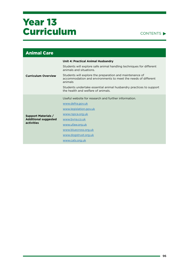

| <b>Animal Care</b>                                                      |                                                                                                                                                                                                                                                                                                                                                                                          |
|-------------------------------------------------------------------------|------------------------------------------------------------------------------------------------------------------------------------------------------------------------------------------------------------------------------------------------------------------------------------------------------------------------------------------------------------------------------------------|
| <b>Curriculum Overview</b>                                              | Unit 4: Practical Animal Husbandry<br>Students will explore safe animal handling techniques for different<br>animals and situations.<br>Students will explore the preparation and maintenance of<br>accommodation and environments to meet the needs of different<br>animals<br>Students undertake essential animal husbandry practices to support<br>the health and welfare of animals. |
| <b>Support Materials /</b><br><b>Additional suggested</b><br>activities | Useful website for research and further information.<br>www.defra.gov.uk<br>www.legislation.gov.uk<br>www.rspca.org.uk<br>www.byna.co.uk<br>www.ufaw.org.uk<br>www.bluecross.org.uk<br>www.dogstrust.org.uk<br>www.cats.org.uk                                                                                                                                                           |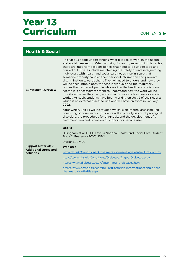#### CONTENTS

| <b>Health &amp; Social</b>                                                     |                                                                                                                                                                                                                                                                                                                                                                                                                                                                                                                                                                                                                                                                                                                                                                                                                                                                                                                                                                                                                                                                                                                                                                                                                                                             |
|--------------------------------------------------------------------------------|-------------------------------------------------------------------------------------------------------------------------------------------------------------------------------------------------------------------------------------------------------------------------------------------------------------------------------------------------------------------------------------------------------------------------------------------------------------------------------------------------------------------------------------------------------------------------------------------------------------------------------------------------------------------------------------------------------------------------------------------------------------------------------------------------------------------------------------------------------------------------------------------------------------------------------------------------------------------------------------------------------------------------------------------------------------------------------------------------------------------------------------------------------------------------------------------------------------------------------------------------------------|
| <b>Curriculum Overview</b>                                                     | This unit us about understanding what it is like to work in the health<br>and social care sector. When working for an organisation in this sector.<br>there are important responsibilities that need to be understood and<br>carried out. These include maintaining the safety of and safeguarding<br>individuals with health and social care needs, making sure that<br>someone properly handles their personal information and prevents<br>discrimination towards them. They will need to understand how they<br>will be accountable both to these individuals and the regulatory<br>bodies that represent people who work in the health and social care<br>sector. It is necessary for them to understand how the work will be<br>monitored when they carry out a specific role such as nurse or social<br>worker. As such, students have been working on Unit 2 of their course<br>which is an external assessed unit and will have an exam in January<br>2022.<br>After which, unit 14 will be studied which is an internal assessed unit<br>consisting of coursework. Students will explore types of physiological<br>disorders, the procedures for diagnosis, and the development of a<br>treatment plan and provision of support for service users. |
| <b>Support Materials /</b><br><b>Additional suggested</b><br><b>activities</b> | <b>Books</b><br>Billingham et al, BTEC Level 3 National Health and Social Care Student<br>Book 2, Pearson, (2010), ISBN<br>9781846907470<br><b>Websites</b><br>www.nhs.uk/Conditions/Alzheimers-disease/Pages/Introduction.aspx<br>http://www.nhs.uk/Conditions/Diabetes/Pages/Diabetes.aspx<br>https://www.diabetes.co.uk/autoimmune-diseases.html<br>https://www.arthritisresearchuk.org/arthritis-information/conditions/<br>rheumatoid-arthritis.aspx                                                                                                                                                                                                                                                                                                                                                                                                                                                                                                                                                                                                                                                                                                                                                                                                   |

÷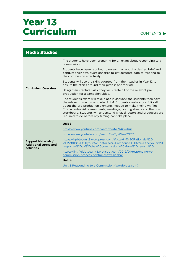#### CONTENTS

| <b>Media Studies</b>                                                    |                                                                                                                                                                                                                                                                                                                                                                                                                            |
|-------------------------------------------------------------------------|----------------------------------------------------------------------------------------------------------------------------------------------------------------------------------------------------------------------------------------------------------------------------------------------------------------------------------------------------------------------------------------------------------------------------|
| <b>Curriculum Overview</b>                                              | The students have been preparing for an exam about responding to a<br>commission.                                                                                                                                                                                                                                                                                                                                          |
|                                                                         | Students have been required to research all about a desired brief and<br>conduct their own questionnaires to get accurate data to respond to<br>the commission effectively.                                                                                                                                                                                                                                                |
|                                                                         | Students will use the skills adopted from their studies in Year 12 to<br>ensure the ethics around their pitch is appropriate.                                                                                                                                                                                                                                                                                              |
|                                                                         | Using their creative skills, they will create all of the relevant pre-<br>production for a campaign video.                                                                                                                                                                                                                                                                                                                 |
|                                                                         | The student's exam will take place in January, the students then have<br>the relevant time to complete Unit 4. Students create a portfolio all<br>about the pre-production elements needed to make their own film.<br>This includes risk assessments, meetings, costing sheets and their own<br>storyboard. Students will understand what directors and producers are<br>required to do before any filming can take place. |
|                                                                         | Unit 8                                                                                                                                                                                                                                                                                                                                                                                                                     |
|                                                                         | https://www.youtube.com/watch?v=Ni-94kYaRul                                                                                                                                                                                                                                                                                                                                                                                |
|                                                                         | https://www.youtube.com/watch?v=TqsRbze7G7M                                                                                                                                                                                                                                                                                                                                                                                |
| <b>Support Materials /</b><br><b>Additional suggested</b><br>activities | https://hpbtecunit8.wordpress.com/#:~:text=1%20Rationale%20<br>%E2%80%93%20your%20detailed%20response%20to%20the,your%20<br>response%20to%20the%20commission%20More%20items%20                                                                                                                                                                                                                                             |
|                                                                         | https://lingfieldbtecunit8.blogspot.com/2019/01/responding-to-<br>commission-process-of.html?view=sidebar                                                                                                                                                                                                                                                                                                                  |
|                                                                         | Unit 4                                                                                                                                                                                                                                                                                                                                                                                                                     |
|                                                                         | Unit 8 Responding to a Commission (wordpress.com)                                                                                                                                                                                                                                                                                                                                                                          |

ä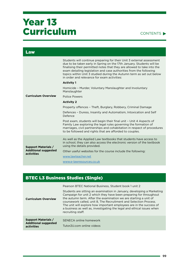#### CONTENTS<sup>></sup>

| Law                                                                     |                                                                                                                                                                                                                                                                                                                                                                                                                        |
|-------------------------------------------------------------------------|------------------------------------------------------------------------------------------------------------------------------------------------------------------------------------------------------------------------------------------------------------------------------------------------------------------------------------------------------------------------------------------------------------------------|
|                                                                         | Students will continue preparing for their Unit 3 external assessment<br>due to be taken early in Spring on the 17th January. Students will be<br>finalising their permitted notes that they are allowed to take into the<br>exam detailing legislation and case authorities from the following<br>topics within Unit 3 studied during the Autumn term as set out below<br>in order and relevance for exam activities: |
|                                                                         | <b>Activity 1</b>                                                                                                                                                                                                                                                                                                                                                                                                      |
|                                                                         | Homicide - Murder, Voluntary Manslaughter and Involuntary<br>Manslaughter                                                                                                                                                                                                                                                                                                                                              |
| <b>Curriculum Overview</b>                                              | <b>Police Powers</b>                                                                                                                                                                                                                                                                                                                                                                                                   |
|                                                                         | <b>Activity 2</b>                                                                                                                                                                                                                                                                                                                                                                                                      |
|                                                                         | Property offences - Theft, Burglary, Robbery, Criminal Damage                                                                                                                                                                                                                                                                                                                                                          |
|                                                                         | Defences - Duress, Insanity and Automatism, Intoxication and Self<br>Defence                                                                                                                                                                                                                                                                                                                                           |
|                                                                         | Post exam, students will begin their final unit - Unit 4 Aspects of<br>Family Law exploring the legal rules governing the formation of<br>marriages, civil partnerships and cohabitation in respect of procedures<br>to be followed and rights that are afforded to couples.                                                                                                                                           |
| <b>Support Materials /</b><br><b>Additional suggested</b><br>activities | As well as the Applied Law textbooks that students have access to<br>in school, they can also access the electronic version of the textbook<br>using the details provided.                                                                                                                                                                                                                                             |
|                                                                         | Other useful websites for the course include the following:                                                                                                                                                                                                                                                                                                                                                            |
|                                                                         | www.lawteacher.net                                                                                                                                                                                                                                                                                                                                                                                                     |
|                                                                         | www.e-lawresources.co.uk                                                                                                                                                                                                                                                                                                                                                                                               |

#### BTEC L3 Business Studies (Single)

| <b>Curriculum Overview</b>                                                     | Pearson BTEC National Business, Student book 1 unit 2<br>Students are sitting an examination in January, developing a Marketing<br>Campaign for unit 2 which they have been preparing for throughout<br>the autumn term. After the examination we are starting a unit of<br>coursework called, unit 8, The Recruitment and Selection Process.<br>The unit will explore how important employees are in the success of<br>a business as well as, investigating the legal and ethical issues when<br>recruiting staff. |
|--------------------------------------------------------------------------------|---------------------------------------------------------------------------------------------------------------------------------------------------------------------------------------------------------------------------------------------------------------------------------------------------------------------------------------------------------------------------------------------------------------------------------------------------------------------------------------------------------------------|
| <b>Support Materials /</b><br><b>Additional suggested</b><br><b>activities</b> | SENECA online homework<br>Tutor2U.com online videos                                                                                                                                                                                                                                                                                                                                                                                                                                                                 |